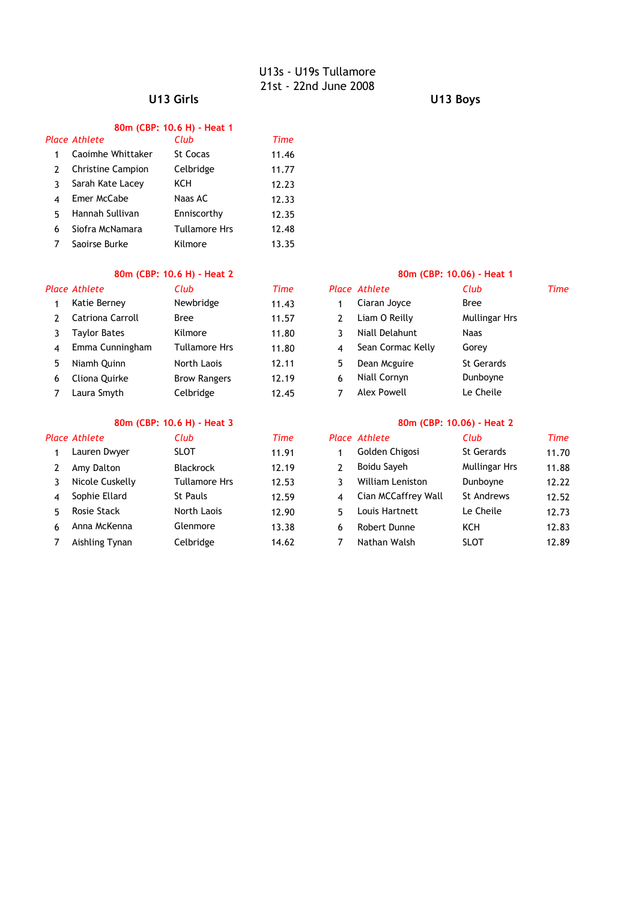### **U13 Girls U13 Boys**

### **80m (CBP: 10.6 H) - Heat 1**

|   | Place Athlete            | Club                 | Time  |
|---|--------------------------|----------------------|-------|
|   | Caoimhe Whittaker        | St Cocas             | 11.46 |
| 2 | <b>Christine Campion</b> | Celbridge            | 11.77 |
| ٦ | Sarah Kate Lacey         | KCH                  | 12.23 |
|   | Emer McCabe              | Naas AC              | 12.33 |
| 5 | Hannah Sullivan          | Enniscorthy          | 12.35 |
| 6 | Siofra McNamara          | <b>Tullamore Hrs</b> | 12.48 |
|   | Saoirse Burke            | Kilmore              | 13.35 |

### **80m (CBP: 10.6 H) - Heat 2 80m (CBP: 10.06) - Heat 1**

|   | Place Athlete       | Club                | Time  |    | Place Athlete      | Club                 | Time |
|---|---------------------|---------------------|-------|----|--------------------|----------------------|------|
|   | Katie Berney        | Newbridge           | 11.43 |    | Ciaran Joyce       | <b>Bree</b>          |      |
|   | Catriona Carroll    | Bree                | 11.57 |    | Liam O Reilly      | <b>Mullingar Hrs</b> |      |
|   | <b>Taylor Bates</b> | Kilmore             | 11.80 |    | Niall Delahunt     | Naas                 |      |
| 4 | Emma Cunningham     | Tullamore Hrs       | 11.80 | 4  | Sean Cormac Kelly  | Gorey                |      |
| 5 | Niamh Ouinn         | North Laois         | 12.11 | 5. | Dean Mcguire       | <b>St Gerards</b>    |      |
| 6 | Cliona Ouirke       | <b>Brow Rangers</b> | 12.19 | 6  | Niall Cornyn       | Dunboyne             |      |
|   | Laura Smyth         | Celbridge           | 12.45 |    | <b>Alex Powell</b> | Le Cheile            |      |

### **80m (CBP: 10.6 H) - Heat 3 80m (CBP: 10.06) - Heat 2**

|   | Place Athlete      | Club                 | Time  |    | Place Athlete           | Club                 | <b>Time</b> |
|---|--------------------|----------------------|-------|----|-------------------------|----------------------|-------------|
|   | Lauren Dwyer       | <b>SLOT</b>          | 11.91 |    | Golden Chigosi          | <b>St Gerards</b>    | 11.70       |
|   | Amy Dalton         | <b>Blackrock</b>     | 12.19 | 2  | Boidu Sayeh             | <b>Mullingar Hrs</b> | 11.88       |
|   | Nicole Cuskelly    | <b>Tullamore Hrs</b> | 12.53 |    | <b>William Leniston</b> | Dunboyne             | 12.22       |
| 4 | Sophie Ellard      | St Pauls             | 12.59 | 4  | Cian MCCaffrey Wall     | St Andrews           | 12.52       |
| 5 | <b>Rosie Stack</b> | North Laois          | 12.90 | 5. | Louis Hartnett          | Le Cheile            | 12.73       |
| 6 | Anna McKenna       | Glenmore             | 13.38 | 6  | Robert Dunne            | KCH                  | 12.83       |
|   | Aishling Tynan     | Celbridge            | 14.62 |    | Nathan Walsh            | <b>SLOT</b>          | 12.89       |

| Club                | Time  |   | <b>Place Athlete</b> | Club                 | т |
|---------------------|-------|---|----------------------|----------------------|---|
| Newbridge           | 11.43 | 1 | Ciaran Joyce         | <b>Bree</b>          |   |
| Bree                | 11.57 | 2 | Liam O Reilly        | <b>Mullingar Hrs</b> |   |
| Kilmore             | 11.80 | 3 | Niall Delahunt       | Naas                 |   |
| Tullamore Hrs       | 11.80 | 4 | Sean Cormac Kelly    | Gorey                |   |
| North Laois         | 12.11 | 5 | Dean Mcguire         | <b>St Gerards</b>    |   |
| <b>Brow Rangers</b> | 12.19 | 6 | Niall Cornyn         | Dunboyne             |   |
| Celbridge           | 12.45 |   | Alex Powell          | Le Cheile            |   |
|                     |       |   |                      |                      |   |

| Club             | Time  |   | Place Athlete           | Club                 | Time  |
|------------------|-------|---|-------------------------|----------------------|-------|
| <b>SLOT</b>      | 11.91 |   | Golden Chigosi          | <b>St Gerards</b>    | 11.70 |
| <b>Blackrock</b> | 12.19 |   | Boidu Sayeh             | <b>Mullingar Hrs</b> | 11.88 |
| Tullamore Hrs    | 12.53 |   | <b>William Leniston</b> | Dunboyne             | 12.22 |
| St Pauls         | 12.59 |   | Cian MCCaffrey Wall     | <b>St Andrews</b>    | 12.52 |
| North Laois      | 12.90 | 5 | Louis Hartnett          | Le Cheile            | 12.73 |
| Glenmore         | 13.38 | 6 | Robert Dunne            | KCH                  | 12.83 |
| Celbridge        | 14.62 |   | Nathan Walsh            | SLOT                 | 12.89 |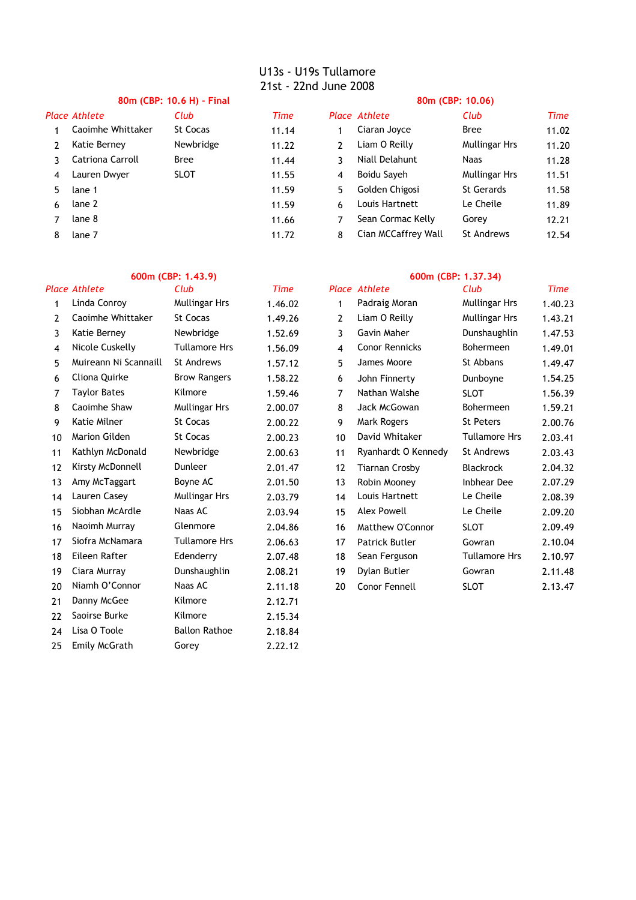# **80m (CBP: 10.6 H) - Final 80m (CBP: 10.06)**

|    | часе Атпете       | CIUD        | <i>ume</i> |    | <i>Place Athlete</i> | CUD                  |
|----|-------------------|-------------|------------|----|----------------------|----------------------|
|    | Caoimhe Whittaker | St Cocas    | 11.14      |    | Ciaran Joyce         | <b>Bree</b>          |
|    | Katie Berney      | Newbridge   | 11.22      | 2  | Liam O Reilly        | <b>Mullingar Hrs</b> |
|    | Catriona Carroll  | Bree        | 11.44      | 3  | Niall Delahunt       | Naas                 |
|    | Lauren Dwyer      | <b>SLOT</b> | 11.55      | 4  | Boidu Sayeh          | <b>Mullingar Hrs</b> |
| 5. | lane 1            |             | 11.59      | 5. | Golden Chigosi       | <b>St Gerards</b>    |
| 6  | lane 2            |             | 11.59      | 6  | Louis Hartnett       | Le Cheile            |
|    | lane 8            |             | 11.66      |    | Sean Cormac Kelly    | Gorey                |
|    | lane 7            |             | 11.72      | 8  | Cian MCCaffrey Wall  | <b>St Andrews</b>    |
|    |                   |             |            |    |                      |                      |

|    | Place Athlete     | Club        | Time  |    | Place Athlete       | Club                 | Time  |
|----|-------------------|-------------|-------|----|---------------------|----------------------|-------|
|    | Caoimhe Whittaker | St Cocas    | 11.14 |    | Ciaran Joyce        | Bree                 | 11.02 |
|    | Katie Berney      | Newbridge   | 11.22 | 2  | Liam O Reilly       | <b>Mullingar Hrs</b> | 11.20 |
|    | Catriona Carroll  | <b>Bree</b> | 11.44 | 3  | Niall Delahunt      | Naas                 | 11.28 |
| 4  | Lauren Dwyer      | <b>SLOT</b> | 11.55 | 4  | Boidu Sayeh         | <b>Mullingar Hrs</b> | 11.51 |
| 5. | lane 1            |             | 11.59 | 5. | Golden Chigosi      | <b>St Gerards</b>    | 11.58 |
| 6  | lane 2            |             | 11.59 | 6  | Louis Hartnett      | Le Cheile            | 11.89 |
|    | lane 8            |             | 11.66 |    | Sean Cormac Kelly   | Gorey                | 12.21 |
| 8  | lane 7            |             | 11.72 | 8  | Cian MCCaffrey Wall | <b>St Andrews</b>    | 12.54 |

|    | <b>Place Athlete</b>  | Club                 | Time    |                | <b>Place Athlete</b>  | Club                 | Time    |
|----|-----------------------|----------------------|---------|----------------|-----------------------|----------------------|---------|
| 1  | Linda Conroy          | <b>Mullingar Hrs</b> | 1.46.02 | 1              | Padraig Moran         | <b>Mullingar Hrs</b> | 1.40.23 |
| 2  | Caoimhe Whittaker     | St Cocas             | 1.49.26 | $\overline{2}$ | Liam O Reilly         | <b>Mullingar Hrs</b> | 1.43.21 |
| 3  | Katie Berney          | Newbridge            | 1.52.69 | 3              | Gavin Maher           | Dunshaughlin         | 1.47.53 |
| 4  | Nicole Cuskelly       | <b>Tullamore Hrs</b> | 1.56.09 | 4              | <b>Conor Rennicks</b> | Bohermeen            | 1.49.01 |
| 5  | Muireann Ni Scannaill | St Andrews           | 1.57.12 | 5              | James Moore           | St Abbans            | 1.49.47 |
| 6  | Cliona Quirke         | <b>Brow Rangers</b>  | 1.58.22 | 6              | John Finnerty         | Dunboyne             | 1.54.25 |
| 7  | <b>Taylor Bates</b>   | Kilmore              | 1.59.46 | 7              | Nathan Walshe         | <b>SLOT</b>          | 1.56.39 |
| 8  | Caoimhe Shaw          | <b>Mullingar Hrs</b> | 2.00.07 | 8              | Jack McGowan          | Bohermeen            | 1.59.21 |
| 9  | Katie Milner          | St Cocas             | 2.00.22 | 9              | Mark Rogers           | St Peters            | 2.00.76 |
| 10 | Marion Gilden         | St Cocas             | 2.00.23 | 10             | David Whitaker        | <b>Tullamore Hrs</b> | 2.03.41 |
| 11 | Kathlyn McDonald      | Newbridge            | 2.00.63 | 11             | Ryanhardt O Kennedy   | St Andrews           | 2.03.43 |
| 12 | Kirsty McDonnell      | Dunleer              | 2.01.47 | 12             | <b>Tiarnan Crosby</b> | Blackrock            | 2.04.32 |
| 13 | Amy McTaggart         | Boyne AC             | 2.01.50 | 13             | Robin Mooney          | <b>Inbhear Dee</b>   | 2.07.29 |
| 14 | Lauren Casey          | <b>Mullingar Hrs</b> | 2.03.79 | 14             | Louis Hartnett        | Le Cheile            | 2.08.39 |
| 15 | Siobhan McArdle       | Naas AC              | 2.03.94 | 15             | <b>Alex Powell</b>    | Le Cheile            | 2.09.20 |
| 16 | Naoimh Murrav         | Glenmore             | 2.04.86 | 16             | Matthew O'Connor      | <b>SLOT</b>          | 2.09.49 |
| 17 | Siofra McNamara       | <b>Tullamore Hrs</b> | 2.06.63 | 17             | Patrick Butler        | Gowran               | 2.10.04 |
| 18 | Eileen Rafter         | Edenderry            | 2.07.48 | 18             | Sean Ferguson         | <b>Tullamore Hrs</b> | 2.10.97 |
| 19 | Ciara Murray          | Dunshaughlin         | 2.08.21 | 19             | Dylan Butler          | Gowran               | 2.11.48 |
| 20 | Niamh O'Connor        | Naas AC              | 2.11.18 | 20             | Conor Fennell         | <b>SLOT</b>          | 2.13.47 |
| 21 | Danny McGee           | Kilmore              | 2.12.71 |                |                       |                      |         |
| 22 | Saoirse Burke         | Kilmore              | 2.15.34 |                |                       |                      |         |
| 24 | Lisa O Toole          | <b>Ballon Rathoe</b> | 2.18.84 |                |                       |                      |         |
| 25 | Emily McGrath         | Gorey                | 2.22.12 |                |                       |                      |         |

### **600m (CBP: 1.43.9) 600m (CBP: 1.37.34)**

| <u>c เนม</u>        | ,,,,,,  |                | <b>AURUCE</b>         | <u>c เนม</u>         | ,,,,,   |
|---------------------|---------|----------------|-----------------------|----------------------|---------|
| Mullingar Hrs       | 1.46.02 | 1              | Padraig Moran         | Mullingar Hrs        | 1.40.23 |
| <b>St Cocas</b>     | 1.49.26 | $\overline{2}$ | Liam O Reilly         | Mullingar Hrs        | 1.43.21 |
| Newbridge           | 1.52.69 | 3              | Gavin Maher           | Dunshaughlin         | 1.47.53 |
| Tullamore Hrs       | 1.56.09 | 4              | <b>Conor Rennicks</b> | Bohermeen            | 1.49.01 |
| St Andrews          | 1.57.12 | 5              | James Moore           | St Abbans            | 1.49.47 |
| <b>Brow Rangers</b> | 1.58.22 | 6              | John Finnerty         | Dunboyne             | 1.54.25 |
| Kilmore             | 1.59.46 | 7              | Nathan Walshe         | SLOT                 | 1.56.39 |
| Mullingar Hrs       | 2.00.07 | 8              | Jack McGowan          | Bohermeen            | 1.59.21 |
| St Cocas            | 2.00.22 | 9              | Mark Rogers           | <b>St Peters</b>     | 2.00.76 |
| St Cocas            | 2.00.23 | 10             | David Whitaker        | <b>Tullamore Hrs</b> | 2.03.41 |
| Newbridge           | 2.00.63 | 11             | Ryanhardt O Kennedy   | <b>St Andrews</b>    | 2.03.43 |
| Dunleer             | 2.01.47 | 12             | <b>Tiarnan Crosby</b> | Blackrock            | 2.04.32 |
| Boyne AC            | 2.01.50 | 13             | Robin Mooney          | <b>Inbhear Dee</b>   | 2.07.29 |
| Mullingar Hrs       | 2.03.79 | 14             | Louis Hartnett        | Le Cheile            | 2.08.39 |
| Naas AC             | 2.03.94 | 15             | <b>Alex Powell</b>    | Le Cheile            | 2.09.20 |
| Glenmore            | 2.04.86 | 16             | Matthew O'Connor      | <b>SLOT</b>          | 2.09.49 |
| Tullamore Hrs       | 2.06.63 | 17             | Patrick Butler        | Gowran               | 2.10.04 |
| Edenderry           | 2.07.48 | 18             | Sean Ferguson         | <b>Tullamore Hrs</b> | 2.10.97 |
| Dunshaughlin        | 2.08.21 | 19             | Dylan Butler          | Gowran               | 2.11.48 |
| Naas AC             | 2.11.18 | 20             | Conor Fennell         | <b>SLOT</b>          | 2.13.47 |
|                     |         |                |                       |                      |         |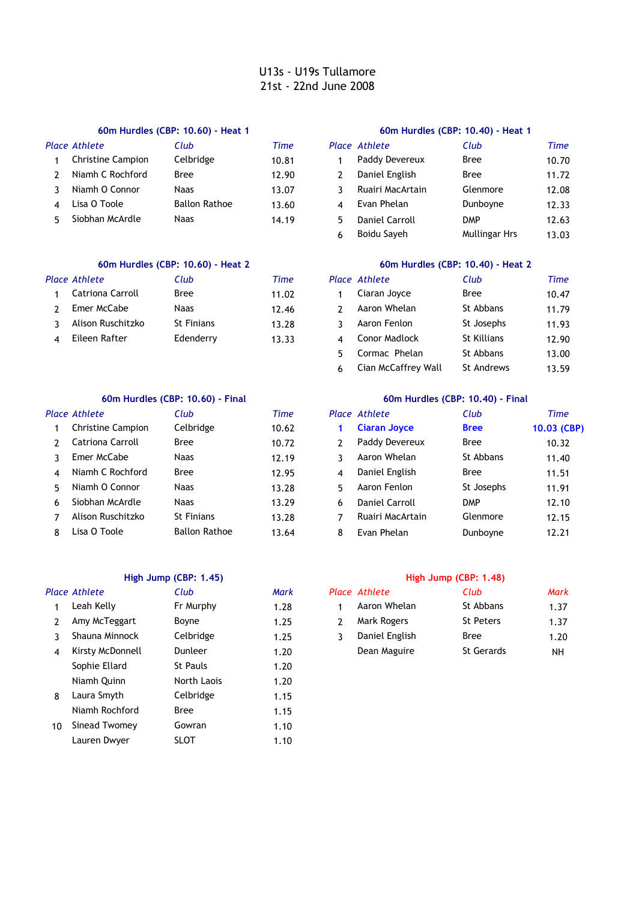### **60m Hurdles (CBP: 10.60) - Heat 1 60m Hurdles (CBP: 10.40) - Heat 1**

|   | <b>Place Athlete</b>     | Club                 | Time  | Place Athlete    | Club       | Time  |
|---|--------------------------|----------------------|-------|------------------|------------|-------|
|   | <b>Christine Campion</b> | Celbridge            | 10.81 | Paddy Devereux   | Bree       | 10.70 |
|   | Niamh C Rochford         | Bree                 | 12.90 | Daniel English   | Bree       | 11.72 |
|   | Niamh O Connor           | Naas                 | 13.07 | Ruairi MacArtain | Glenmore   | 12.08 |
| ⊿ | Lisa O Toole             | <b>Ballon Rathoe</b> | 13.60 | Evan Phelan      | Dunboyne   | 12.33 |
|   | Siobhan McArdle          | Naas                 | 14.19 | Daniel Carroll   | <b>DMP</b> | 12.63 |
|   |                          |                      |       |                  |            |       |

### **60m Hurdles (CBP: 10.60) - Heat 2 60m Hurdles (CBP: 10.40) - Heat 2**

| Place Athlete     | Club       | Time  | Place Athlete | Club               | Time  |
|-------------------|------------|-------|---------------|--------------------|-------|
| Catriona Carroll  | Bree       | 11.02 | Ciaran Joyce  | Bree               | 10.47 |
| Emer McCabe       | Naas       | 12.46 | Aaron Whelan  | St Abbans          | 11.79 |
| Alison Ruschitzko | St Finians | 13.28 | Aaron Fenlon  | St Josephs         | 11.93 |
| Eileen Rafter     | Edenderry  | 13.33 | Conor Madlock | <b>St Killians</b> | 12.90 |

### **60m Hurdles (CBP: 10.60) - Final 60m Hurdles (CBP: 10.40) - Final**

|   | Place Athlete            | Club                 | Time  |    | Place Athlete       | Club        | <b>Time</b> |
|---|--------------------------|----------------------|-------|----|---------------------|-------------|-------------|
|   | <b>Christine Campion</b> | Celbridge            | 10.62 |    | <b>Ciaran Joyce</b> | <b>Bree</b> | 10.03 $(C)$ |
|   | Catriona Carroll         | <b>Bree</b>          | 10.72 |    | Paddy Devereux      | <b>Bree</b> | 10.32       |
|   | Emer McCabe              | Naas                 | 12.19 |    | Aaron Whelan        | St Abbans   | 11.40       |
| 4 | Niamh C Rochford         | <b>Bree</b>          | 12.95 | 4  | Daniel English      | <b>Bree</b> | 11.51       |
| 5 | Niamh O Connor           | Naas                 | 13.28 | 5. | Aaron Fenlon        | St Josephs  | 11.91       |
| 6 | Siobhan McArdle          | Naas                 | 13.29 | 6  | Daniel Carroll      | <b>DMP</b>  | 12.10       |
|   | Alison Ruschitzko        | <b>St Finians</b>    | 13.28 |    | Ruairi MacArtain    | Glenmore    | 12.15       |
| 8 | Lisa O Toole             | <b>Ballon Rathoe</b> | 13.64 | 8  | Evan Phelan         | Dunboyne    | 12.21       |

### **High Jump (CBP: 1.45) High Jump (CBP: 1.48)**

|    | Place Athlete    | Club        | Mark |                | Place Athlete  | Club              | Mark |
|----|------------------|-------------|------|----------------|----------------|-------------------|------|
|    | Leah Kelly       | Fr Murphy   | 1.28 |                | Aaron Whelan   | St Abbans         | 1.37 |
| 2  | Amy McTeggart    | Boyne       | 1.25 | $\overline{2}$ | Mark Rogers    | St Peters         | 1.37 |
| 3  | Shauna Minnock   | Celbridge   | 1.25 | 3              | Daniel English | Bree              | 1.20 |
| 4  | Kirsty McDonnell | Dunleer     | 1.20 |                | Dean Maguire   | <b>St Gerards</b> | NH   |
|    | Sophie Ellard    | St Pauls    | 1.20 |                |                |                   |      |
|    | Niamh Ouinn      | North Laois | 1.20 |                |                |                   |      |
| 8  | Laura Smyth      | Celbridge   | 1.15 |                |                |                   |      |
|    | Niamh Rochford   | <b>Bree</b> | 1.15 |                |                |                   |      |
| 10 | Sinead Twomey    | Gowran      | 1.10 |                |                |                   |      |
|    | Lauren Dwyer     | <b>SLOT</b> | 1.10 |                |                |                   |      |
|    |                  |             |      |                |                |                   |      |

|                         | Place Athlete         | Club                 | Time  |
|-------------------------|-----------------------|----------------------|-------|
| 1                       | Paddy Devereux        | <b>Bree</b>          | 10.70 |
| 2                       | Daniel English        | <b>Bree</b>          | 11.72 |
| ٦                       | Ruairi MacArtain      | Glenmore             | 12.08 |
| $\overline{\mathbf{A}}$ | Evan Phelan           | Dunboyne             | 12.33 |
| 5                       | <b>Daniel Carroll</b> | <b>DMP</b>           | 12.63 |
| 6                       | Boidu Sayeh           | <b>Mullingar Hrs</b> | 13.03 |

| Club              | Time  |   | <b>Place Athlete</b> | Club               | Time  |
|-------------------|-------|---|----------------------|--------------------|-------|
| Bree              | 11.02 |   | Ciaran Joyce         | <b>Bree</b>        | 10.47 |
| Naas              | 12.46 |   | Aaron Whelan         | St Abbans          | 11.79 |
| <b>St Finians</b> | 13.28 |   | Aaron Fenlon         | St Josephs         | 11.93 |
| Edenderry         | 13.33 |   | <b>Conor Madlock</b> | <b>St Killians</b> | 12.90 |
|                   |       | 5 | Cormac Phelan        | St Abbans          | 13.00 |
|                   |       | 6 | Cian McCaffrey Wall  | <b>St Andrews</b>  | 13.59 |

|              | ace Athlete         | Club                 | Time  |    | Place Athlete       | Club        | Time        |
|--------------|---------------------|----------------------|-------|----|---------------------|-------------|-------------|
|              | 1 Christine Campion | Celbridge            | 10.62 |    | <b>Ciaran Joyce</b> | <b>Bree</b> | 10.03 (CBP) |
| 2            | Catriona Carroll    | Bree                 | 10.72 |    | Paddy Devereux      | <b>Bree</b> | 10.32       |
| $\mathbf{3}$ | Emer McCabe         | Naas                 | 12.19 |    | Aaron Whelan        | St Abbans   | 11.40       |
|              | 4 Niamh C Rochford  | Bree                 | 12.95 | 4  | Daniel English      | <b>Bree</b> | 11.51       |
|              | 5 Niamh O Connor    | Naas                 | 13.28 | 5. | Aaron Fenlon        | St Josephs  | 11.91       |
|              | 6 Siobhan McArdle   | Naas                 | 13.29 | 6  | Daniel Carroll      | <b>DMP</b>  | 12.10       |
| 7            | Alison Ruschitzko   | <b>St Finians</b>    | 13.28 |    | Ruairi MacArtain    | Glenmore    | 12.15       |
|              | 8 Lisa O Toole      | <b>Ballon Rathoe</b> | 13.64 | 8  | Evan Phelan         | Dunboyne    | 12.21       |

|                | lace Athlete   | Club              | Mark |
|----------------|----------------|-------------------|------|
| $\mathbf{1}$   | Aaron Whelan   | St Abbans         | 1.37 |
| $\overline{2}$ | Mark Rogers    | <b>St Peters</b>  | 1.37 |
| $\mathbf{3}$   | Daniel English | <b>Bree</b>       | 1.20 |
|                | Dean Maguire   | <b>St Gerards</b> | NΗ   |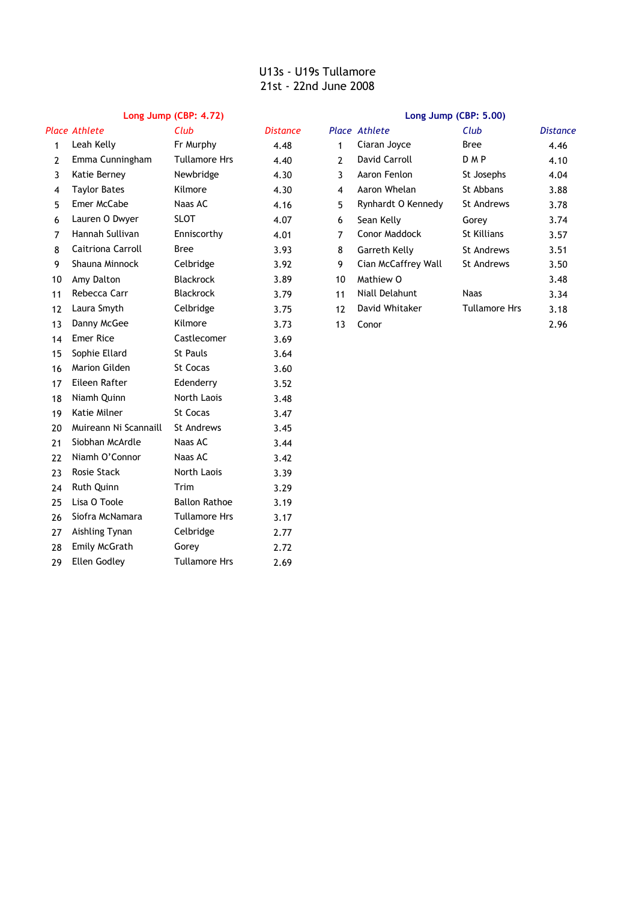### **Long Jump (CBP: 4.72) Long Jump (CBP: 5.00)**

|    | Place Athlete         | Club                 | <b>Distance</b> |                | <b>Place Athlete</b>  | Club                 | <b>Distan</b> |
|----|-----------------------|----------------------|-----------------|----------------|-----------------------|----------------------|---------------|
| 1  | Leah Kelly            | Fr Murphy            | 4.48            | 1              | Ciaran Joyce          | Bree                 | 4.46          |
| 2  | Emma Cunningham       | <b>Tullamore Hrs</b> | 4.40            | $\overline{2}$ | David Carroll         | D <sub>MP</sub>      | 4.10          |
| 3  | Katie Berney          | Newbridge            | 4.30            | 3              | Aaron Fenlon          | St Josephs           | 4.04          |
| 4  | <b>Taylor Bates</b>   | Kilmore              | 4.30            | 4              | Aaron Whelan          | St Abbans            | 3.88          |
| 5  | Emer McCabe           | Naas AC              | 4.16            | 5              | Rynhardt O Kennedy    | <b>St Andrews</b>    | 3.78          |
| 6  | Lauren O Dwyer        | <b>SLOT</b>          | 4.07            | 6              | Sean Kelly            | Gorey                | 3.74          |
| 7  | Hannah Sullivan       | Enniscorthy          | 4.01            | 7              | Conor Maddock         | <b>St Killians</b>   | 3.57          |
| 8  | Caitriona Carroll     | <b>Bree</b>          | 3.93            | 8              | Garreth Kelly         | <b>St Andrews</b>    | 3.51          |
| 9  | Shauna Minnock        | Celbridge            | 3.92            | 9              | Cian McCaffrey Wall   | <b>St Andrews</b>    | 3.50          |
| 10 | Amy Dalton            | Blackrock            | 3.89            | 10             | Mathiew O             |                      | 3.48          |
| 11 | Rebecca Carr          | <b>Blackrock</b>     | 3.79            | 11             | <b>Niall Delahunt</b> | <b>Naas</b>          | 3.34          |
| 12 | Laura Smyth           | Celbridge            | 3.75            | 12             | David Whitaker        | <b>Tullamore Hrs</b> | 3.18          |
| 13 | Danny McGee           | Kilmore              | 3.73            | 13             | Conor                 |                      | 2.96          |
| 14 | <b>Emer Rice</b>      | Castlecomer          | 3.69            |                |                       |                      |               |
| 15 | Sophie Ellard         | <b>St Pauls</b>      | 3.64            |                |                       |                      |               |
| 16 | <b>Marion Gilden</b>  | <b>St Cocas</b>      | 3.60            |                |                       |                      |               |
| 17 | Eileen Rafter         | Edenderry            | 3.52            |                |                       |                      |               |
| 18 | Niamh Quinn           | North Laois          | 3.48            |                |                       |                      |               |
| 19 | Katie Milner          | <b>St Cocas</b>      | 3.47            |                |                       |                      |               |
| 20 | Muireann Ni Scannaill | St Andrews           | 3.45            |                |                       |                      |               |
| 21 | Siobhan McArdle       | Naas AC              | 3.44            |                |                       |                      |               |
| 22 | Niamh O'Connor        | Naas AC              | 3.42            |                |                       |                      |               |
| 23 | Rosie Stack           | North Laois          | 3.39            |                |                       |                      |               |
| 24 | Ruth Quinn            | Trim                 | 3.29            |                |                       |                      |               |
| 25 | Lisa O Toole          | <b>Ballon Rathoe</b> | 3.19            |                |                       |                      |               |
| 26 | Siofra McNamara       | <b>Tullamore Hrs</b> | 3.17            |                |                       |                      |               |
| 27 | Aishling Tynan        | Celbridge            | 2.77            |                |                       |                      |               |
| 28 | Emily McGrath         | Gorey                | 2.72            |                |                       |                      |               |
| 29 | <b>Ellen Godley</b>   | <b>Tullamore Hrs</b> | 2.69            |                |                       |                      |               |

|    | Place Athlete       | Club             | Distance |                | Place Athlete        | Club                 | <b>Distance</b> |
|----|---------------------|------------------|----------|----------------|----------------------|----------------------|-----------------|
| 1  | Leah Kelly          | Fr Murphy        | 4.48     |                | Ciaran Joyce         | Bree                 | 4.46            |
| 2  | Emma Cunningham     | Tullamore Hrs    | 4.40     | $\overline{2}$ | David Carroll        | <b>DMP</b>           | 4.10            |
| 3  | Katie Berney        | Newbridge        | 4.30     | 3              | Aaron Fenlon         | St Josephs           | 4.04            |
| 4  | <b>Taylor Bates</b> | Kilmore          | 4.30     | 4              | Aaron Whelan         | St Abbans            | 3.88            |
| 5  | Emer McCabe         | Naas AC          | 4.16     | 5              | Rynhardt O Kennedy   | St Andrews           | 3.78            |
| 6  | Lauren O Dwyer      | <b>SLOT</b>      | 4.07     | 6              | Sean Kelly           | Gorey                | 3.74            |
| 7  | Hannah Sullivan     | Enniscorthy      | 4.01     | 7              | <b>Conor Maddock</b> | St Killians          | 3.57            |
| 8  | Caitriona Carroll   | Bree             | 3.93     | 8              | Garreth Kelly        | St Andrews           | 3.51            |
| 9  | Shauna Minnock      | Celbridge        | 3.92     | 9              | Cian McCaffrey Wall  | St Andrews           | 3.50            |
| 10 | Amy Dalton          | <b>Blackrock</b> | 3.89     | 10             | Mathiew O            |                      | 3.48            |
| 11 | Rebecca Carr        | <b>Blackrock</b> | 3.79     | 11             | Niall Delahunt       | Naas                 | 3.34            |
| 12 | Laura Smyth         | Celbridge        | 3.75     | 12             | David Whitaker       | <b>Tullamore Hrs</b> | 3.18            |
| 13 | Danny McGee         | Kilmore          | 3.73     | 13             | Conor                |                      | 2.96            |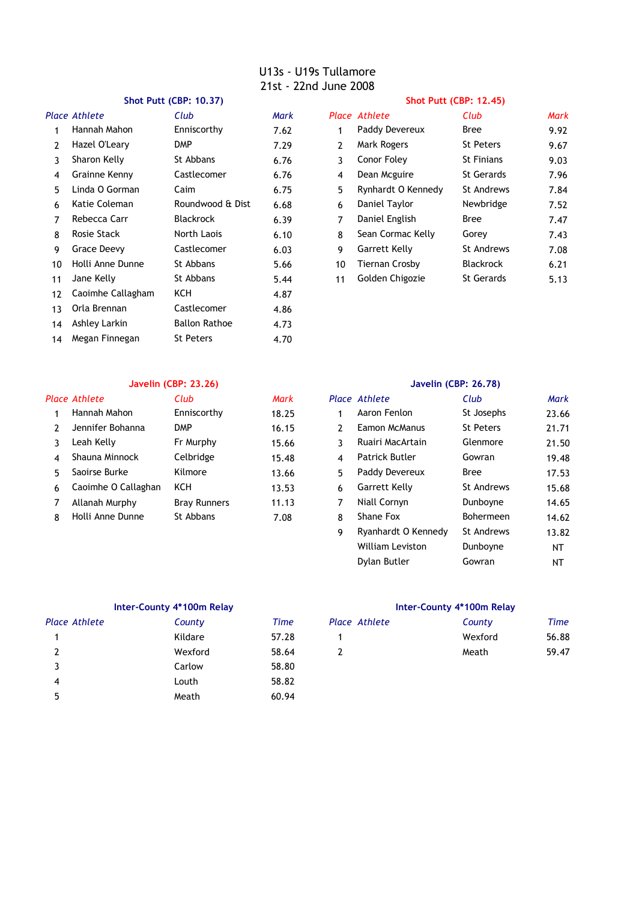### **Shot Putt (CBP: 10.37) Shot Putt (CBP: 12.45)**

|    | Place Athlete     | Club                 | Mark |                | Place Athlete      | Club              | Mark |
|----|-------------------|----------------------|------|----------------|--------------------|-------------------|------|
|    | Hannah Mahon      | Enniscorthy          | 7.62 | 1              | Paddy Devereux     | Bree              | 9.92 |
| 2  | Hazel O'Leary     | <b>DMP</b>           | 7.29 | $\overline{2}$ | Mark Rogers        | St Peters         | 9.67 |
| 3  | Sharon Kelly      | St Abbans            | 6.76 | 3              | Conor Foley        | <b>St Finians</b> | 9.03 |
| 4  | Grainne Kenny     | Castlecomer          | 6.76 | 4              | Dean Mcguire       | <b>St Gerards</b> | 7.96 |
| 5  | Linda O Gorman    | Caim                 | 6.75 | 5              | Rynhardt O Kennedy | St Andrews        | 7.84 |
| 6  | Katie Coleman     | Roundwood & Dist     | 6.68 | 6              | Daniel Taylor      | Newbridge         | 7.52 |
| 7  | Rebecca Carr      | <b>Blackrock</b>     | 6.39 | 7              | Daniel English     | Bree              | 7.47 |
| 8  | Rosie Stack       | North Laois          | 6.10 | 8              | Sean Cormac Kelly  | Gorey             | 7.43 |
| 9  | Grace Deevy       | Castlecomer          | 6.03 | 9              | Garrett Kelly      | St Andrews        | 7.08 |
| 10 | Holli Anne Dunne  | St Abbans            | 5.66 | 10             | Tiernan Crosby     | <b>Blackrock</b>  | 6.21 |
| 11 | Jane Kelly        | St Abbans            | 5.44 | 11             | Golden Chigozie    | <b>St Gerards</b> | 5.13 |
| 12 | Caoimhe Callagham | ксн                  | 4.87 |                |                    |                   |      |
| 13 | Orla Brennan      | Castlecomer          | 4.86 |                |                    |                   |      |
| 14 | Ashley Larkin     | <b>Ballon Rathoe</b> | 4.73 |                |                    |                   |      |
| 14 | Megan Finnegan    | <b>St Peters</b>     | 4.70 |                |                    |                   |      |
|    |                   |                      |      |                |                    |                   |      |

| Club             | Mark |    | Place Athlete        | Club              | <b>Mark</b> |
|------------------|------|----|----------------------|-------------------|-------------|
| Enniscorthy      | 7.62 | 1  | Paddy Devereux       | Bree              | 9.92        |
| DMP              | 7.29 | 2  | Mark Rogers          | <b>St Peters</b>  | 9.67        |
| St Abbans        | 6.76 | 3  | Conor Foley          | <b>St Finians</b> | 9.03        |
| Castlecomer      | 6.76 | 4  | Dean Mcguire         | St Gerards        | 7.96        |
| Caim             | 6.75 | 5  | Rynhardt O Kennedy   | <b>St Andrews</b> | 7.84        |
| Roundwood & Dist | 6.68 | 6  | Daniel Taylor        | Newbridge         | 7.52        |
| <b>Blackrock</b> | 6.39 | 7  | Daniel English       | Bree              | 7.47        |
| North Laois      | 6.10 | 8  | Sean Cormac Kelly    | Gorey             | 7.43        |
| Castlecomer      | 6.03 | 9  | <b>Garrett Kelly</b> | <b>St Andrews</b> | 7.08        |
| St Abbans        | 5.66 | 10 | Tiernan Crosby       | Blackrock         | 6.21        |
| St Abbans        | 5.44 | 11 | Golden Chigozie      | <b>St Gerards</b> | 5.13        |

### **Javelin (CBP: 23.26) Javelin (CBP: 26.78)**

|   | Place Athlete       | Club                | Mark  |    | Place Athlete         | Club             | Mark  |
|---|---------------------|---------------------|-------|----|-----------------------|------------------|-------|
|   | Hannah Mahon        | Enniscorthy         | 18.25 |    | Aaron Fenlon          | St Josephs       | 23.66 |
|   | Jennifer Bohanna    | DMP                 | 16.15 |    | Eamon McManus         | <b>St Peters</b> | 21.71 |
|   | Leah Kelly          | Fr Murphy           | 15.66 |    | Ruairi MacArtain      | Glenmore         | 21.50 |
| 4 | Shauna Minnock      | Celbridge           | 15.48 | 4  | <b>Patrick Butler</b> | Gowran           | 19.48 |
| 5 | Saoirse Burke       | Kilmore             | 13.66 | 5. | Paddy Devereux        | <b>Bree</b>      | 17.53 |
| 6 | Caoimhe O Callaghan | <b>KCH</b>          | 13.53 | 6  | Garrett Kelly         | St Andrews       | 15.68 |
|   | Allanah Murphy      | <b>Bray Runners</b> | 11.13 |    | Niall Cornyn          | Dunboyne         | 14.65 |
| 8 | Holli Anne Dunne    | St Abbans           | 7.08  | 8  | Shane Fox             | Bohermeen        | 14.62 |

|   | Place Athlete           | Club              | Mark  |
|---|-------------------------|-------------------|-------|
| 1 | Aaron Fenlon            | St Josephs        | 23.66 |
| 2 | Eamon McManus           | <b>St Peters</b>  | 21.71 |
| 3 | Ruairi MacArtain        | Glenmore          | 21.50 |
| 4 | Patrick Butler          | Gowran            | 19.48 |
| 5 | Paddy Devereux          | <b>Bree</b>       | 17.53 |
| 6 | <b>Garrett Kelly</b>    | <b>St Andrews</b> | 15.68 |
| 7 | Niall Cornyn            | Dunboyne          | 14.65 |
| 8 | Shane Fox               | Bohermeen         | 14.62 |
| 9 | Ryanhardt O Kennedy     | <b>St Andrews</b> | 13.82 |
|   | <b>William Leviston</b> | Dunboyne          | NΤ    |
|   | Dylan Butler            | Gowran            | NΤ    |

| Place Athlete | County  | Time  | Place Athlete | County  | Time  |
|---------------|---------|-------|---------------|---------|-------|
|               | Kildare | 57.28 |               | Wexford | 56.88 |
| 2             | Wexford | 58.64 |               | Meath   | 59.47 |
|               | Carlow  | 58.80 |               |         |       |
| 4             | Louth   | 58.82 |               |         |       |
| 5             | Meath   | 60.94 |               |         |       |

### **Inter-County 4\*100m Relay Inter-County 4\*100m Relay**

| ace Athlete | County  | Time  | Place Athlete | County  | Time  |
|-------------|---------|-------|---------------|---------|-------|
|             | Kildare | 57.28 |               | Wexford | 56.88 |
|             | Wexford | 58.64 |               | Meath   | 59.47 |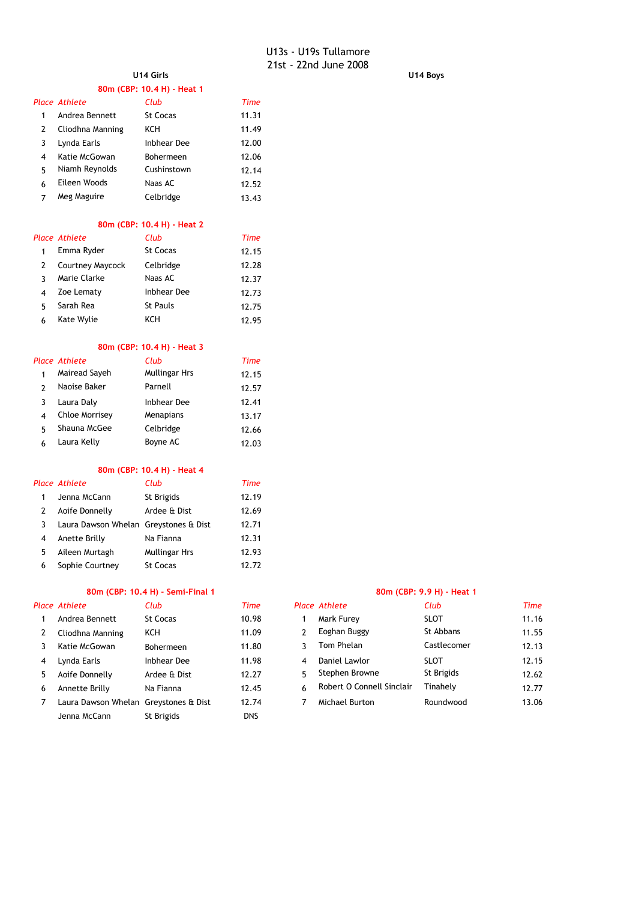**U14 Girls U14 Boys**

|                |                                       | 80m (CBP: 10.4 H) - Heat 1       |             |              |                      |                           |             |
|----------------|---------------------------------------|----------------------------------|-------------|--------------|----------------------|---------------------------|-------------|
|                | Place Athlete                         | Club                             | <b>Time</b> |              |                      |                           |             |
| 1              | Andrea Bennett                        | <b>St Cocas</b>                  | 11.31       |              |                      |                           |             |
| 2              | Cliodhna Manning                      | KCH                              | 11.49       |              |                      |                           |             |
| 3              | Lynda Earls                           | <b>Inbhear Dee</b>               | 12.00       |              |                      |                           |             |
| 4              | Katie McGowan                         | Bohermeen                        | 12.06       |              |                      |                           |             |
| 5              | Niamh Reynolds                        | Cushinstown                      | 12.14       |              |                      |                           |             |
| 6              | Eileen Woods                          | Naas AC                          | 12.52       |              |                      |                           |             |
| 7              | Meg Maguire                           | Celbridge                        | 13.43       |              |                      |                           |             |
|                |                                       | 80m (CBP: 10.4 H) - Heat 2       |             |              |                      |                           |             |
|                | <b>Place Athlete</b>                  | Club                             | <b>Time</b> |              |                      |                           |             |
| $\mathbf{1}$   | Emma Ryder                            | St Cocas                         | 12.15       |              |                      |                           |             |
| 2              | Courtney Maycock                      | Celbridge                        | 12.28       |              |                      |                           |             |
| 3              | Marie Clarke                          | Naas AC                          | 12.37       |              |                      |                           |             |
| 4              | Zoe Lematy                            | <b>Inbhear Dee</b>               | 12.73       |              |                      |                           |             |
| 5              | Sarah Rea                             | St Pauls                         | 12.75       |              |                      |                           |             |
| 6              | Kate Wylie                            | KCH                              | 12.95       |              |                      |                           |             |
|                |                                       | 80m (CBP: 10.4 H) - Heat 3       |             |              |                      |                           |             |
|                | Place Athlete                         | Club                             | <b>Time</b> |              |                      |                           |             |
| 1              | Mairead Sayeh                         | <b>Mullingar Hrs</b>             | 12.15       |              |                      |                           |             |
| $\overline{2}$ | Naoise Baker                          | Parnell                          | 12.57       |              |                      |                           |             |
| 3              | Laura Daly                            | <b>Inbhear Dee</b>               | 12.41       |              |                      |                           |             |
| 4              | Chloe Morrisey                        | Menapians                        | 13.17       |              |                      |                           |             |
| 5              | Shauna McGee                          | Celbridge                        | 12.66       |              |                      |                           |             |
| 6              | Laura Kelly                           | Boyne AC                         | 12.03       |              |                      |                           |             |
|                |                                       | 80m (CBP: 10.4 H) - Heat 4       |             |              |                      |                           |             |
|                | Place Athlete                         | Club                             | <b>Time</b> |              |                      |                           |             |
| 1              | Jenna McCann                          | St Brigids                       | 12.19       |              |                      |                           |             |
| 2              | Aoife Donnelly                        | Ardee & Dist                     | 12.69       |              |                      |                           |             |
| 3              | Laura Dawson Whelan Greystones & Dist |                                  | 12.71       |              |                      |                           |             |
| 4              | Anette Brilly                         | Na Fianna                        | 12.31       |              |                      |                           |             |
| 5              | Aileen Murtagh                        | <b>Mullingar Hrs</b>             | 12.93       |              |                      |                           |             |
| 6              | Sophie Courtney                       | St Cocas                         | 12.72       |              |                      |                           |             |
|                |                                       | 80m (CBP: 10.4 H) - Semi-Final 1 |             |              |                      | 80m (CBP: 9.9 H) - Heat 1 |             |
|                | Place Athlete                         | Club                             | <b>Time</b> |              | <b>Place Athlete</b> | Club                      | <b>Time</b> |
| 1              | Andrea Bennett                        | St Cocas                         | 10.98       | $\mathbf{1}$ | Mark Furey           | <b>SLOT</b>               | 11.16       |
| 2              | Cliodhna Manning                      | KCH                              | 11.09       | 2            | Eoghan Buggy         | St Abbans                 | 11.55       |
| 3              | Katie McGowan                         | Bohermeen                        | 11.80       | 3            | Tom Phelan           | Castlecomer               | 12.13       |
| 4              | Lynda Earls                           | <b>Inbhear Dee</b>               | 11.98       | 4            | Daniel Lawlor        | <b>SLOT</b>               | 12.15       |

| Katie McGowan                         | <b>Bonermeen</b> | 11.80      |    | TUIT FIICIAIT             | Casuecol    |
|---------------------------------------|------------------|------------|----|---------------------------|-------------|
| Lynda Earls                           | Inbhear Dee      | 11.98      | 4  | Daniel Lawlor             | <b>SLOT</b> |
| Aoife Donnelly                        | Ardee & Dist     | 12.27      | г. | Stephen Browne            | St Brigids  |
| Annette Brilly                        | Na Fianna        | 12.45      | 6. | Robert O Connell Sinclair | Tinahely    |
| Laura Dawson Whelan Greystones & Dist |                  | 12.74      |    | Michael Burton            | Roundwo     |
| Jenna McCann                          | St Brigids       | <b>DNS</b> |    |                           |             |
|                                       |                  |            |    |                           |             |

# *Place Athlete Club Time Place Athlete Club Time*

|   | 2 Cliodhna Manning                    | KCH              | 11.09 | Eoghan Buggy              | St Abbans   | 11.55 |
|---|---------------------------------------|------------------|-------|---------------------------|-------------|-------|
| 3 | Katie McGowan                         | <b>Bohermeen</b> | 11.80 | Tom Phelan                | Castlecomer | 12.13 |
| 4 | Lynda Earls                           | Inbhear Dee      | 11.98 | Daniel Lawlor             | <b>SLOT</b> | 12.15 |
|   | 5 Aoife Donnelly                      | Ardee & Dist     | 12.27 | Stephen Browne            | St Brigids  | 12.62 |
| 6 | Annette Brilly                        | Na Fianna        | 12.45 | Robert O Connell Sinclair | Tinahelv    | 12.77 |
|   | Laura Dawson Whelan Greystones & Dist |                  | 12.74 | Michael Burton            | Roundwood   | 13.06 |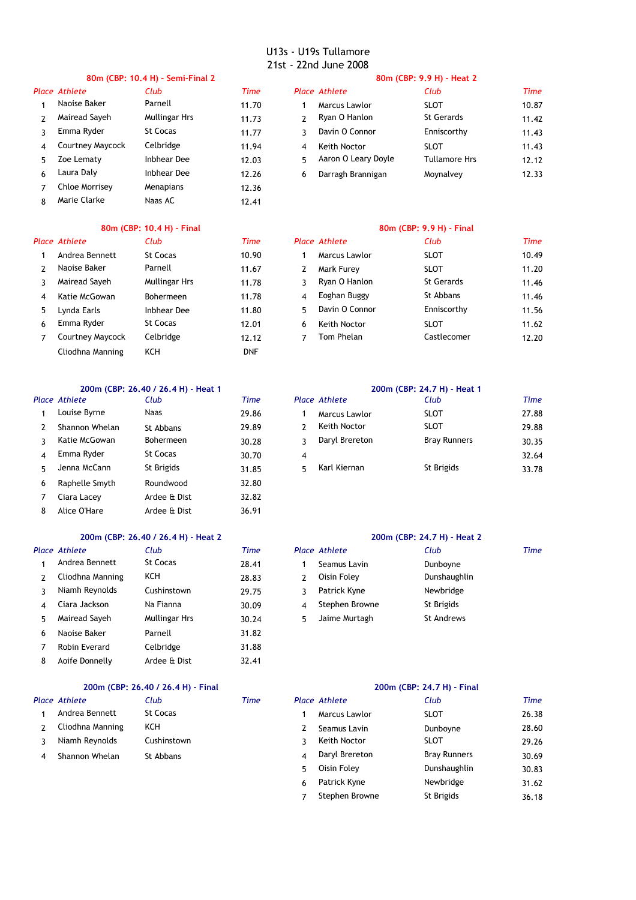# *Place Athlete Club Time Place Athlete Club Time*

7 12.36 Chloe Morrisey Menapians 8 Marie Clarke Naas AC 12.41

Naas AC

## **80m (CBP: 10.4 H) - Semi-Final 2 80m (CBP: 9.9 H) - Heat 2**

|    | ace Athlete      | Club                 | Time  |   | Place Athlete       | Club                 | Time  |
|----|------------------|----------------------|-------|---|---------------------|----------------------|-------|
|    | Naoise Baker     | Parnell              | 11.70 |   | Marcus Lawlor       | <b>SLOT</b>          | 10.87 |
|    | Mairead Sayeh    | <b>Mullingar Hrs</b> | 11.73 |   | Ryan O Hanlon       | St Gerards           | 11.42 |
|    | Emma Ryder       | St Cocas             | 11.77 |   | Davin O Connor      | Enniscorthy          | 11.43 |
| 4  | Courtney Maycock | Celbridge            | 11.94 | 4 | Keith Noctor        | <b>SLOT</b>          | 11.43 |
| 5. | Zoe Lematy       | Inbhear Dee          | 12.03 |   | Aaron O Leary Doyle | <b>Tullamore Hrs</b> | 12.12 |
| 6. | Laura Daly       | Inbhear Dee          | 12.26 | 6 | Darragh Brannigan   | Moynalvey            | 12.33 |
|    |                  |                      |       |   |                     |                      |       |

# **80m (CBP: 10.4 H) - Final 80m (CBP: 9.9 H) - Final**

|               | Place Athlete    | Club             | Time       |    | Place Athlete  | Club              |
|---------------|------------------|------------------|------------|----|----------------|-------------------|
|               | Andrea Bennett   | St Cocas         | 10.90      | 1  | Marcus Lawlor  | <b>SLOT</b>       |
| $\mathcal{P}$ | Naoise Baker     | Parnell          | 11.67      | 2  | Mark Furey     | <b>SLOT</b>       |
|               | Mairead Sayeh    | Mullingar Hrs    | 11.78      | 3. | Ryan O Hanlon  | <b>St Gerards</b> |
| 4             | Katie McGowan    | <b>Bohermeen</b> | 11.78      | 4  | Eoghan Buggy   | St Abbans         |
| 5.            | Lynda Earls      | Inbhear Dee      | 11.80      | 5. | Davin O Connor | Enniscorthy       |
| 6             | Emma Ryder       | St Cocas         | 12.01      | 6  | Keith Noctor   | <b>SLOT</b>       |
|               | Courtney Maycock | Celbridge        | 12.12      | 7  | Tom Phelan     | Castlecomer       |
|               | Cliodhna Manning | KCH              | <b>DNF</b> |    |                |                   |

### **200m (CBP: 26.40 / 26.4 H) - Heat 1 200m (CBP: 24.7 H) - Heat 1**

|    | lace Athlete   | Club             | Time  |    | <b>Place Athlete</b> | Club             |
|----|----------------|------------------|-------|----|----------------------|------------------|
| 1  | Louise Byrne   | Naas             | 29.86 |    | Marcus Lawlor        | <b>SLOT</b>      |
| 2  | Shannon Whelan | St Abbans        | 29.89 |    | Keith Noctor         | <b>SLOT</b>      |
| ર  | Katie McGowan  | <b>Bohermeen</b> | 30.28 | ٦  | Daryl Brereton       | <b>Bray Runi</b> |
| 4  | Emma Ryder     | <b>St Cocas</b>  | 30.70 | 4  |                      |                  |
| 5. | Jenna McCann   | St Brigids       | 31.85 | 5. | Karl Kiernan         | St Brigids       |
| 6  | Raphelle Smyth | Roundwood        | 32.80 |    |                      |                  |
| 7  | Ciara Lacey    | Ardee & Dist     | 32.82 |    |                      |                  |
| 8  | Alice O'Hare   | Ardee & Dist     | 36.91 |    |                      |                  |

### **200m (CBP: 26.40 / 26.4 H) - Heat 2 200m (CBP: 24.7 H) - Heat 2**

|               | lace Athlete     | Club          | Time  |               | <b>Place Athlete</b> | Club              |
|---------------|------------------|---------------|-------|---------------|----------------------|-------------------|
| 1             | Andrea Bennett   | St Cocas      | 28.41 |               | Seamus Lavin         | Dunboyne          |
| $\mathcal{L}$ | Cliodhna Manning | KCH           | 28.83 | $\mathcal{P}$ | Oisin Foley          | Dunshaughlin      |
| 3             | Niamh Reynolds   | Cushinstown   | 29.75 | 3             | Patrick Kyne         | Newbridge         |
| 4             | Ciara Jackson    | Na Fianna     | 30.09 | 4             | Stephen Browne       | St Brigids        |
| 5.            | Mairead Sayeh    | Mullingar Hrs | 30.24 | 5.            | Jaime Murtagh        | <b>St Andrews</b> |
| 6             | Naoise Baker     | Parnell       | 31.82 |               |                      |                   |
| 7             | Robin Everard    | Celbridge     | 31.88 |               |                      |                   |
| 8             | Aoife Donnelly   | Ardee & Dist  | 32.41 |               |                      |                   |

# **200m (CBP: 26.40 / 26.4 H) - Final 200m (CBP: 24.7 H) - Final**

|                | lace Athlete     | Club        | Time | Place Athlete  | Club             |
|----------------|------------------|-------------|------|----------------|------------------|
| $\mathbf{1}$   | Andrea Bennett   | St Cocas    |      | Marcus Lawlor  | <b>SLOT</b>      |
| $\overline{2}$ | Cliodhna Manning | KCH         |      | Seamus Lavin   | Dunboyne         |
| $\mathcal{R}$  | Niamh Reynolds   | Cushinstown |      | Keith Noctor   | <b>SLOT</b>      |
|                | 4 Shannon Whelan | St Abbans   |      | Daryl Brereton | <b>Bray Runn</b> |

|    | Place Athlete           | Club             | Time  |   | Place Athlete  | Club              | Time  |
|----|-------------------------|------------------|-------|---|----------------|-------------------|-------|
|    | Andrea Bennett          | St Cocas         | 10.90 |   | Marcus Lawlor  | <b>SLOT</b>       | 10.49 |
|    | Naoise Baker            | Parnell          | 11.67 |   | Mark Furey     | <b>SLOT</b>       | 11.20 |
|    | Mairead Sayeh           | Mullingar Hrs    | 11.78 |   | Ryan O Hanlon  | <b>St Gerards</b> | 11.46 |
| 4  | Katie McGowan           | <b>Bohermeen</b> | 11.78 | 4 | Eoghan Buggy   | St Abbans         | 11.46 |
| 5. | Lynda Earls             | Inbhear Dee      | 11.80 | 5 | Davin O Connor | Enniscorthy       | 11.56 |
| 6  | Emma Ryder              | St Cocas         | 12.01 | 6 | Keith Noctor   | <b>SLOT</b>       | 11.62 |
|    | <b>Courtney Maycock</b> | Celbridge        | 12.12 |   | Tom Phelan     | Castlecomer       | 12.20 |
|    |                         |                  |       |   |                |                   |       |

| Place Athlete  | Club             | Time  |   | Place Athlete  | Club                | Time  |
|----------------|------------------|-------|---|----------------|---------------------|-------|
| Louise Byrne   | <b>Naas</b>      | 29.86 |   | Marcus Lawlor  | <b>SLOT</b>         | 27.88 |
| Shannon Whelan | St Abbans        | 29.89 |   | Keith Noctor   | SLOT                | 29.88 |
| Katie McGowan  | <b>Bohermeen</b> | 30.28 |   | Daryl Brereton | <b>Bray Runners</b> | 30.35 |
| Emma Ryder     | St Cocas         | 30.70 |   |                |                     | 32.64 |
| Jenna McCann   | St Brigids       | 31.85 | 5 | Karl Kiernan   | St Brigids          | 33.78 |
|                |                  |       |   |                |                     |       |

| Place Athlete    | Club          | Time  | Place Athlete  | Club         | Time |
|------------------|---------------|-------|----------------|--------------|------|
| Andrea Bennett   | St Cocas      | 28.41 | Seamus Lavin   | Dunboyne     |      |
| Cliodhna Manning | KCH           | 28.83 | Oisin Foley    | Dunshaughlin |      |
| Niamh Reynolds   | Cushinstown   | 29.75 | Patrick Kyne   | Newbridge    |      |
| Ciara Jackson    | Na Fianna     | 30.09 | Stephen Browne | St Brigids   |      |
| Mairead Sayeh    | Mullingar Hrs | 30.24 | Jaime Murtagh  | St Andrews   |      |

|   | <b>Place Athlete</b> | Club        | <b>Time</b> |    | <b>Place Athlete</b> | Club                | <b>Time</b> |
|---|----------------------|-------------|-------------|----|----------------------|---------------------|-------------|
|   | Andrea Bennett       | St Cocas    |             |    | Marcus Lawlor        | <b>SLOT</b>         | 26.38       |
|   | Cliodhna Manning     | <b>KCH</b>  |             |    | Seamus Lavin         | Dunboyne            | 28.60       |
|   | Niamh Reynolds       | Cushinstown |             |    | Keith Noctor         | <b>SLOT</b>         | 29.26       |
| 4 | Shannon Whelan       | St Abbans   |             | 4  | Daryl Brereton       | <b>Bray Runners</b> | 30.69       |
|   |                      |             |             | 5. | Oisin Folev          | Dunshaughlin        | 30.83       |
|   |                      |             |             | 6  | Patrick Kyne         | Newbridge           | 31.62       |
|   |                      |             |             |    | Stephen Browne       | St Brigids          | 36.18       |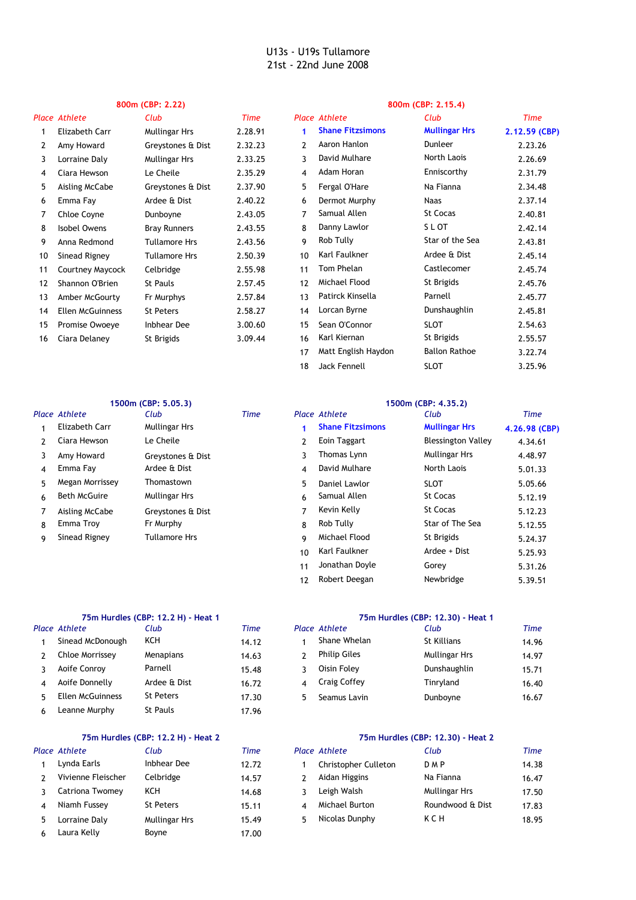# **800m (CBP: 2.22) 800m (CBP: 2.15.4)**

18 SLOT 3.25.96 Jack Fennell

|    | <b>Place Athlete</b>    | Club                 | <b>Time</b> |    | Place Athlete           | Club                 | <b>Time</b>   |
|----|-------------------------|----------------------|-------------|----|-------------------------|----------------------|---------------|
|    | Elizabeth Carr          | <b>Mullingar Hrs</b> | 2.28.91     | 1  | <b>Shane Fitzsimons</b> | <b>Mullingar Hrs</b> | 2.12.59 (CBP) |
| 2  | Amy Howard              | Greystones & Dist    | 2.32.23     | 2  | Aaron Hanlon            | Dunleer              | 2.23.26       |
| 3  | Lorraine Daly           | <b>Mullingar Hrs</b> | 2.33.25     | 3  | David Mulhare           | North Laois          | 2.26.69       |
| 4  | Ciara Hewson            | Le Cheile            | 2.35.29     | 4  | Adam Horan              | Enniscorthy          | 2.31.79       |
| 5  | Aisling McCabe          | Greystones & Dist    | 2.37.90     | 5  | Fergal O'Hare           | Na Fianna            | 2.34.48       |
| 6  | Emma Fay                | Ardee & Dist         | 2.40.22     | 6  | Dermot Murphy           | <b>Naas</b>          | 2.37.14       |
| 7  | Chloe Coyne             | Dunboyne             | 2.43.05     | 7  | Samual Allen            | <b>St Cocas</b>      | 2.40.81       |
| 8  | Isobel Owens            | <b>Bray Runners</b>  | 2.43.55     | 8  | Danny Lawlor            | S L OT               | 2.42.14       |
| 9  | Anna Redmond            | <b>Tullamore Hrs</b> | 2.43.56     | 9  | Rob Tully               | Star of the Sea      | 2.43.81       |
| 10 | Sinead Rigney           | <b>Tullamore Hrs</b> | 2.50.39     | 10 | Karl Faulkner           | Ardee & Dist         | 2.45.14       |
| 11 | Courtney Maycock        | Celbridge            | 2.55.98     | 11 | Tom Phelan              | Castlecomer          | 2.45.74       |
| 12 | Shannon O'Brien         | <b>St Pauls</b>      | 2.57.45     | 12 | Michael Flood           | St Brigids           | 2.45.76       |
| 13 | Amber McGourty          | Fr Murphys           | 2.57.84     | 13 | Patirck Kinsella        | Parnell              | 2.45.77       |
| 14 | <b>Ellen McGuinness</b> | <b>St Peters</b>     | 2.58.27     | 14 | Lorcan Byrne            | Dunshaughlin         | 2.45.81       |
| 15 | Promise Owoeye          | <b>Inbhear Dee</b>   | 3.00.60     | 15 | Sean O'Connor           | <b>SLOT</b>          | 2.54.63       |
| 16 | Ciara Delaney           | St Brigids           | 3.09.44     | 16 | Karl Kiernan            | St Brigids           | 2.55.57       |
|    |                         |                      |             | 17 | Matt English Haydon     | <b>Ballon Rathoe</b> | 3.22.74       |

# **1500m (CBP: 5.05.3) 1500m (CBP: 4.35.2)**

|    | Place Athlete       | Club                 | <b>Time</b> |               | Place Athlete           | Club                      | <b>Time</b>   |
|----|---------------------|----------------------|-------------|---------------|-------------------------|---------------------------|---------------|
|    | Elizabeth Carr      | <b>Mullingar Hrs</b> |             |               | <b>Shane Fitzsimons</b> | <b>Mullingar Hrs</b>      | 4.26.98 (CBP) |
| 2  | Ciara Hewson        | Le Cheile            |             | $\mathcal{P}$ | <b>Eoin Taggart</b>     | <b>Blessington Valley</b> | 4.34.61       |
| 3  | Amy Howard          | Greystones & Dist    |             | 3             | Thomas Lynn             | <b>Mullingar Hrs</b>      | 4.48.97       |
| 4  | Emma Fay            | Ardee & Dist         |             | 4             | David Mulhare           | North Laois               | 5.01.33       |
| 5. | Megan Morrissey     | Thomastown           |             | 5             | Daniel Lawlor           | <b>SLOT</b>               | 5.05.66       |
| 6  | <b>Beth McGuire</b> | <b>Mullingar Hrs</b> |             | 6             | Samual Allen            | St Cocas                  | 5.12.19       |
|    | Aisling McCabe      | Greystones & Dist    |             | 7             | Kevin Kelly             | St Cocas                  | 5.12.23       |
| 8  | Emma Troy           | Fr Murphy            |             | 8             | Rob Tully               | Star of The Sea           | 5.12.55       |
| 9  | Sinead Rigney       | <b>Tullamore Hrs</b> |             | 9             | Michael Flood           | St Brigids                | 5.24.37       |
|    |                     |                      |             | 10            | Karl Faulkner           | Ardee + Dist              | 5.25.93       |
|    |                     |                      |             | 11            | Jonathan Doyle          | Gorey                     | 5.31.26       |

| Place Athlete    | Club             | Time  |                | Place Athlete       | Club               |
|------------------|------------------|-------|----------------|---------------------|--------------------|
| Sinead McDonough | KCH              | 14.12 |                | Shane Whelan        | <b>St Killians</b> |
| Chloe Morrissey  | Menapians        | 14.63 |                | <b>Philip Giles</b> | Mullingar Hrs      |
| Aoife Conroy     | Parnell          | 15.48 | २              | Oisin Foley         | Dunshaughlin       |
| Aoife Donnelly   | Ardee & Dist     | 16.72 | $\overline{4}$ | Craig Coffey        | Tinryland          |
| Ellen McGuinness | <b>St Peters</b> | 17.30 | 5.             | Seamus Lavin        | Dunboyne           |
| Leanne Murphy    | St Pauls         | 17.96 |                |                     |                    |
|                  |                  |       |                |                     |                    |

## **75m Hurdles (CBP: 12.2 H) - Heat 2 75m Hurdles (CBP: 12.30) - Heat 2**

|               | Place Athlete      | Club               | <b>Time</b> |    | Place Athlete               | Club             |
|---------------|--------------------|--------------------|-------------|----|-----------------------------|------------------|
|               | Lynda Earls        | <b>Inbhear Dee</b> | 12.72       |    | <b>Christopher Culleton</b> | <b>DMP</b>       |
| $\mathcal{L}$ | Vivienne Fleischer | Celbridge          | 14.57       |    | Aidan Higgins               | Na Fianna        |
|               | Catriona Twomey    | KCH                | 14.68       |    | Leigh Walsh                 | Mullingar Hrs    |
| 4             | Niamh Fussey       | <b>St Peters</b>   | 15.11       | 4  | Michael Burton              | Roundwood & Dist |
| 5.            | Lorraine Daly      | Mullingar Hrs      | 15.49       | 5. | Nicolas Dunphy              | KCH              |
|               | Laura Kelly        | Boyne              | 17.00       |    |                             |                  |

12 5.39.51 Robert Deegan Newbridge

|                         | 75m Hurdles (CBP: 12.2 H) - Heat 1 |       | 75m Hurdles (CBP: 12,30) - Heat 1 |                      |                      |       |  |  |
|-------------------------|------------------------------------|-------|-----------------------------------|----------------------|----------------------|-------|--|--|
| Place Athlete           | Club                               | Time  |                                   | <b>Place Athlete</b> | Club                 | Time  |  |  |
| Sinead McDonough        | KCH                                | 14.12 |                                   | Shane Whelan         | St Killians          | 14.96 |  |  |
| Chloe Morrissey         | <b>Menapians</b>                   | 14.63 |                                   | <b>Philip Giles</b>  | <b>Mullingar Hrs</b> | 14.97 |  |  |
| Aoife Conroy            | Parnell                            | 15.48 |                                   | Oisin Folev          | Dunshaughlin         | 15.71 |  |  |
| Aoife Donnelly          | Ardee & Dist                       | 16.72 |                                   | <b>Craig Coffey</b>  | Tinryland            | 16.40 |  |  |
| <b>Ellen McGuinness</b> | <b>St Peters</b>                   | 17.30 | 5                                 | Seamus Lavin         | Dunboyne             | 16.67 |  |  |

| Place Athlete      | Club             | Time  | Place Athlete               | Club                 | Time  |
|--------------------|------------------|-------|-----------------------------|----------------------|-------|
| Lynda Earls        | Inbhear Dee      | 12.72 | <b>Christopher Culleton</b> | D M P                | 14.38 |
| Vivienne Fleischer | Celbridge        | 14.57 | Aidan Higgins               | Na Fianna            | 16.47 |
| Catriona Twomey    | KCH              | 14.68 | Leigh Walsh                 | <b>Mullingar Hrs</b> | 17.50 |
| Niamh Fussey       | <b>St Peters</b> | 15.11 | Michael Burton              | Roundwood & Dist     | 17.83 |
| Lorraine Daly      | Mullingar Hrs    | 15.49 | Nicolas Dunphy              | KCH                  | 18.95 |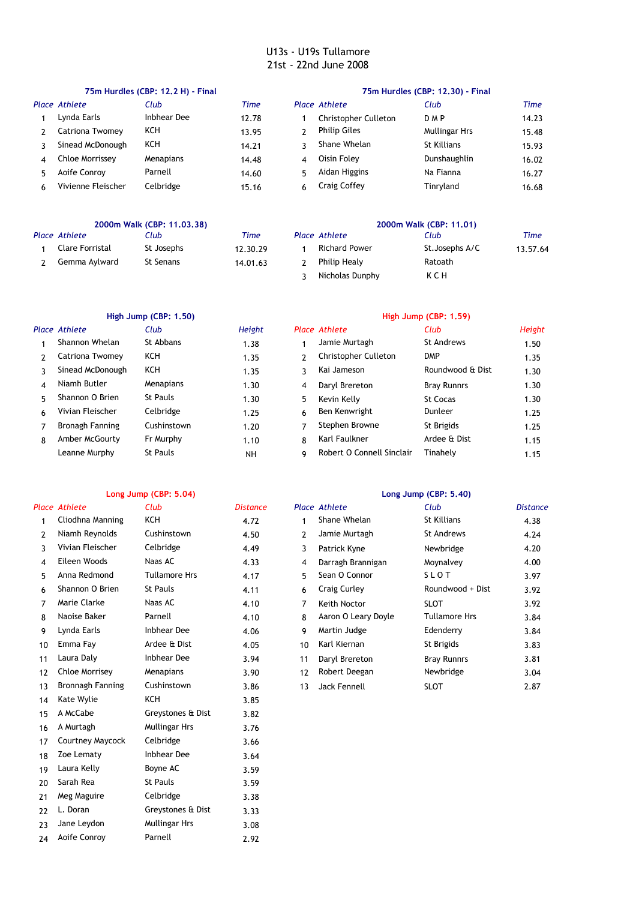|   |                    | 75m Hurdles (CBP: 12.2 H) - Final |       | 75m Hurdles (CBP: 12.30) - Final |                             |               |       |  |  |
|---|--------------------|-----------------------------------|-------|----------------------------------|-----------------------------|---------------|-------|--|--|
|   | Place Athlete      | Club                              | Time  |                                  | <b>Place Athlete</b>        | Club          | Time  |  |  |
|   | Lynda Earls        | Inbhear Dee                       | 12.78 |                                  | <b>Christopher Culleton</b> | <b>DMP</b>    | 14.23 |  |  |
|   | Catriona Twomey    | <b>KCH</b>                        | 13.95 |                                  | <b>Philip Giles</b>         | Mullingar Hrs | 15.48 |  |  |
|   | Sinead McDonough   | <b>KCH</b>                        | 14.21 |                                  | Shane Whelan                | St Killians   | 15.93 |  |  |
| 4 | Chloe Morrissey    | <b>Menapians</b>                  | 14.48 | 4                                | Oisin Folev                 | Dunshaughlin  | 16.02 |  |  |
|   | Aoife Conroy       | Parnell                           | 14.60 | 5.                               | Aidan Higgins               | Na Fianna     | 16.27 |  |  |
| 6 | Vivienne Fleischer | Celbridge                         | 15.16 | 6                                | <b>Craig Coffey</b>         | Tinryland     | 16.68 |  |  |
|   |                    |                                   |       |                                  |                             |               |       |  |  |

|                 | 2000m Walk (CBP: 11.03.38) |          | 2000m Walk (CBP: 11.01) |                 |          |  |  |
|-----------------|----------------------------|----------|-------------------------|-----------------|----------|--|--|
| Place Athlete   | Club                       | Time     | Place Athlete           | Club            | Time     |  |  |
| Clare Forristal | St Josephs                 | 12.30.29 | <b>Richard Power</b>    | St. Josephs A/C | 13.57.64 |  |  |
| Gemma Aylward   | St Senans                  | 14.01.63 | Philip Healy            | Ratoath         |          |  |  |
|                 |                            |          | Nicholas Dunphy         | KCH             |          |  |  |

|    |                        | High Jump (CBP: 1.50) |           | High Jump (CBP: 1.59) |                           |                    |        |  |  |
|----|------------------------|-----------------------|-----------|-----------------------|---------------------------|--------------------|--------|--|--|
|    | Place Athlete          | Club                  | Height    |                       | Place Athlete             | Club               | Height |  |  |
|    | Shannon Whelan         | St Abbans             | 1.38      |                       | Jamie Murtagh             | <b>St Andrews</b>  | 1.50   |  |  |
|    | Catriona Twomey        | ксн                   | 1.35      |                       | Christopher Culleton      | <b>DMP</b>         | 1.35   |  |  |
|    | Sinead McDonough       | <b>KCH</b>            | 1.35      | 3                     | Kai Jameson               | Roundwood & Dist   | 1.30   |  |  |
| 4  | Niamh Butler           | Menapians             | 1.30      | 4                     | Daryl Brereton            | <b>Bray Runnrs</b> | 1.30   |  |  |
| 5. | Shannon O Brien        | St Pauls              | 1.30      | 5                     | Kevin Kelly               | <b>St Cocas</b>    | 1.30   |  |  |
| 6  | Vivian Fleischer       | Celbridge             | 1.25      | 6                     | Ben Kenwright             | Dunleer            | 1.25   |  |  |
|    | <b>Bronagh Fanning</b> | Cushinstown           | 1.20      | 7                     | Stephen Browne            | St Brigids         | 1.25   |  |  |
| 8  | Amber McGourty         | Fr Murphy             | 1.10      | 8                     | Karl Faulkner             | Ardee & Dist       | 1.15   |  |  |
|    | Leanne Murphy          | <b>St Pauls</b>       | <b>NH</b> | q                     | Robert O Connell Sinclair | Tinahely           | 1.15   |  |  |
|    |                        |                       |           |                       |                           |                    |        |  |  |

20 Sarah Rea 3.59 21 Meg Maguire Celbridge 3.38 22 3.33 L. Doran Greystones & Dist 23 Jane Leydon Mullingar Hrs 3.08 24 Aoife Conroy Parnell 2.92

St Pauls Celbridge

Mullingar Hrs

### **Long Jump (CBP: 5.04) Long Jump (CBP: 5.40)** *Place Athlete Club Distance Place Athlete Club Distance* 1 KCH 4.72 1 Shane Whelan 4.38 Cliodhna Manning St Killians 2 Niamh Reynolds 4.50 2 St Andrews 4.24 3 4.49 3 4.20 4 Eileen Woods 4.33 4 4.00 Naas AC Darragh Brannigan Moynalvey 5 Anna Redmond 4.17 5 S L O T 3.97 Tullamore Hrs Sean O Connor 6 4.11 6 3.92 7 Marie Clarke 4.10 7 SLOT 3.92 8 Parnell 4.10 8 Aaron O Leary Doyle 3.84 Naoise Baker Tullamore Hrs 9 4.06 9 Martin Judge 3.84 10 Emma Fay 4.05 10 3.83 11 Laura Daly 3.94 11 3.81 Inbhear Dee Daryl Brereton Bray Runnrs 12 3.90 12 3.04 13 Bronnagh Fanning Cushinstown 13 3.86 13 Jack Fennell 1951 SLOT 1878 2.87 14 Kate Wylie KCH 3.85 15 A McCabe Greystones & Dist 3.82 16 3.76 A Murtagh Mullingar Hrs 17 3.66 Courtney Maycock Celbridge 18 3.64 Zoe Lematy Inbhear Dee 19 Laura Kelly Boyne AC 3.59 Cushinstown 4.50 2 Jamie Murtagh Vivian Fleischer Celbridge 1988 a. A. 49 Artrick Kyne Newbridge Shannon O Brien St Pauls 2011 11 2008 Craig Curley Coundwood + Dist Naas AC 4.10 7 Keith Noctor Lynda Earls Inbhear Dee 1,06 9 Martin Judge Edenderry Ardee & Dist **Arrough Article Act Act Arroughly** Arrough Arroughly Arroughly Arroughly Arroughly Arroughly Arroughly Chloe Morrisey Menapians 3.90 12 Robert Deegan Newbridge Boyne AC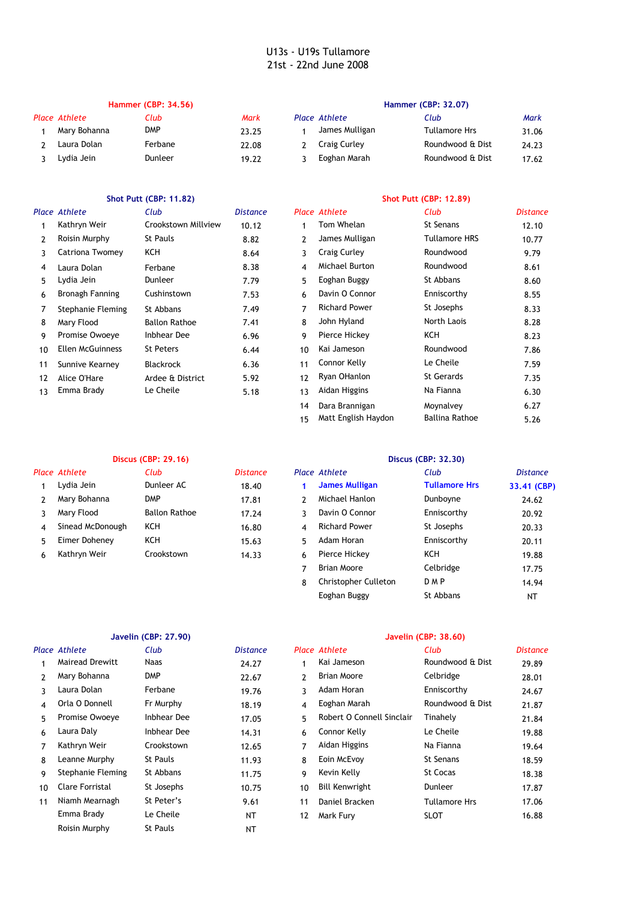### **Hammer (CBP: 34.56) Hammer (CBP: 32.07)** *Place Athlete Club Mark Place Athlete Club Mark* 1 DMP 23.25 1 James Mulligan 31.06 2 22.08 2 24.23 Laura Dolan Ferbane Craig Curley Roundwood & Dist 3 19.22 3 17.62 Lydia Jein Dunleer Eoghan Marah Roundwood & Dist Mary Bohanna Mary DMP 23.25 1 James Mulligan Tullamore Hrs

# **Shot Putt (CBP: 11.82) Shot Putt (CBP: 12.89)**

### *Place Athlete Club Distance Place Athlete Club Distance* 1 10.12 1 Tom Whelan 12.10 Kathryn Weir Crookstown Millview St Senans 2 8.82 2 James Mulligan 10.77 Roisin Murphy St Pauls Tullamore HRS 3 KCH 8.64 3 Roundwood 9.79 Catriona Twomey Craig Curley 4 8.38 4 Michael Burton Roundwood 8.61 5 7.79 5 8.60 6 Bronagh Fanning Cushinstown 7.53 6 Davin O Connor Enniscorthy 8.55 7 Stephanie Fleming St Abbans 7.49 7 Richard Power St Josephs 8.33 8 Mary Flood 7.41 8 North Laois 8.28 Ballon Rathoe John Hyland 9 Promise Owoeye Inbhear Dee 6.96 9 Pierce Hickey KCH 8.23 10 St Peters 6.44 10 Roundwood 7.86 Ellen McGuinness Kai Jameson 11 6.36 11 7.59 Sunnive Kearney Blackrock Connor Kelly Le Cheile 12 Alice O'Hare 5.92 12 7.35 Ardee & District Ryan OHanlon St Gerards 13 Emma Brady 5.18 13 Aidan Higgins 6.30 Laura Dolan Ferbane Lydia Jein **Dunleer** 27.79 5 Eoghan Buggy St Abbans Richard Power Le Cheile **Na Fianna** 5.18 13 Aidan Higgins Na Fianna

|   |                  | <b>Discus (CBP: 29.16)</b> |                 |   | Discus (CBP: 32.30)         |                      |                 |  |  |
|---|------------------|----------------------------|-----------------|---|-----------------------------|----------------------|-----------------|--|--|
|   | Place Athlete    | Club                       | <b>Distance</b> |   | Place Athlete               | Club                 | <b>Distance</b> |  |  |
|   | Lydia Jein       | Dunleer AC                 | 18.40           |   | <b>James Mulligan</b>       | <b>Tullamore Hrs</b> | 33.41 (CBP)     |  |  |
|   | Mary Bohanna     | <b>DMP</b>                 | 17.81           | 2 | Michael Hanlon              | Dunboyne             | 24.62           |  |  |
|   | Mary Flood       | <b>Ballon Rathoe</b>       | 17.24           | 3 | Davin O Connor              | Enniscorthy          | 20.92           |  |  |
| 4 | Sinead McDonough | <b>KCH</b>                 | 16.80           | 4 | <b>Richard Power</b>        | St Josephs           | 20.33           |  |  |
| 5 | Eimer Doheney    | <b>KCH</b>                 | 15.63           | 5 | Adam Horan                  | Enniscorthy          | 20.11           |  |  |
| 6 | Kathryn Weir     | Crookstown                 | 14.33           | 6 | Pierce Hickey               | KCH                  | 19.88           |  |  |
|   |                  |                            |                 |   | Brian Moore                 | Celbridge            | 17.75           |  |  |
|   |                  |                            |                 | 8 | <b>Christopher Culleton</b> | <b>DMP</b>           | 14.94           |  |  |

# **Javelin (CBP: 27.90) Javelin (CBP: 38.60)**

|                 | Place Athlete          | Club        | <b>Distance</b> |              | Place Athlete             | Club                 | <b>Distance</b> |
|-----------------|------------------------|-------------|-----------------|--------------|---------------------------|----------------------|-----------------|
|                 | <b>Mairead Drewitt</b> | Naas        | 24.27           |              | Kai Jameson               | Roundwood & Dist     | 29.89           |
| $\mathcal{P}$   | Mary Bohanna           | <b>DMP</b>  | 22.67           | $\mathbf{2}$ | Brian Moore               | Celbridge            | 28.01           |
| 3               | Laura Dolan            | Ferbane     | 19.76           | 3.           | Adam Horan                | Enniscorthy          | 24.67           |
| 4               | Orla O Donnell         | Fr Murphy   | 18.19           | 4            | Eoghan Marah              | Roundwood & Dist     | 21.87           |
| 5.              | Promise Owoeye         | Inbhear Dee | 17.05           | 5.           | Robert O Connell Sinclair | Tinahely             | 21.84           |
| 6               | Laura Daly             | Inbhear Dee | 14.31           | 6            | Connor Kelly              | Le Cheile            | 19.88           |
| 7               | Kathryn Weir           | Crookstown  | 12.65           | 7            | Aidan Higgins             | Na Fianna            | 19.64           |
| 8               | Leanne Murphy          | St Pauls    | 11.93           | 8            | Eoin McEvoy               | <b>St Senans</b>     | 18.59           |
| 9               | Stephanie Fleming      | St Abbans   | 11.75           | 9            | Kevin Kelly               | St Cocas             | 18.38           |
| 10 <sup>1</sup> | Clare Forristal        | St Josephs  | 10.75           | 10           | <b>Bill Kenwright</b>     | Dunleer              | 17.87           |
| 11              | Niamh Mearnagh         | St Peter's  | 9.61            | 11           | Daniel Bracken            | <b>Tullamore Hrs</b> | 17.06           |
|                 | Emma Brady             | Le Cheile   | NΤ              | 12           | Mark Fury                 | <b>SLOT</b>          | 16.88           |
|                 | Roisin Murphy          | St Pauls    | NT              |              |                           |                      |                 |

14 6.27 Dara Brannigan Moynalvey 15 5.26 Matt English Haydon Ballina Rathoe

Eoghan Buggy St Abbans

NT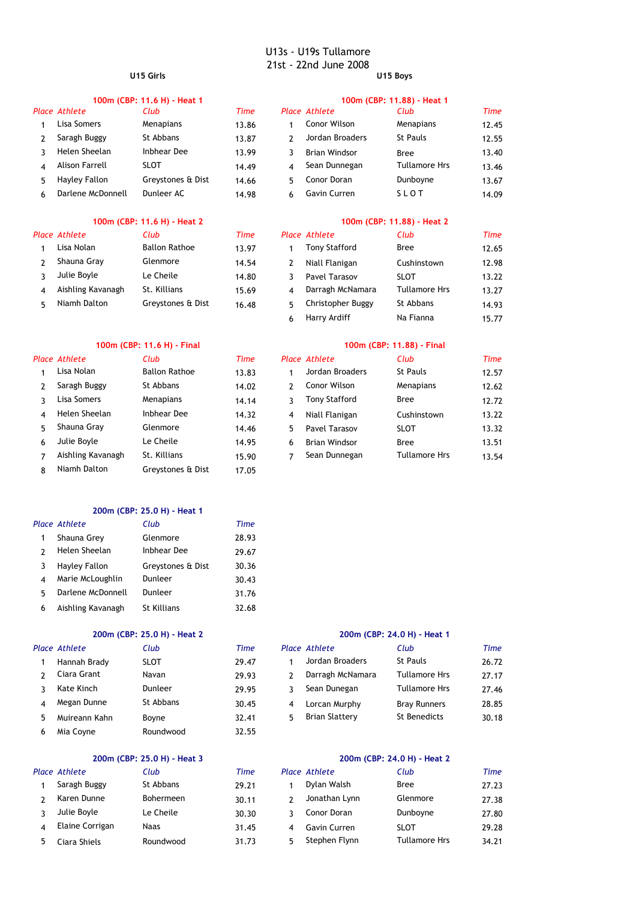### U13s - U19s Tullamore 21st - 22nd June 2008 **U15 Girls U15 Boys**

### **100m (CBP: 11.6 H) - Heat 1 100m (CBP: 11.88) - Heat 1** *Place Athlete Club Time Place Athlete Club Time* 1 13.86 1 12.45 2 13.87 2 12.55 Saragh Buggy St Abbans Jordan Broaders St Pauls 3 13.99 3 Brian Windsor 13.40 Helen Sheelan Inbhear Dee Bree 4 Alison Farrell SLOT 14.49 4 13.46 5 14.66 5 13.67 Hayley Fallon Greystones & Dist Conor Doran Dunboyne 6 Darlene McDonnell Dunleer AC 14.98 6 Gavin Curren SLOT 14.09 Lisa Somers Menapians 13.86 1 Conor Wilson Menapians Sean Dunnegan Tullamore Hrs Gavin Curren

### **100m (CBP: 11.6 H) - Heat 2 100m (CBP: 11.88) - Heat 2**

### *Place Athlete Club Time Place Athlete Club Time* 1 Lisa Nolan 13.97 1 Tony Stafford 12.65 2 Shauna Gray 14.54 2 12.98 3 Julie Boyle 14.80 3 SLOT 13.22 Ballon Rathoe 13 Glenmore 14.54 2 Niall Flanigan Cushinstown Le Cheile Pavel 14

### **100m (CBP: 11.6 H) - Final 100m (CBP: 11.88) - Final**

|    | Place Athlete     | Club                 | Time  |               | Place Athlete        | Club                 | Time  |
|----|-------------------|----------------------|-------|---------------|----------------------|----------------------|-------|
|    | Lisa Nolan        | <b>Ballon Rathoe</b> | 13.83 |               | Jordan Broaders      | <b>St Pauls</b>      | 12.57 |
|    | Saragh Buggy      | St Abbans            | 14.02 | $\mathcal{P}$ | Conor Wilson         | Menapians            | 12.62 |
|    | Lisa Somers       | Menapians            | 14.14 |               | <b>Tony Stafford</b> | <b>Bree</b>          | 12.72 |
| 4  | Helen Sheelan     | Inbhear Dee          | 14.32 | 4             | Niall Flanigan       | Cushinstown          | 13.22 |
| 5. | Shauna Gray       | Glenmore             | 14.46 | 5.            | Pavel Tarasov        | <b>SLOT</b>          | 13.32 |
| 6  | Julie Boyle       | Le Cheile            | 14.95 | 6             | <b>Brian Windsor</b> | <b>Bree</b>          | 13.51 |
|    | Aishling Kavanagh | St. Killians         | 15.90 |               | Sean Dunnegan        | <b>Tullamore Hrs</b> | 13.54 |
| 8  | Niamh Dalton      | Greystones & Dist    | 17.05 |               |                      |                      |       |

### **200m (CBP: 25.0 H) - Heat 1**

|   | Place Athlete     | Club               | Time  |
|---|-------------------|--------------------|-------|
|   | Shauna Grey       | Glenmore           | 28.93 |
|   | Helen Sheelan     | Inbhear Dee        | 29.67 |
|   | Hayley Fallon     | Greystones & Dist  | 30.36 |
|   | Marie McLoughlin  | Dunleer            | 30.43 |
| 5 | Darlene McDonnell | Dunleer            | 31.76 |
| 6 | Aishling Kavanagh | <b>St Killians</b> | 32.68 |

# *Place Athlete Club Time Place Athlete Club Time* 1 Hannah Brady SLOT 29.47 St Abbans 30.45

# **200m (CBP: 25.0 H) - Heat 3 200m (CBP: 24.0 H) - Heat 2**

Mia Coyne

6 Roundwood 32.55

# 4 Elaine Corrigan Naas Saragh Buggy St Abbans Bohermeen Le Cheile Ciara Shiels Tullamore Roundwood

### **200m (CBP: 25.0 H) - Heat 2 200m (CBP: 24.0 H) - Heat 1**

|    | ace Athlete   | Club        | Time  |   | Place Athlete         | Club                 | Time  |
|----|---------------|-------------|-------|---|-----------------------|----------------------|-------|
|    | Hannah Brady  | <b>SLOT</b> | 29.47 |   | Jordan Broaders       | St Pauls             | 26.72 |
|    | Ciara Grant   | Navan       | 29.93 |   | Darragh McNamara      | <b>Tullamore Hrs</b> | 27.17 |
|    | Kate Kinch    | Dunleer     | 29.95 |   | Sean Dunegan          | Tullamore Hrs        | 27.46 |
| 4  | Megan Dunne   | St Abbans   | 30.45 | 4 | Lorcan Murphy         | <b>Bray Runners</b>  | 28.85 |
| 5. | Muireann Kahn | Bovne       | 32.41 | 5 | <b>Brian Slattery</b> | St Benedicts         | 30.18 |
|    |               |             |       |   |                       |                      |       |

| Place Athlete   | Club             | Time  | Place Athlete | Club                 | Time  |
|-----------------|------------------|-------|---------------|----------------------|-------|
| Saragh Buggy    | St Abbans        | 29.21 | Dylan Walsh   | <b>Bree</b>          | 27.23 |
| Karen Dunne     | <b>Bohermeen</b> | 30.11 | Jonathan Lynn | Glenmore             | 27.38 |
| Julie Boyle     | Le Cheile        | 30.30 | Conor Doran   | Dunboyne             | 27.80 |
| Elaine Corrigan | <b>Naas</b>      | 31.45 | Gavin Curren  | <b>SLOT</b>          | 29.28 |
| Ciara Shiels    | Roundwood        | 31.73 | Stephen Flynn | <b>Tullamore Hrs</b> | 34.21 |

|    | ace Athlete       | Club                 | Time  |   | Place Athlete        | Club                 | Time  |
|----|-------------------|----------------------|-------|---|----------------------|----------------------|-------|
|    | Lisa Nolan        | <b>Ballon Rathoe</b> | 13.97 |   | <b>Tony Stafford</b> | <b>Bree</b>          | 12.65 |
| 2  | Shauna Gray       | Glenmore             | 14.54 | 7 | Niall Flanigan       | Cushinstown          | 12.98 |
|    | Julie Boyle       | Le Cheile            | 14.80 |   | Pavel Tarasov        | <b>SLOT</b>          | 13.22 |
| 4  | Aishling Kavanagh | St. Killians         | 15.69 | 4 | Darragh McNamara     | <b>Tullamore Hrs</b> | 13.27 |
| 5. | Niamh Dalton      | Greystones & Dist    | 16.48 | 5 | Christopher Buggy    | St Abbans            | 14.93 |
|    |                   |                      |       | 6 | Harry Ardiff         | Na Fianna            | 15.77 |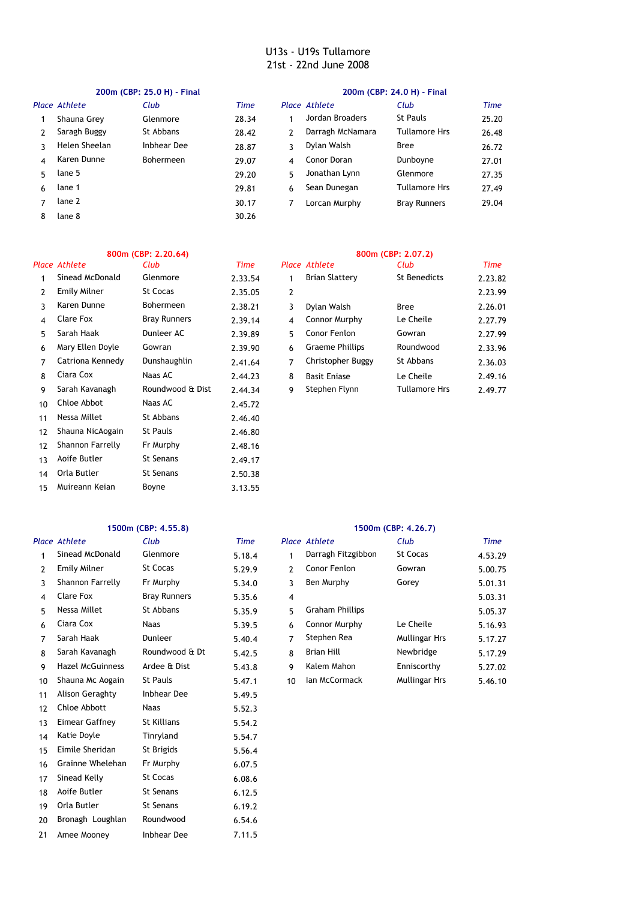|    | 200m (CBP: 25.0 H) - Final |                  |       |    | 200m (CBP: 24.0 H) - Final |                      |       |  |
|----|----------------------------|------------------|-------|----|----------------------------|----------------------|-------|--|
|    | Place Athlete              | Club             | Time  |    | Place Athlete              | Club                 | Time  |  |
|    | Shauna Grey                | Glenmore         | 28.34 |    | Jordan Broaders            | St Pauls             | 25.20 |  |
|    | Saragh Buggy               | St Abbans        | 28.42 |    | Darragh McNamara           | <b>Tullamore Hrs</b> | 26.48 |  |
|    | Helen Sheelan              | Inbhear Dee      | 28.87 | 3  | Dylan Walsh                | <b>Bree</b>          | 26.72 |  |
| 4  | Karen Dunne                | <b>Bohermeen</b> | 29.07 | 4  | Conor Doran                | Dunboyne             | 27.01 |  |
| 5. | lane 5                     |                  | 29.20 | 5. | Jonathan Lynn              | Glenmore             | 27.35 |  |
| 6  | lane 1                     |                  | 29.81 | 6  | Sean Dunegan               | <b>Tullamore Hrs</b> | 27.49 |  |
|    | lane 2                     |                  | 30.17 |    | Lorcan Murphy              | <b>Bray Runners</b>  | 29.04 |  |
| 8  | lane 8                     |                  | 30.26 |    |                            |                      |       |  |
|    |                            |                  |       |    |                            |                      |       |  |

### **800m (CBP: 2.20.64) 800m (CBP: 2.07.2)** *Place Athlete Club Time Place Athlete Club Time* 1 Sinead McDonald Glenmore 2.33.54 1 Brian Slattery St Benedicts 2.23.82 2 Emily Milner 5t Cocas 2.35.05 2 2.23.99 3 Karen Dunne 2.38.21 3 Dylan Walsh 2.26.01 4 Clare Fox Bray Runners 2.39.14 4 2.27.79 Connor Murphy Le Cheile 5 2.39.89 5 2.27.99 6 Mary Ellen Doyle 2.39.90 6 Graeme Phillips Roundwood 2.33.96 7 2.41.64 7 Christopher Buggy 2.36.03 Catriona Kennedy Dunshaughlin St Abbans 8 Ciara Cox 2.44.23 8 2.49.16 9 Sarah Kavanagh Roundwood & Dist 2,44.34 9 Stephen Flynn Tullamore Hrs 2,49.77 10 Chloe Abbot Naas AC 2.45.72 11 2.46.40 Nessa Millet St Abbans 12 2.46.80 Shauna NicAogain St Pauls 12 Shannon Farrelly Fr Murphy 12.48.16 13 2.49.17 Aoife Butler St Senans Emily Milner Bohermeen 2.38.21 3 Dylan Walsh Bree Sarah Haak Dunleer AC 2.39.89 5 Conor Fenlon Gowran Gowran Naas AC 2.44.23 8 Basit Eniase Le Cheile Naas AC

### **1500m (CBP: 4.55.8) 1500m (CBP: 4.26.7)**

15 5.56.4 Eimile Sheridan St Brigids 16 Grainne Whelehan Fr Murphy 6.07.5 17 Sinead Kelly St Cocas 6.08.6 18 6.12.5 Aoife Butler St Senans 19 6.19.2 Orla Butler St Senans 20 Bronagh Loughlan Roundwood 6.54.6 21 7.11.5 Amee Mooney Inbhear Dee

14 2.50.38 Orla Butler St Senans 15 3.13.55 Muireann Keian Boyne

|    | Place Athlete           | Club                | <b>Time</b> |                | Place Athlete          | Club            | Time    |
|----|-------------------------|---------------------|-------------|----------------|------------------------|-----------------|---------|
|    | Sinead McDonald         | Glenmore            | 5.18.4      | 1              | Darragh Fitzgibbon     | <b>St Cocas</b> | 4.53.29 |
| 2  | Emily Milner            | <b>St Cocas</b>     | 5.29.9      | 2              | Conor Fenlon           | Gowran          | 5.00.75 |
| 3  | Shannon Farrelly        | Fr Murphy           | 5.34.0      | 3              | Ben Murphy             | Gorey           | 5.01.31 |
| 4  | Clare Fox               | <b>Bray Runners</b> | 5.35.6      | $\overline{4}$ |                        |                 | 5.03.31 |
| 5. | Nessa Millet            | St Abbans           | 5.35.9      | 5              | <b>Graham Phillips</b> |                 | 5.05.37 |
| 6  | Ciara Cox               | Naas                | 5.39.5      | 6              | Connor Murphy          | Le Cheile       | 5.16.93 |
|    | Sarah Haak              | Dunleer             | 5.40.4      | 7              | Stephen Rea            | Mullingar Hrs   | 5.17.27 |
| 8  | Sarah Kavanagh          | Roundwood & Dt      | 5.42.5      | 8              | <b>Brian Hill</b>      | Newbridge       | 5.17.29 |
| 9  | <b>Hazel McGuinness</b> | Ardee & Dist        | 5.43.8      | 9              | Kalem Mahon            | Enniscorthy     | 5.27.02 |
| 10 | Shauna Mc Aogain        | St Pauls            | 5.47.1      | 10             | lan McCormack          | Mullingar Hrs   | 5.46.10 |
| 11 | Alison Geraghty         | <b>Inbhear Dee</b>  | 5.49.5      |                |                        |                 |         |
| 12 | Chloe Abbott            | <b>Naas</b>         | 5.52.3      |                |                        |                 |         |
| 13 | Eimear Gaffney          | St Killians         | 5.54.2      |                |                        |                 |         |
| 14 | Katie Doyle             | Tinryland           | 5.54.7      |                |                        |                 |         |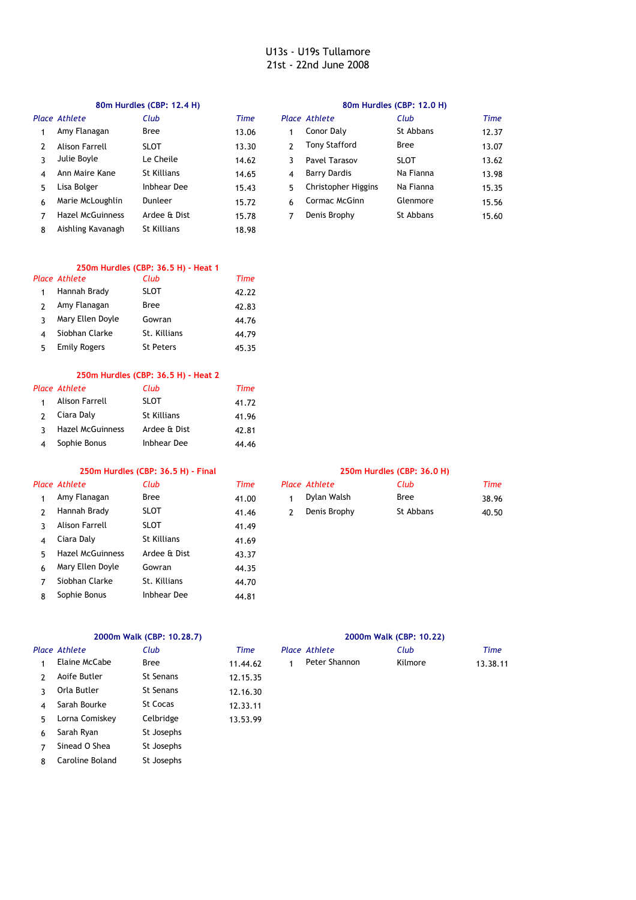### **80m Hurdles (CBP: 12.4 H) 80m Hurdles (CBP: 12.0 H)**

|    | Place Athlete           | Club         | Time  |                | Place Athlete       | Club        | Time  |
|----|-------------------------|--------------|-------|----------------|---------------------|-------------|-------|
|    | Amy Flanagan            | <b>Bree</b>  | 13.06 |                | Conor Daly          | St Abbans   | 12.37 |
|    | Alison Farrell          | <b>SLOT</b>  | 13.30 |                | Tony Stafford       | <b>Bree</b> | 13.07 |
|    | Julie Boyle             | Le Cheile    | 14.62 |                | Pavel Tarasov       | <b>SLOT</b> | 13.62 |
| 4  | Ann Maire Kane          | St Killians  | 14.65 | $\overline{4}$ | <b>Barry Dardis</b> | Na Fianna   | 13.98 |
| 5. | Lisa Bolger             | Inbhear Dee  | 15.43 | 5.             | Christopher Higgins | Na Fianna   | 15.35 |
| 6  | Marie McLoughlin        | Dunleer      | 15.72 | 6              | Cormac McGinn       | Glenmore    | 15.56 |
|    | <b>Hazel McGuinness</b> | Ardee & Dist | 15.78 | 7              | Denis Brophy        | St Abbans   | 15.60 |
| 8  | Aishling Kavanagh       | St Killians  | 18.98 |                |                     |             |       |

### **250m Hurdles (CBP: 36.5 H) - Heat 1** *Place Athlete Club Time*

|   | uace Atmete         | CUUD             | <i>rme</i> |
|---|---------------------|------------------|------------|
| 1 | Hannah Brady        | <b>SLOT</b>      | 42.22      |
|   | Amy Flanagan        | Bree             | 42.83      |
| ર | Mary Ellen Doyle    | Gowran           | 44.76      |
|   | Siobhan Clarke      | St. Killians     | 44.79      |
| 5 | <b>Emily Rogers</b> | <b>St Peters</b> | 45.35      |

## **250m Hurdles (CBP: 36.5 H) - Heat 2**

|               | Place Athlete           | Club         | Time  |
|---------------|-------------------------|--------------|-------|
|               | Alison Farrell          | <b>SLOT</b>  | 41.72 |
| $\mathcal{P}$ | Ciara Daly              | St Killians  | 41.96 |
| ર             | <b>Hazel McGuinness</b> | Ardee & Dist | 42.81 |
|               | Sophie Bonus            | Inbhear Dee  | 44.46 |

## **250m Hurdles (CBP: 36.5 H) - Final 250m Hurdles (CBP: 36.0 H)**

|               | Place Athlete           | Club               | Time  |
|---------------|-------------------------|--------------------|-------|
| 1             | Amy Flanagan            | Bree               | 41.00 |
| $\mathcal{P}$ | Hannah Brady            | <b>SLOT</b>        | 41.46 |
| 3             | Alison Farrell          | <b>SLOT</b>        | 41.49 |
| 4             | Ciara Daly              | <b>St Killians</b> | 41.69 |
| 5             | <b>Hazel McGuinness</b> | Ardee & Dist       | 43.37 |
| 6             | Mary Ellen Doyle        | Gowran             | 44.35 |
| 7             | Siobhan Clarke          | St. Killians       | 44.70 |
| 8             | Sophie Bonus            | Inbhear Dee        | 44.81 |

|   | Place Athlete           | Club         | Time  |   | Place Athlete | Club        | <b>Time</b> |
|---|-------------------------|--------------|-------|---|---------------|-------------|-------------|
|   | Amy Flanagan            | <b>Bree</b>  | 41.00 |   | Dylan Walsh   | <b>Bree</b> | 38.96       |
|   | Hannah Brady            | <b>SLOT</b>  | 41.46 | 2 | Denis Brophy  | St Abbans   | 40.50       |
|   | Alison Farrell          | <b>SLOT</b>  | 41.49 |   |               |             |             |
| 4 | Ciara Daly              | St Killians  | 41.69 |   |               |             |             |
| 5 | <b>Hazel McGuinness</b> | Ardee & Dist | 43.37 |   |               |             |             |
| 6 | Mary Ellen Doyle        | Gowran       | 44.35 |   |               |             |             |
|   | Siobhan Clarke          | St. Killians | 44.70 |   |               |             |             |

### *Place Athlete Club Time Place Athlete Club Time* 1 Elaine McCabe Bree 11.44.62 1 2 12.15.35 Aoife Butler St Senans 3 Orla Butler St Senans 12.16.30 4 Sarah Bourke St Cocas 12.33.11 5 13.53.99 Lorna Comiskey Celbridge 6 Sarah Ryan 7 8  $11.44.62$ Orla Butler St Josephs Sinead O Shea St Josephs Caroline Boland St Josephs

# **2000m Walk (CBP: 10.28.7) 2000m Walk (CBP: 10.22)**

| e Athlete:    | Club    | Time     |
|---------------|---------|----------|
| Peter Shannon | Kilmore | 13.38.11 |
|               |         |          |
|               |         |          |
|               |         |          |
|               |         |          |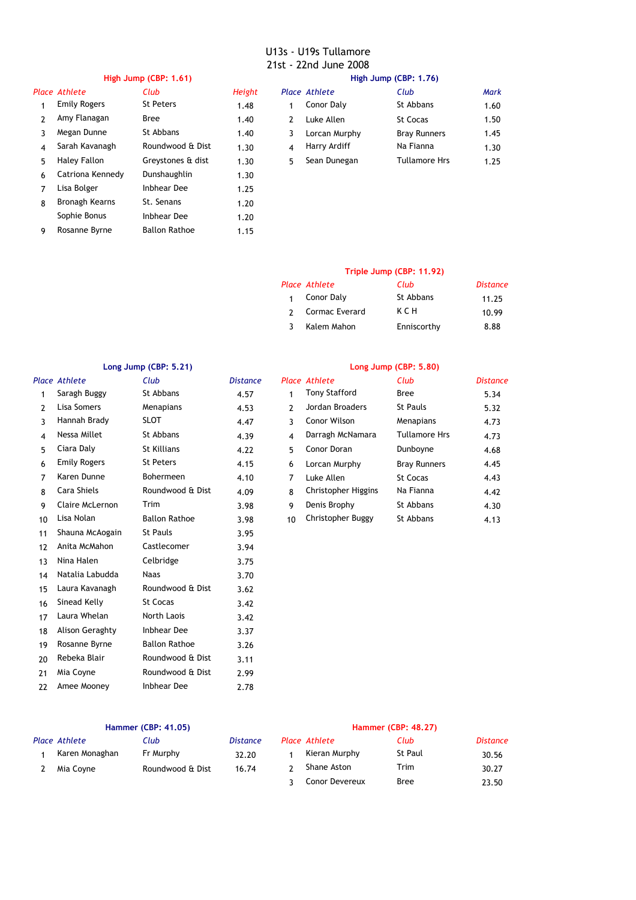# **High Jump (CBP: 1.61) High Jump (CBP: 1.76)**

9 1.15 Rosanne Byrne Ballon Rathoe

| High Jump (CBP: 1.76) |
|-----------------------|
|-----------------------|

|    | Place Athlete       | Club               | Height |    | Place Athlete | Club                 | Mark |
|----|---------------------|--------------------|--------|----|---------------|----------------------|------|
|    | <b>Emily Rogers</b> | <b>St Peters</b>   | 1.48   |    | Conor Daly    | St Abbans            | 1.60 |
|    | Amy Flanagan        | <b>Bree</b>        | 1.40   | 2  | Luke Allen    | <b>St Cocas</b>      | 1.50 |
| 3  | Megan Dunne         | St Abbans          | 1.40   | 3  | Lorcan Murphy | <b>Bray Runners</b>  | 1.45 |
| 4  | Sarah Kavanagh      | Roundwood & Dist   | 1.30   | 4  | Harry Ardiff  | Na Fianna            | 1.30 |
| 5. | Haley Fallon        | Greystones & dist  | 1.30   | 5. | Sean Dunegan  | <b>Tullamore Hrs</b> | 1.25 |
| 6  | Catriona Kennedy    | Dunshaughlin       | 1.30   |    |               |                      |      |
|    | Lisa Bolger         | <b>Inbhear Dee</b> | 1.25   |    |               |                      |      |
| 8  | Bronagh Kearns      | St. Senans         | 1.20   |    |               |                      |      |
|    | Sophie Bonus        | Inbhear Dee        | 1.20   |    |               |                      |      |
|    |                     |                    |        |    |               |                      |      |

|   | Place Athlete | Club                 | Mark |
|---|---------------|----------------------|------|
| 1 | Conor Daly    | St Abbans            | 1.60 |
|   | Luke Allen    | <b>St Cocas</b>      | 1.50 |
| 3 | Lorcan Murphy | <b>Bray Runners</b>  | 1.45 |
|   | Harry Ardiff  | Na Fianna            | 1.30 |
| 5 | Sean Dunegan  | <b>Tullamore Hrs</b> | 1.25 |
|   |               |                      |      |

# **Triple Jump (CBP: 11.92)**

| Place Athlete  | Club        | <b>Distance</b> |
|----------------|-------------|-----------------|
| Conor Daly     | St Abbans   | 11.25           |
| Cormac Everard | ксн         | 10.99           |
| Kalem Mahon    | Enniscorthy | 8.88            |

| Long Jump (CBP: 5.21) |                     |                      | Long Jump (CBP: 5.80) |                |                      |                      |                 |
|-----------------------|---------------------|----------------------|-----------------------|----------------|----------------------|----------------------|-----------------|
|                       | Place Athlete       | Club                 | <b>Distance</b>       |                | Place Athlete        | Club                 | <b>Distance</b> |
| 1                     | Saragh Buggy        | St Abbans            | 4.57                  | 1              | <b>Tony Stafford</b> | <b>Bree</b>          | 5.34            |
| 2                     | Lisa Somers         | Menapians            | 4.53                  | $\overline{2}$ | Jordan Broaders      | <b>St Pauls</b>      | 5.32            |
| 3                     | Hannah Brady        | <b>SLOT</b>          | 4.47                  | 3              | Conor Wilson         | Menapians            | 4.73            |
| 4                     | Nessa Millet        | St Abbans            | 4.39                  | 4              | Darragh McNamara     | <b>Tullamore Hrs</b> | 4.73            |
| 5                     | Ciara Daly          | <b>St Killians</b>   | 4.22                  | 5.             | Conor Doran          | Dunboyne             | 4.68            |
| 6                     | <b>Emily Rogers</b> | <b>St Peters</b>     | 4.15                  | 6              | Lorcan Murphy        | <b>Bray Runners</b>  | 4.45            |
| 7                     | Karen Dunne         | Bohermeen            | 4.10                  | 7              | Luke Allen           | <b>St Cocas</b>      | 4.43            |
| 8                     | Cara Shiels         | Roundwood & Dist     | 4.09                  | 8              | Christopher Higgins  | Na Fianna            | 4.42            |
| 9                     | Claire McLernon     | Trim                 | 3.98                  | 9              | Denis Brophy         | St Abbans            | 4.30            |
| 10                    | Lisa Nolan          | <b>Ballon Rathoe</b> | 3.98                  | 10             | Christopher Buggy    | St Abbans            | 4.13            |
| 11                    | Shauna McAogain     | <b>St Pauls</b>      | 3.95                  |                |                      |                      |                 |
| 12                    | Anita McMahon       | Castlecomer          | 3.94                  |                |                      |                      |                 |
| 13                    | Nina Halen          | Celbridge            | 3.75                  |                |                      |                      |                 |
| 14                    | Natalia Labudda     | <b>Naas</b>          | 3.70                  |                |                      |                      |                 |
| 15                    | Laura Kavanagh      | Roundwood & Dist     | 3.62                  |                |                      |                      |                 |
| 16                    | Sinead Kelly        | St Cocas             | 3.42                  |                |                      |                      |                 |
| 17                    | Laura Whelan        | North Laois          | 3.42                  |                |                      |                      |                 |
| 18                    | Alison Geraghty     | <b>Inbhear Dee</b>   | 3.37                  |                |                      |                      |                 |
| 19                    | Rosanne Byrne       | <b>Ballon Rathoe</b> | 3.26                  |                |                      |                      |                 |
| 20                    | Rebeka Blair        | Roundwood & Dist     | 3.11                  |                |                      |                      |                 |
| 21                    | Mia Coyne           | Roundwood & Dist     | 2.99                  |                |                      |                      |                 |
| 22                    | Amee Mooney         | <b>Inbhear Dee</b>   | 2.78                  |                |                      |                      |                 |

| <b>Hammer (CBP: 41.05)</b> |                |                  |                 | <b>Hammer (CBP: 48.27)</b> |                |                |                 |
|----------------------------|----------------|------------------|-----------------|----------------------------|----------------|----------------|-----------------|
|                            | Place Athlete  | Club             | <i>Distance</i> |                            | Place Athlete  | Club           | <b>Distance</b> |
|                            | Karen Monaghan | Fr Murphy        | 32.20           |                            | Kieran Murphy  | <b>St Paul</b> | 30.56           |
|                            | Mia Coyne      | Roundwood & Dist | 16.74           |                            | Shane Aston    | Trim           | 30.27           |
|                            |                |                  |                 |                            | Conor Devereux | <b>Bree</b>    | 23.50           |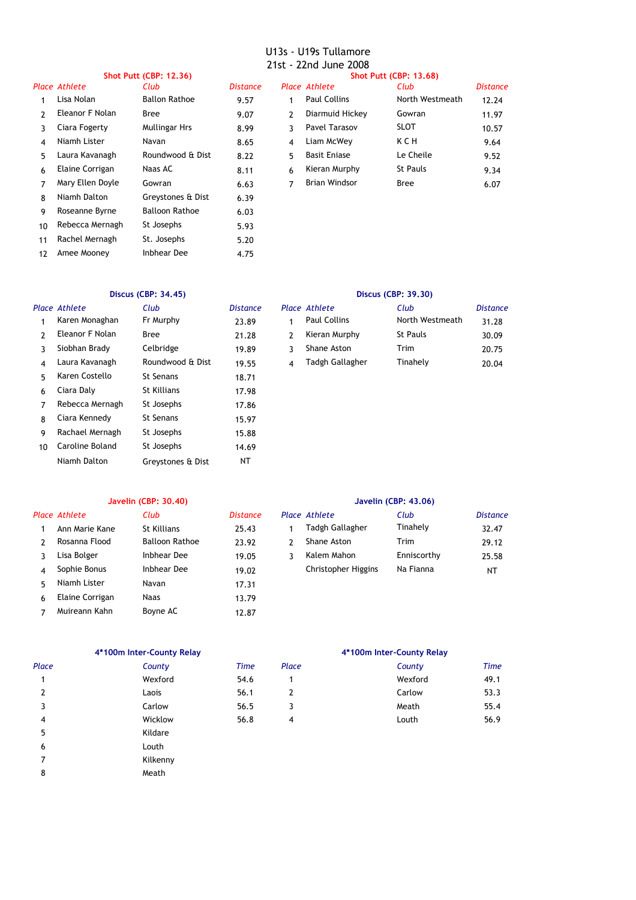| <b>Shot Putt (CBP: 12.36)</b> |                  |                       |                 | <b>Shot Putt (CBP: 13.68)</b> |                      |                 |          |  |
|-------------------------------|------------------|-----------------------|-----------------|-------------------------------|----------------------|-----------------|----------|--|
|                               | Place Athlete    | Club                  | <b>Distance</b> |                               | Place Athlete        | Club            | Distance |  |
|                               | Lisa Nolan       | <b>Ballon Rathoe</b>  | 9.57            | 1                             | <b>Paul Collins</b>  | North Westmeath | 12.24    |  |
| 2                             | Eleanor F Nolan  | <b>Bree</b>           | 9.07            | 2                             | Diarmuid Hickey      | Gowran          | 11.97    |  |
| ٦                             | Ciara Fogerty    | <b>Mullingar Hrs</b>  | 8.99            | 3                             | Pavel Tarasov        | <b>SLOT</b>     | 10.57    |  |
| 4                             | Niamh Lister     | Navan                 | 8.65            | $\overline{4}$                | Liam McWey           | K C H           | 9.64     |  |
| 5.                            | Laura Kavanagh   | Roundwood & Dist      | 8.22            | 5                             | <b>Basit Enjase</b>  | Le Cheile       | 9.52     |  |
| 6                             | Elaine Corrigan  | Naas AC               | 8.11            | 6                             | Kieran Murphy        | <b>St Pauls</b> | 9.34     |  |
|                               | Mary Ellen Doyle | Gowran                | 6.63            | 7                             | <b>Brian Windsor</b> | <b>Bree</b>     | 6.07     |  |
| 8                             | Niamh Dalton     | Greystones & Dist     | 6.39            |                               |                      |                 |          |  |
| 9                             | Roseanne Byrne   | <b>Balloon Rathoe</b> | 6.03            |                               |                      |                 |          |  |
| 10                            | Rebecca Mernagh  | St Josephs            | 5.93            |                               |                      |                 |          |  |
| 11                            | Rachel Mernagh   | St. Josephs           | 5.20            |                               |                      |                 |          |  |
|                               |                  |                       |                 |                               |                      |                 |          |  |

12 4.75 Amee Mooney Inbhear Dee

### *Place Athlete Club Distance Place Athlete Club Distance* 1 Karen Monaghan Fr Murphy 23.89 1 2 Eleanor F Nolan Bree 21.28 2 3 Siobhan Brady 19.89 3 Shane Aston Trim 20.75 4 19.55 4 Tinahely 20.04 Laura Kavanagh Roundwood & Dist Tadgh Gallagher 5 Karen Costello St Senans 18.71 6 Ciara Daly 17.98 St Killians 7 17.86 Rebecca Mernagh St Josephs 8 Ciara Kennedy St Senans 15.97 9 15.88 Rachael Mernagh St Josephs 10 Caroline Boland St Josephs 14.69 Niamh Dalton Greystones & Dist NT Celbridge St Senans St Senans

# **Discus (CBP: 34.45) Discus (CBP: 39.30)**

| Club             | <b>Distance</b> | Place Athlete       | Club            | <b>Distance</b> |
|------------------|-----------------|---------------------|-----------------|-----------------|
| Fr Murphy        | 23.89           | <b>Paul Collins</b> | North Westmeath | 31.28           |
| Bree             | 21.28           | Kieran Murphy       | <b>St Pauls</b> | 30.09           |
| Celbridge        | 19.89           | Shane Aston         | Trim            | 20.75           |
| Roundwood & Dist | 19.55           | Tadgh Gallagher     | Tinahely        | 20.04           |

# **Javelin (CBP: 30.40) Javelin (CBP: 43.06)**

|   | Place Athlete   | Club           | <b>Distance</b> |   | Place Athlete       | Club        | <b>Distance</b> |
|---|-----------------|----------------|-----------------|---|---------------------|-------------|-----------------|
|   | Ann Marie Kane  | St Killians    | 25.43           |   | Tadgh Gallagher     | Tinahely    | 32.47           |
|   | Rosanna Flood   | Balloon Rathoe | 23.92           |   | Shane Aston         | Trim        | 29.12           |
|   | Lisa Bolger     | Inbhear Dee    | 19.05           | 3 | Kalem Mahon         | Enniscorthy | 25.58           |
| 4 | Sophie Bonus    | Inbhear Dee    | 19.02           |   | Christopher Higgins | Na Fianna   | NT              |
| 5 | Niamh Lister    | Navan          | 17.31           |   |                     |             |                 |
| 6 | Elaine Corrigan | Naas           | 13.79           |   |                     |             |                 |
|   | Muireann Kahn   | Boyne AC       | 12.87           |   |                     |             |                 |

# **4\*100m Inter-County Relay 4\*100m Inter-County Relay**

| Place | County   | <b>Time</b> | Place | County  | <b>Time</b> |
|-------|----------|-------------|-------|---------|-------------|
| 1     | Wexford  | 54.6        |       | Wexford | 49.1        |
| 2     | Laois    | 56.1        | 2     | Carlow  | 53.3        |
| 3     | Carlow   | 56.5        | 3     | Meath   | 55.4        |
| 4     | Wicklow  | 56.8        | 4     | Louth   | 56.9        |
| 5     | Kildare  |             |       |         |             |
| 6     | Louth    |             |       |         |             |
| 7     | Kilkenny |             |       |         |             |
| 8     | Meath    |             |       |         |             |
|       |          |             |       |         |             |

| County  | <b>Time</b> |
|---------|-------------|
| Wexford | 49.1        |
| Carlow  | 53.3        |
| Meath   | 55.4        |
| Louth   | 56.9        |
|         |             |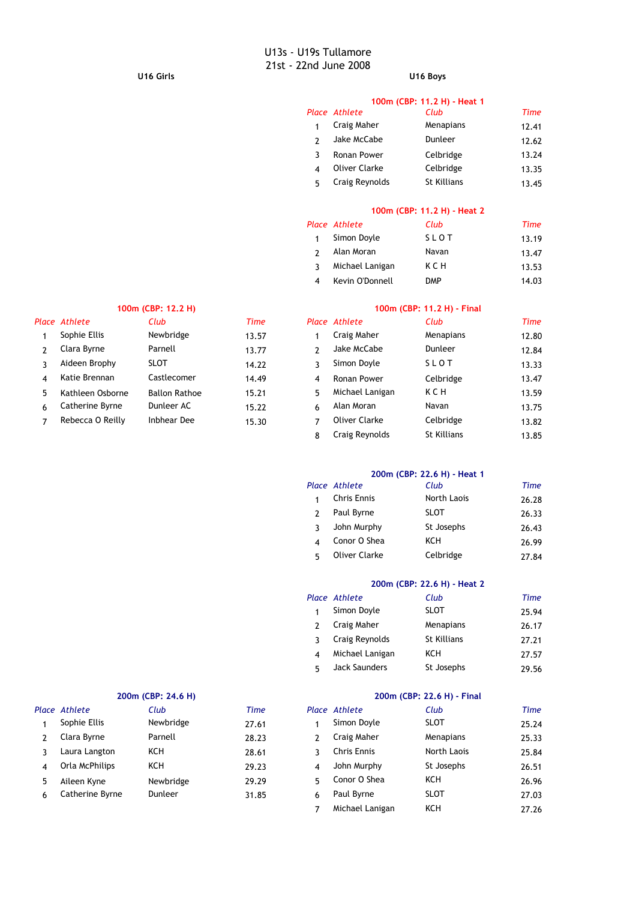# **U16 Girls U16 Boys**

|   | 100m (CBP: 11.2 H) - Heat 1 |                    |             |  |  |  |  |
|---|-----------------------------|--------------------|-------------|--|--|--|--|
|   | Place Athlete               | Club               | <b>Time</b> |  |  |  |  |
|   | Craig Maher                 | Menapians          | 12.41       |  |  |  |  |
|   | Jake McCabe                 | Dunleer            | 12.62       |  |  |  |  |
| 3 | Ronan Power                 | Celbridge          | 13.24       |  |  |  |  |
| 4 | <b>Oliver Clarke</b>        | Celbridge          | 13.35       |  |  |  |  |
| 5 | Craig Reynolds              | <b>St Killians</b> | 13.45       |  |  |  |  |

# **100m (CBP: 11.2 H) - Heat 2**

|              | Place Athlete   | Club       | Time  |
|--------------|-----------------|------------|-------|
| $\mathbf{1}$ | Simon Doyle     | SLOT       | 13.19 |
|              | Alan Moran      | Navan      | 13.47 |
| ર            | Michael Lanigan | ксн        | 13.53 |
|              | Kevin O'Donnell | <b>DMP</b> | 14.03 |

|   | Place Athlete    | Club                 | Time  |   | Place Athlete   | Club      | Time  |
|---|------------------|----------------------|-------|---|-----------------|-----------|-------|
|   | Sophie Ellis     | Newbridge            | 13.57 |   | Craig Maher     | Menapians | 12.80 |
|   | Clara Byrne      | Parnell              | 13.77 |   | Jake McCabe     | Dunleer   | 12.84 |
|   | Aideen Brophy    | <b>SLOT</b>          | 14.22 |   | Simon Doyle     | SLOT      | 13.33 |
| 4 | Katie Brennan    | Castlecomer          | 14.49 | 4 | Ronan Power     | Celbridge | 13.47 |
| 5 | Kathleen Osborne | <b>Ballon Rathoe</b> | 15.21 | 5 | Michael Lanigan | K C H     | 13.59 |
| 6 | Catherine Byrne  | Dunleer AC           | 15.22 | 6 | Alan Moran      | Navan     | 13.75 |
|   | Rebecca O Reilly | Inbhear Dee          | 15.30 |   | Oliver Clarke   | Celbridge | 13.82 |

# **100m (CBP: 12.2 H) 100m (CBP: 11.2 H) - Final**

| Club                 | Time  |               | Place Athlete        | Club        | Time  |
|----------------------|-------|---------------|----------------------|-------------|-------|
| Newbridge            | 13.57 |               | Craig Maher          | Menapians   | 12.80 |
| Parnell              | 13.77 | $\mathcal{P}$ | Jake McCabe          | Dunleer     | 12.84 |
| SLOT                 | 14.22 | 3             | Simon Doyle          | SLOT        | 13.33 |
| Castlecomer          | 14.49 | 4             | Ronan Power          | Celbridge   | 13.47 |
| <b>Ballon Rathoe</b> | 15.21 | 5             | Michael Lanigan      | KCH         | 13.59 |
| Dunleer AC           | 15.22 | 6             | Alan Moran           | Navan       | 13.75 |
| Inbhear Dee          | 15.30 | 7             | <b>Oliver Clarke</b> | Celbridge   | 13.82 |
|                      |       | 8             | Craig Reynolds       | St Killians | 13.85 |

# **200m (CBP: 22.6 H) - Heat 1**

| Place Athlete        | Club        | <b>Time</b> |
|----------------------|-------------|-------------|
| <b>Chris Ennis</b>   | North Laois | 26.28       |
| Paul Byrne           | <b>SLOT</b> | 26.33       |
| John Murphy          | St Josephs  | 26.43       |
| Conor O Shea         | KCH         | 26.99       |
| <b>Oliver Clarke</b> | Celbridge   | 27.84       |

# **200m (CBP: 22.6 H) - Heat 2**

|   | Place Athlete        | Club               | <b>Time</b> |
|---|----------------------|--------------------|-------------|
|   | Simon Doyle          | <b>SLOT</b>        | 25.94       |
|   | Craig Maher          | Menapians          | 26.17       |
|   | Craig Reynolds       | <b>St Killians</b> | 27.21       |
| Δ | Michael Lanigan      | KCH                | 27.57       |
|   | <b>Jack Saunders</b> | St Josephs         | 29.56       |

|   | <b><i>LUVIII</i></b> (CDF, 24.0 III) |           |       |   | $LUUIII$ (CDF, $LL, 0$ III) $-1$ IIIIai |             |             |  |
|---|--------------------------------------|-----------|-------|---|-----------------------------------------|-------------|-------------|--|
|   | Place Athlete                        | Club      | Time  |   | Place Athlete                           | Club        | <b>Time</b> |  |
|   | Sophie Ellis                         | Newbridge | 27.61 |   | Simon Doyle                             | <b>SLOT</b> | 25.24       |  |
|   | Clara Byrne                          | Parnell   | 28.23 |   | Craig Maher                             | Menapians   | 25.33       |  |
|   | Laura Langton                        | KCH       | 28.61 |   | <b>Chris Ennis</b>                      | North Laois | 25.84       |  |
| 4 | Orla McPhilips                       | KCH       | 29.23 | 4 | John Murphy                             | St Josephs  | 26.51       |  |
| 5 | Aileen Kyne                          | Newbridge | 29.29 | 5 | Conor O Shea                            | KCH         | 26.96       |  |
| 6 | Catherine Byrne                      | Dunleer   | 31.85 | 6 | Paul Byrne                              | <b>SLOT</b> | 27.03       |  |
|   |                                      |           |       |   |                                         |             |             |  |

# **200m (CBP: 24.6 H) 200m (CBP: 22.6 H) - Final**

|   | Place Athlete      | Club        | Time  |
|---|--------------------|-------------|-------|
|   | Simon Doyle        | <b>SLOT</b> | 25.24 |
| 2 | Craig Maher        | Menapians   | 25.33 |
| ર | <b>Chris Ennis</b> | North Laois | 25.84 |
| 4 | John Murphy        | St Josephs  | 26.51 |
| 5 | Conor O Shea       | KCH         | 26.96 |
| 6 | Paul Byrne         | <b>SLOT</b> | 27.03 |
|   | Michael Lanigan    | KCH         | 27.26 |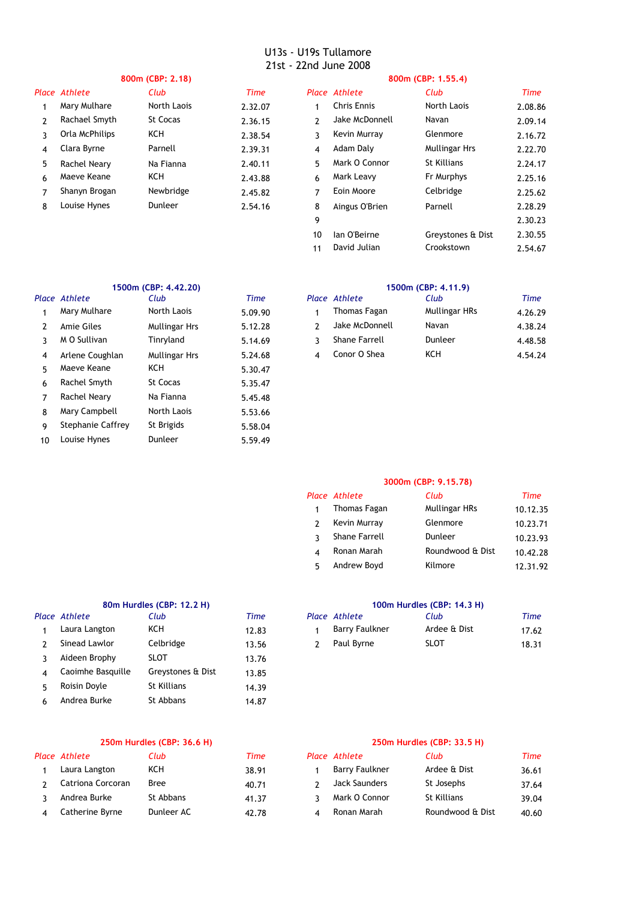| 800m (CBP: 2.18) |                |             | 800m (CBP: 1.55.4) |               |                    |                      |         |
|------------------|----------------|-------------|--------------------|---------------|--------------------|----------------------|---------|
|                  | Place Athlete  | Club        | Time               |               | Place Athlete      | Club                 | Time    |
|                  | Mary Mulhare   | North Laois | 2.32.07            |               | <b>Chris Ennis</b> | North Laois          | 2.08.86 |
| 2                | Rachael Smyth  | St Cocas    | 2.36.15            | $\mathcal{P}$ | Jake McDonnell     | Navan                | 2.09.14 |
| 3                | Orla McPhilips | KCH         | 2.38.54            | 3             | Kevin Murray       | Glenmore             | 2.16.72 |
| 4                | Clara Byrne    | Parnell     | 2.39.31            | 4             | Adam Daly          | <b>Mullingar Hrs</b> | 2.22.70 |
| 5                | Rachel Neary   | Na Fianna   | 2.40.11            | 5             | Mark O Connor      | St Killians          | 2.24.17 |
| 6                | Maeve Keane    | KCH         | 2.43.88            | 6             | Mark Leavy         | Fr Murphys           | 2.25.16 |
| 7                | Shanyn Brogan  | Newbridge   | 2.45.82            | 7             | Eoin Moore         | Celbridge            | 2.25.62 |
| 8                | Louise Hynes   | Dunleer     | 2.54.16            | 8             | Aingus O'Brien     | Parnell              | 2.28.29 |
|                  |                |             |                    | 9             |                    |                      | 2.30.23 |
|                  |                |             |                    | 10            | lan O'Beirne       | Greystones & Dist    | 2.30.55 |
|                  |                |             |                    | 11            | David Julian       | Crookstown           | 2.54.67 |

| 1500m (CBP: 4.42.20) |                   |                      |         | 1500m (CBP: 4.11.9) |                      |               |        |
|----------------------|-------------------|----------------------|---------|---------------------|----------------------|---------------|--------|
|                      | Place Athlete     | Club                 | Time    |                     | Place Athlete        | Club          | Time   |
|                      | Mary Mulhare      | North Laois          | 5.09.90 |                     | Thomas Fagan         | Mullingar HRs | 4.26.2 |
| 2                    | Amie Giles        | <b>Mullingar Hrs</b> | 5.12.28 | 2                   | Jake McDonnell       | Navan         | 4.38.2 |
| 3                    | M O Sullivan      | Tinryland            | 5.14.69 | 3                   | <b>Shane Farrell</b> | Dunleer       | 4.48.5 |
| 4                    | Arlene Coughlan   | <b>Mullingar Hrs</b> | 5.24.68 | 4                   | Conor O Shea         | KCH           | 4.54.2 |
| 5                    | Maeve Keane       | KCH                  | 5.30.47 |                     |                      |               |        |
| 6                    | Rachel Smyth      | St Cocas             | 5.35.47 |                     |                      |               |        |
|                      | Rachel Neary      | Na Fianna            | 5.45.48 |                     |                      |               |        |
| 8                    | Mary Campbell     | North Laois          | 5.53.66 |                     |                      |               |        |
| 9                    | Stephanie Caffrey | St Brigids           | 5.58.04 |                     |                      |               |        |
| 10                   | Louise Hynes      | Dunleer              | 5.59.49 |                     |                      |               |        |
|                      |                   |                      |         |                     |                      |               |        |

|   | ace Athlete      | Club                 | Time    | Place Athlete  | Club          | Time    |
|---|------------------|----------------------|---------|----------------|---------------|---------|
|   | Mary Mulhare     | North Laois          | 5.09.90 | Thomas Fagan   | Mullingar HRs | 4.26.29 |
|   | Amie Giles       | <b>Mullingar Hrs</b> | 5.12.28 | Jake McDonnell | Navan         | 4.38.24 |
|   | ่ 3 M O Sullivan | Tinrvland            | 5.14.69 | Shane Farrell  | Dunleer       | 4.48.58 |
| 4 | Arlene Coughlan  | <b>Mullingar Hrs</b> | 5.24.68 | Conor O Shea   | KCH           | 4.54.24 |

# **3000m (CBP: 9.15.78)**

|    | Place Athlete        | Club             | <b>Time</b> |
|----|----------------------|------------------|-------------|
| 1  | Thomas Fagan         | Mullingar HRs    | 10.12.35    |
|    | Kevin Murray         | Glenmore         | 10.23.71    |
|    | <b>Shane Farrell</b> | Dunleer          | 10.23.93    |
|    | Ronan Marah          | Roundwood & Dist | 10.42.28    |
| г, | Andrew Boyd          | Kilmore          | 12.31.92    |

# **80m Hurdles (CBP: 12.2 H) 100m Hurdles (CBP: 14.3 H)** *Place Athlete Club*

| Laura Langton     | KCH               | 12.83 | <b>Barry Faulkner</b> | Ardee & Dist |
|-------------------|-------------------|-------|-----------------------|--------------|
| Sinead Lawlor     | Celbridge         | 13.56 | Paul Byrne            | SLOT         |
| Aideen Brophy     | <b>SLOT</b>       | 13.76 |                       |              |
| Caoimhe Basquille | Greystones & Dist | 13.85 |                       |              |
| Roisin Doyle      | St Killians       | 14.39 |                       |              |
| Andrea Burke      | St Abbans         | 14.87 |                       |              |
|                   |                   |       |                       |              |

| ace Athlete   | Club      | Time  | Place Athlete  | Club         | Time  |
|---------------|-----------|-------|----------------|--------------|-------|
| Laura Langton | KCH       | 12.83 | Barry Faulkner | Ardee & Dist | 17.62 |
| Sinead Lawlor | Celbridge | 13.56 | Paul Byrne     | <b>SLOT</b>  | 18.31 |

# **250m Hurdles (CBP: 36.6 H) 250m Hurdles (CBP: 33.5 H)**

| Place Athlete     | Club       | Time  | Place Athlete         | Club         |
|-------------------|------------|-------|-----------------------|--------------|
| Laura Langton     | KCH        | 38.91 | <b>Barry Faulkner</b> | Ardee & Dist |
| Catriona Corcoran | Bree       | 40.71 | Jack Saunders         | St Josephs   |
| Andrea Burke      | St Abbans  | 41.37 | Mark O Connor         | St Killians  |
| Catherine Byrne   | Dunleer AC | 42.78 | Ronan Marah           | Roundwood    |

| Place Athlete            | Club       | Time  | Place Athlete  | Club             | Time  |
|--------------------------|------------|-------|----------------|------------------|-------|
| Laura Langton            | KCH        | 38.91 | Barry Faulkner | Ardee & Dist     | 36.61 |
| <b>Catriona Corcoran</b> | Bree       | 40.71 | Jack Saunders  | St Josephs       | 37.64 |
| Andrea Burke             | St Abbans  | 41.37 | Mark O Connor  | St Killians      | 39.04 |
| Catherine Byrne          | Dunleer AC | 42.78 | Ronan Marah    | Roundwood & Dist | 40.60 |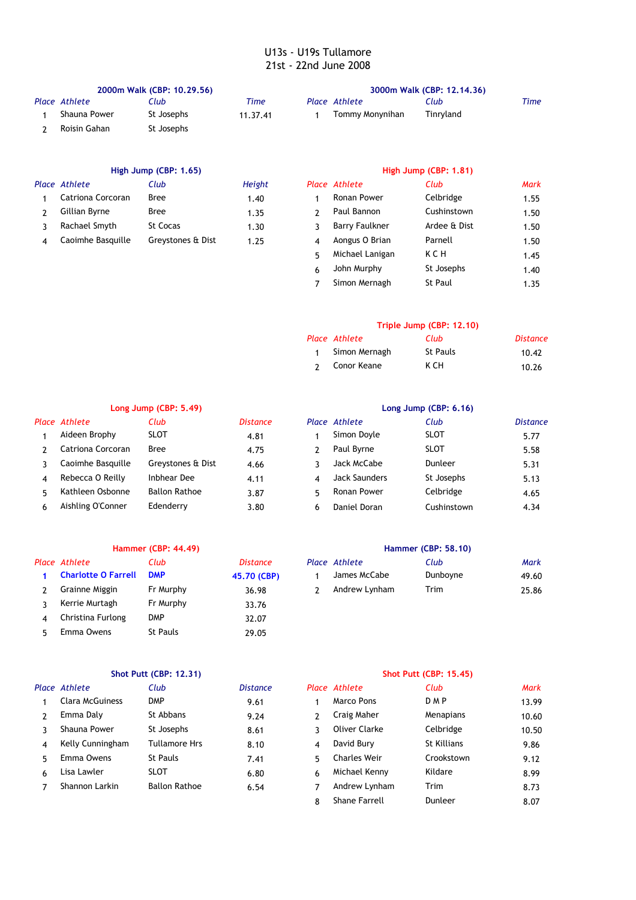| 2000m Walk (CBP: 10.29.56) |            |          |  | 3000m Walk (CBP: 12.14.36) |           |      |  |  |
|----------------------------|------------|----------|--|----------------------------|-----------|------|--|--|
| Place Athlete              | Club       | Time     |  | Place Athlete              | Club      | Time |  |  |
| Shauna Power               | St Josephs | 11.37.41 |  | Tommy Monynihan            | Tinryland |      |  |  |
| Roisin Gahan               | St Josephs |          |  |                            |           |      |  |  |

# **High Jump (CBP: 1.65) High Jump (CBP: 1.81)** *Place Athlete Club Height Place Athlete Club Mark* Gillian Byrne Bree Paul Bannon Cushinstown

|   | ace Athlete       | Club              | Height |   | Place Athlete         | Club           | <b>Mark</b> |
|---|-------------------|-------------------|--------|---|-----------------------|----------------|-------------|
|   | Catriona Corcoran | <b>Bree</b>       | 1.40   |   | Ronan Power           | Celbridge      | 1.55        |
|   | Gillian Byrne     | <b>Bree</b>       | 1.35   |   | Paul Bannon           | Cushinstown    | 1.50        |
| ς | Rachael Smyth     | <b>St Cocas</b>   | 1.30   |   | <b>Barry Faulkner</b> | Ardee & Dist   | 1.50        |
| 4 | Caoimhe Basquille | Greystones & Dist | 1.25   | 4 | Aongus O Brian        | Parnell        | 1.50        |
|   |                   |                   |        |   | Michael Lanigan       | KCH            | 1.45        |
|   |                   |                   |        | 6 | John Murphy           | St Josephs     | 1.40        |
|   |                   |                   |        |   | Simon Mernagh         | <b>St Paul</b> | 1.35        |

# **Triple Jump (CBP: 12.10)**

| Place Athlete   | Club     | Distance |
|-----------------|----------|----------|
| 1 Simon Mernagh | St Pauls | 10.42    |
| 2 Conor Keane   | к сн     | 10.26    |

|   | Long Jump (CBP: 5.49) |                      |                 | Long Jump (CBP: 6.16) |               |             |               |  |
|---|-----------------------|----------------------|-----------------|-----------------------|---------------|-------------|---------------|--|
|   | Place Athlete         | Club                 | <b>Distance</b> |                       | Place Athlete | Club        | <b>Distan</b> |  |
|   | Aideen Brophy         | <b>SLOT</b>          | 4.81            |                       | Simon Doyle   | <b>SLOT</b> | 5.77          |  |
|   | Catriona Corcoran     | <b>Bree</b>          | 4.75            |                       | Paul Byrne    | <b>SLOT</b> | 5.58          |  |
|   | Caoimhe Basquille     | Greystones & Dist    | 4.66            |                       | Jack McCabe   | Dunleer     | 5.31          |  |
| 4 | Rebecca O Reilly      | Inbhear Dee          | 4.11            | 4                     | Jack Saunders | St Josephs  | 5.13          |  |
|   | Kathleen Osbonne      | <b>Ballon Rathoe</b> | 3.87            | 5                     | Ronan Power   | Celbridge   | 4.65          |  |
| 6 | Aishling O'Conner     | Edenderry            | 3.80            | 6                     | Daniel Doran  | Cushinstown | 4.34          |  |

# **Long Jump (CBP: 5.49) Long Jump (CBP: 6.16)** *Place Athlete Club Distance Place Athlete Club Distance*

|    | Aideen Brophy     | <b>SLOT</b>          | 4.81 |   | Simon Doyle          | <b>SLOT</b> | 5.77 |
|----|-------------------|----------------------|------|---|----------------------|-------------|------|
|    | Catriona Corcoran | <b>Bree</b>          | 4.75 |   | Paul Byrne           | <b>SLOT</b> | 5.58 |
|    | Caoimhe Basquille | Greystones & Dist    | 4.66 |   | Jack McCabe          | Dunleer     | 5.31 |
| 4  | Rebecca O Reilly  | Inbhear Dee          | 4.11 |   | <b>Jack Saunders</b> | St Josephs  | 5.13 |
|    | Kathleen Osbonne  | <b>Ballon Rathoe</b> | 3.87 |   | Ronan Power          | Celbridge   | 4.65 |
| 6. | Aishling O'Conner | Edenderry            | 3.80 | h | Daniel Doran         | Cushinstown | 4.34 |
|    |                   |                      |      |   |                      |             |      |

# **Hammer (CBP: 44.49) Hammer (CBP: 58.10) 1 Charlotte O Farrell DMP** 45.70 (CBP) 3 Kerrie Murtagh Fr Murphy 133.76 4 Christina Furlong DMP 32.07

5 29.05 Emma Owens St Pauls

| Place Athlete             | Club      | Distance    | Place Athlete | Club     | Mark  |
|---------------------------|-----------|-------------|---------------|----------|-------|
| 1 Charlotte O Farrell DMP |           | 45.70 (CBP) | James McCabe  | Dunboyne | 49.60 |
| Grainne Miggin            | Fr Murphy | 36.98       | Andrew Lynham | Trim     | 25.86 |

|    |                        | SIOUPUL[UDF; 12,31] |                 | <b>SHOL PULL (CDP; 19.49)</b> |               |             |             |  |
|----|------------------------|---------------------|-----------------|-------------------------------|---------------|-------------|-------------|--|
|    | Place Athlete          | Club                | <b>Distance</b> |                               | Place Athlete | Club        | <b>Mark</b> |  |
|    | <b>Clara McGuiness</b> | <b>DMP</b>          | 9.61            |                               | Marco Pons    | <b>DMP</b>  | 13.99       |  |
|    | Emma Daly              | St Abbans           | 9.24            |                               | Craig Maher   | Menapians   | 10.60       |  |
|    | Shauna Power           | St Josephs          | 8.61            |                               | Oliver Clarke | Celbridge   | 10.50       |  |
| 4  | Kelly Cunningham       | Tullamore Hrs       | 8.10            | 4                             | David Bury    | St Killians | 9.86        |  |
| ҕ. | Emma Owens             | <b>St Pauls</b>     | 7.41            | ҕ.                            | Charles Weir  | Crookstown  | 9.12        |  |
|    | Lisa Lawler            | SLOT                | 6.80            | 6                             | Michael Kenny | Kildare     | 8.99        |  |

# **Shot Putt (CBP: 12.31) Shot Putt (CBP: 15.45)**

|    | ace Athlete            | Club                 | <b>Distance</b> |   | Place Athlete        | Club        | Mark  |
|----|------------------------|----------------------|-----------------|---|----------------------|-------------|-------|
|    | <b>Clara McGuiness</b> | <b>DMP</b>           | 9.61            |   | Marco Pons           | <b>DMP</b>  | 13.99 |
| 2  | Emma Daly              | St Abbans            | 9.24            |   | Craig Maher          | Menapians   | 10.60 |
| 3  | Shauna Power           | St Josephs           | 8.61            |   | Oliver Clarke        | Celbridge   | 10.50 |
| 4  | Kelly Cunningham       | <b>Tullamore Hrs</b> | 8.10            | 4 | David Bury           | St Killians | 9.86  |
| 5. | Emma Owens             | St Pauls             | 7.41            |   | <b>Charles Weir</b>  | Crookstown  | 9.12  |
| 6. | Lisa Lawler            | <b>SLOT</b>          | 6.80            | 6 | Michael Kenny        | Kildare     | 8.99  |
|    | Shannon Larkin         | <b>Ballon Rathoe</b> | 6.54            |   | Andrew Lynham        | <b>Trim</b> | 8.73  |
|    |                        |                      |                 | 8 | <b>Shane Farrell</b> | Dunleer     | 8.07  |
|    |                        |                      |                 |   |                      |             |       |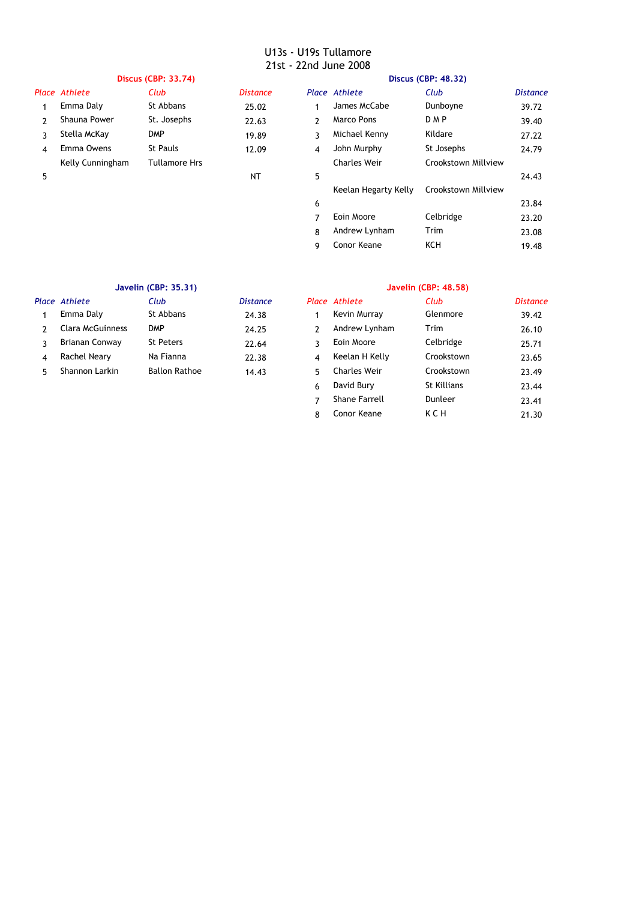|   | <b>Discus (CBP: 33.74)</b> |                      |                 | Discus (CBP: 48.32) |                      |                     |                 |
|---|----------------------------|----------------------|-----------------|---------------------|----------------------|---------------------|-----------------|
|   | Place Athlete              | Club                 | <b>Distance</b> |                     | Place Athlete        | Club                | <b>Distance</b> |
|   | Emma Daly                  | St Abbans            | 25.02           |                     | James McCabe         | Dunboyne            | 39.72           |
|   | Shauna Power               | St. Josephs          | 22.63           | 2                   | <b>Marco Pons</b>    | <b>DMP</b>          | 39.40           |
|   | Stella McKay               | <b>DMP</b>           | 19.89           | 3                   | Michael Kenny        | Kildare             | 27.22           |
| 4 | Emma Owens                 | <b>St Pauls</b>      | 12.09           | 4                   | John Murphy          | St Josephs          | 24.79           |
|   | Kelly Cunningham           | <b>Tullamore Hrs</b> |                 |                     | <b>Charles Weir</b>  | Crookstown Millview |                 |
| 5 |                            |                      | <b>NT</b>       | 5                   |                      |                     | 24.43           |
|   |                            |                      |                 |                     | Keelan Hegarty Kelly | Crookstown Millview |                 |
|   |                            |                      |                 | 6                   |                      |                     | 23.84           |
|   |                            |                      |                 | ⇁                   | Eoin Moore           | Celbridge           | 23.20           |
|   |                            |                      |                 | 8                   | Andrew Lynham        | Trim                | 23.08           |
|   |                            |                      |                 | 9                   | Conor Keane          | KCH                 | 19.48           |

# **Javelin (CBP: 35.31) Javelin (CBP: 48.58)**

| Place Athlete           | Club                 | <b>Distance</b> |    | Place Athlete       | Club       |
|-------------------------|----------------------|-----------------|----|---------------------|------------|
| Emma Daly               | St Abbans            | 24.38           |    | Kevin Murray        | Glenmore   |
| <b>Clara McGuinness</b> | <b>DMP</b>           | 24.25           |    | Andrew Lynham       | Trim       |
| Brianan Conway          | St Peters            | 22.64           |    | Eoin Moore          | Celbridge  |
| Rachel Neary            | Na Fianna            | 22.38           |    | Keelan H Kelly      | Crookstown |
| Shannon Larkin          | <b>Ballon Rathoe</b> | 14.43           | г, | <b>Charles Weir</b> | Crookstown |

|    | Place Athlete           | Club                 | <b>Distance</b> |    | Place Athlete        | Club        | <b>Distance</b> |
|----|-------------------------|----------------------|-----------------|----|----------------------|-------------|-----------------|
|    | Emma Daly               | St Abbans            | 24.38           |    | Kevin Murray         | Glenmore    | 39.42           |
|    | <b>Clara McGuinness</b> | <b>DMP</b>           | 24.25           | 2  | Andrew Lynham        | Trim        | 26.10           |
|    | Brianan Conway          | <b>St Peters</b>     | 22.64           | 3  | Eoin Moore           | Celbridge   | 25.71           |
| 4  | Rachel Neary            | Na Fianna            | 22.38           | 4  | Keelan H Kelly       | Crookstown  | 23.65           |
| 5. | Shannon Larkin          | <b>Ballon Rathoe</b> | 14.43           | 5. | <b>Charles Weir</b>  | Crookstown  | 23.49           |
|    |                         |                      |                 | 6  | David Bury           | St Killians | 23.44           |
|    |                         |                      |                 |    | <b>Shane Farrell</b> | Dunleer     | 23.41           |
|    |                         |                      |                 | 8  | Conor Keane          | KCH         | 21.30           |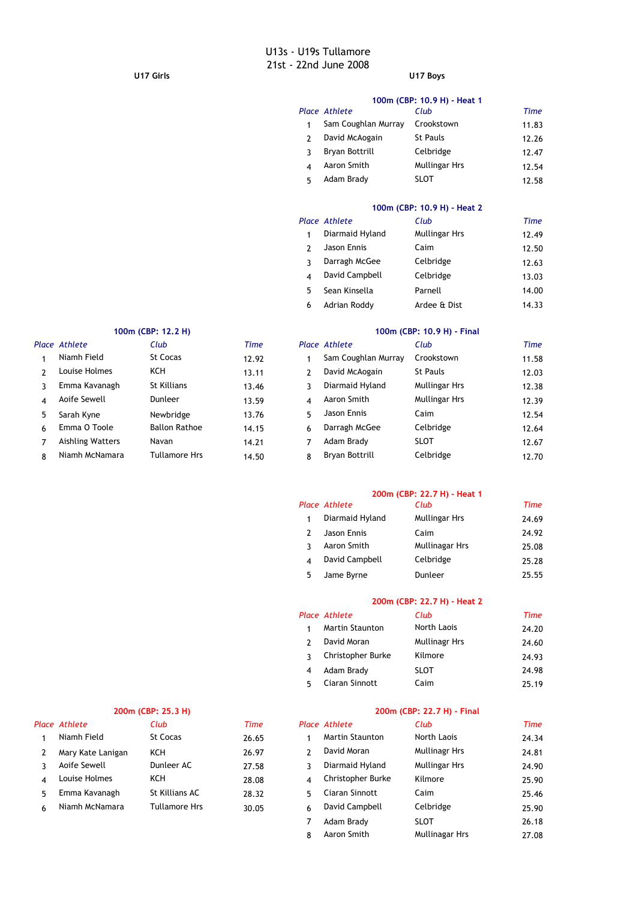### **U17 Girls U17 Boys**

|   | 100m (CBP: 10.9 H) - Heat 1 |                 |       |  |  |  |  |  |  |
|---|-----------------------------|-----------------|-------|--|--|--|--|--|--|
|   | Place Athlete               | Club            | Time  |  |  |  |  |  |  |
| 1 | Sam Coughlan Murray         | Crookstown      | 11.83 |  |  |  |  |  |  |
|   | David McAogain              | <b>St Pauls</b> | 12.26 |  |  |  |  |  |  |
|   | Bryan Bottrill              | Celbridge       | 12.47 |  |  |  |  |  |  |
|   | Aaron Smith                 | Mullingar Hrs   | 12.54 |  |  |  |  |  |  |
| 5 | Adam Brady                  | SLOT            | 12.58 |  |  |  |  |  |  |

# **100m (CBP: 10.9 H) - Heat 2**

|   | Place Athlete   | Club          | <b>Time</b> |
|---|-----------------|---------------|-------------|
|   | Diarmaid Hyland | Mullingar Hrs | 12.49       |
|   | Jason Ennis     | Caim          | 12.50       |
|   | Darragh McGee   | Celbridge     | 12.63       |
|   | David Campbell  | Celbridge     | 13.03       |
| 5 | Sean Kinsella   | Parnell       | 14.00       |
| 6 | Adrian Roddy    | Ardee & Dist  | 14.33       |

|    | Place Athlete    | Club                 | <b>Time</b> |    | Place Athlete       | Club            | <b>Time</b> |
|----|------------------|----------------------|-------------|----|---------------------|-----------------|-------------|
|    | Niamh Field      | St Cocas             | 12.92       |    | Sam Coughlan Murray | Crookstown      | 11.58       |
|    | Louise Holmes    | KCH                  | 13.11       |    | David McAogain      | <b>St Pauls</b> | 12.03       |
|    | Emma Kavanagh    | St Killians          | 13.46       |    | Diarmaid Hyland     | Mullingar Hrs   | 12.38       |
| 4  | Aoife Sewell     | <b>Dunleer</b>       | 13.59       | 4  | Aaron Smith         | Mullingar Hrs   | 12.39       |
| 5. | Sarah Kyne       | Newbridge            | 13.76       | 5. | Jason Ennis         | Caim            | 12.54       |
| 6  | Emma O Toole     | <b>Ballon Rathoe</b> | 14.15       | 6  | Darragh McGee       | Celbridge       | 12.64       |
|    | Aishling Watters | Navan                | 14.21       | 7  | Adam Brady          | <b>SLOT</b>     | 12.67       |
| 8  | Niamh McNamara   | <b>Tullamore Hrs</b> | 14.50       | 8  | Bryan Bottrill      | Celbridge       | 12.70       |
|    |                  |                      |             |    |                     |                 |             |

# **100m (CBP: 12.2 H) 100m (CBP: 10.9 H) - Final**

|   | Place Athlete       | Club            | <b>Time</b> |
|---|---------------------|-----------------|-------------|
| 1 | Sam Coughlan Murray | Crookstown      | 11.58       |
| 2 | David McAogain      | <b>St Pauls</b> | 12.03       |
| 3 | Diarmaid Hyland     | Mullingar Hrs   | 12.38       |
| 4 | Aaron Smith         | Mullingar Hrs   | 12.39       |
| 5 | Jason Ennis         | Caim            | 12.54       |
| 6 | Darragh McGee       | Celbridge       | 12.64       |
| 7 | Adam Brady          | <b>SLOT</b>     | 12.67       |
| 8 | Bryan Bottrill      | Celbridge       | 12.70       |

### **200m (CBP: 22.7 H) - Heat 1**

|   | Place Athlete   | Club           | Time  |
|---|-----------------|----------------|-------|
| 1 | Diarmaid Hyland | Mullingar Hrs  | 24.69 |
|   | Jason Ennis     | Caim           | 24.92 |
|   | Aaron Smith     | Mullinagar Hrs | 25.08 |
|   | David Campbell  | Celbridge      | 25.28 |
| 5 | Jame Byrne      | Dunleer        | 25.55 |

# **200m (CBP: 22.7 H) - Heat 2**

|   | Place Athlete     | Club          | Time  |
|---|-------------------|---------------|-------|
|   | Martin Staunton   | North Laois   | 24.20 |
|   | David Moran       | Mullinagr Hrs | 24.60 |
|   | Christopher Burke | Kilmore       | 24.93 |
|   | Adam Brady        | <b>SLOT</b>   | 24.98 |
| 5 | Ciaran Sinnott    | Caim          | 25.19 |

# *Place Athlete Club Time Place Athlete Club Time* Aoife Sewell **Dunleer AC** 27.58 Emma Kavanagh St Killians AC 28.32

## **200m (CBP: 25.3 H) 200m (CBP: 22.7 H) - Final**

|    | ace Athlete       | Club                 | Time  |                | Place Athlete          | Club                 | Time  |
|----|-------------------|----------------------|-------|----------------|------------------------|----------------------|-------|
| 1  | Niamh Field       | St Cocas             | 26.65 |                | <b>Martin Staunton</b> | North Laois          | 24.34 |
| 2  | Mary Kate Lanigan | <b>KCH</b>           | 26.97 |                | David Moran            | <b>Mullinagr Hrs</b> | 24.81 |
| ٦  | Aoife Sewell      | Dunleer AC           | 27.58 | 3.             | Diarmaid Hyland        | Mullingar Hrs        | 24.90 |
| 4  | Louise Holmes     | <b>KCH</b>           | 28.08 | $\overline{4}$ | Christopher Burke      | Kilmore              | 25.90 |
| 5. | Emma Kavanagh     | St Killians AC       | 28.32 | 5.             | Ciaran Sinnott         | Caim                 | 25.46 |
| 6  | Niamh McNamara    | <b>Tullamore Hrs</b> | 30.05 | 6              | David Campbell         | Celbridge            | 25.90 |
|    |                   |                      |       |                | Adam Brady             | <b>SLOT</b>          | 26.18 |
|    |                   |                      |       | 8              | Aaron Smith            | Mullinagar Hrs       | 27.08 |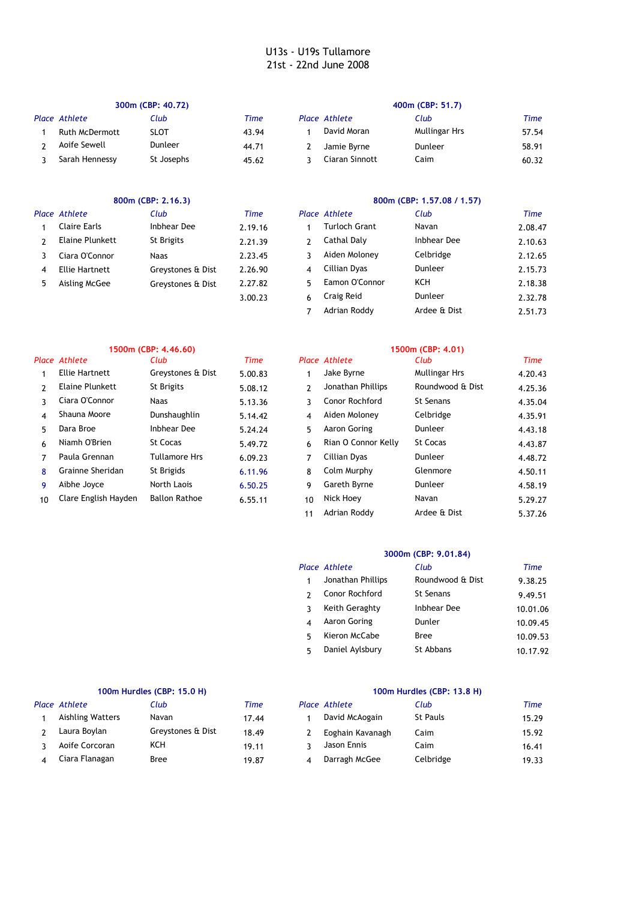| 300m (CBP: 40.72) |                       |                |       | 400m (CBP: 51.7) |                |               |       |
|-------------------|-----------------------|----------------|-------|------------------|----------------|---------------|-------|
|                   | Place Athlete         | Club           | Time  |                  | Place Athlete  | Club          | Time  |
|                   | <b>Ruth McDermott</b> | <b>SLOT</b>    | 43.94 |                  | David Moran    | Mullingar Hrs | 57.54 |
|                   | Aoife Sewell          | <b>Dunleer</b> | 44.71 |                  | Jamie Byrne    | Dunleer       | 58.91 |
|                   | Sarah Hennessy        | St Josephs     | 45.62 |                  | Ciaran Sinnott | Caim          | 60.32 |

|    | 800m (CBP: 2.16.3) |                   |         |   | 800m (CBP: 1.57.08 / 1.57) |              |         |  |
|----|--------------------|-------------------|---------|---|----------------------------|--------------|---------|--|
|    | Place Athlete      | Club              | Time    |   | Place Athlete              | Club         | Time    |  |
|    | Claire Earls       | Inbhear Dee       | 2.19.16 |   | Turloch Grant              | Navan        | 2.08.47 |  |
| 2  | Elaine Plunkett    | St Brigits        | 2.21.39 | 2 | Cathal Daly                | Inbhear Dee  | 2.10.63 |  |
|    | Ciara O'Connor     | <b>Naas</b>       | 2.23.45 | 3 | Aiden Moloney              | Celbridge    | 2.12.65 |  |
| 4  | Ellie Hartnett     | Greystones & Dist | 2.26.90 | 4 | Cillian Dyas               | Dunleer      | 2.15.73 |  |
| 5. | Aisling McGee      | Greystones & Dist | 2.27.82 | 5 | Eamon O'Connor             | KCH          | 2.18.38 |  |
|    |                    |                   | 3.00.23 | 6 | Craig Reid                 | Dunleer      | 2.32.78 |  |
|    |                    |                   |         |   | Adrian Roddy               | Ardee & Dist | 2.51.73 |  |

|    |                      | 1500m (CBP: 4.46.60) |         | 1500m (CBP: 4.01) |                     |                  |         |
|----|----------------------|----------------------|---------|-------------------|---------------------|------------------|---------|
|    | Place Athlete        | Club                 | Time    |                   | Place Athlete       | Club             | Time    |
|    | Ellie Hartnett       | Greystones & Dist    | 5.00.83 |                   | Jake Byrne          | Mullingar Hrs    | 4.20.43 |
| 2  | Elaine Plunkett      | St Brigits           | 5.08.12 | 2                 | Jonathan Phillips   | Roundwood & Dist | 4.25.36 |
| ٦  | Ciara O'Connor       | <b>Naas</b>          | 5.13.36 | 3                 | Conor Rochford      | <b>St Senans</b> | 4.35.04 |
| 4  | Shauna Moore         | Dunshaughlin         | 5.14.42 | $\overline{4}$    | Aiden Moloney       | Celbridge        | 4.35.91 |
| 5. | Dara Broe            | Inbhear Dee          | 5.24.24 | 5.                | Aaron Goring        | Dunleer          | 4.43.18 |
| 6  | Niamh O'Brien        | St Cocas             | 5.49.72 | 6                 | Rian O Connor Kelly | St Cocas         | 4.43.87 |
| 7  | Paula Grennan        | <b>Tullamore Hrs</b> | 6.09.23 | 7                 | Cillian Dyas        | Dunleer          | 4.48.72 |
| 8  | Grainne Sheridan     | St Brigids           | 6.11.96 | 8                 | Colm Murphy         | Glenmore         | 4.50.11 |
| 9  | Aibhe Joyce          | North Laois          | 6.50.25 | 9                 | Gareth Byrne        | Dunleer          | 4.58.19 |
| 10 | Clare English Hayden | <b>Ballon Rathoe</b> | 6.55.11 | 10                | Nick Hoey           | Navan            | 5.29.27 |
|    |                      |                      |         | 11                | Adrian Roddy        | Ardee & Dist     | 5.37.26 |

# **3000m (CBP: 9.01.84)**

|   | Place Athlete     | Club             | Time     |
|---|-------------------|------------------|----------|
|   | Jonathan Phillips | Roundwood & Dist | 9.38.25  |
|   | Conor Rochford    | <b>St Senans</b> | 9.49.51  |
| ર | Keith Geraghty    | Inbhear Dee      | 10.01.06 |
|   | Aaron Goring      | Dunler           | 10.09.45 |
| 5 | Kieron McCabe     | <b>Bree</b>      | 10.09.53 |
| 5 | Daniel Aylsbury   | St Abbans        | 10.17.92 |

| 100m Hurdles (CBP: 15.0 H) |                   |       |   | 100m Hurdles (CBP: 13.8 H) |                 |       |  |
|----------------------------|-------------------|-------|---|----------------------------|-----------------|-------|--|
| Place Athlete              | Club              | Time  |   | Place Athlete              | Club            | Time  |  |
| Aishling Watters           | Navan             | 17.44 |   | David McAogain             | <b>St Pauls</b> | 15.29 |  |
| Laura Boylan               | Greystones & Dist | 18.49 |   | Eoghain Kavanagh           | Caim            | 15.92 |  |
| Aoife Corcoran             | KCH               | 19.11 |   | Jason Ennis                | Caim            | 16.41 |  |
| Ciara Flanagan             | Bree              | 19.87 | Δ | Darragh McGee              | Celbridge       | 19.33 |  |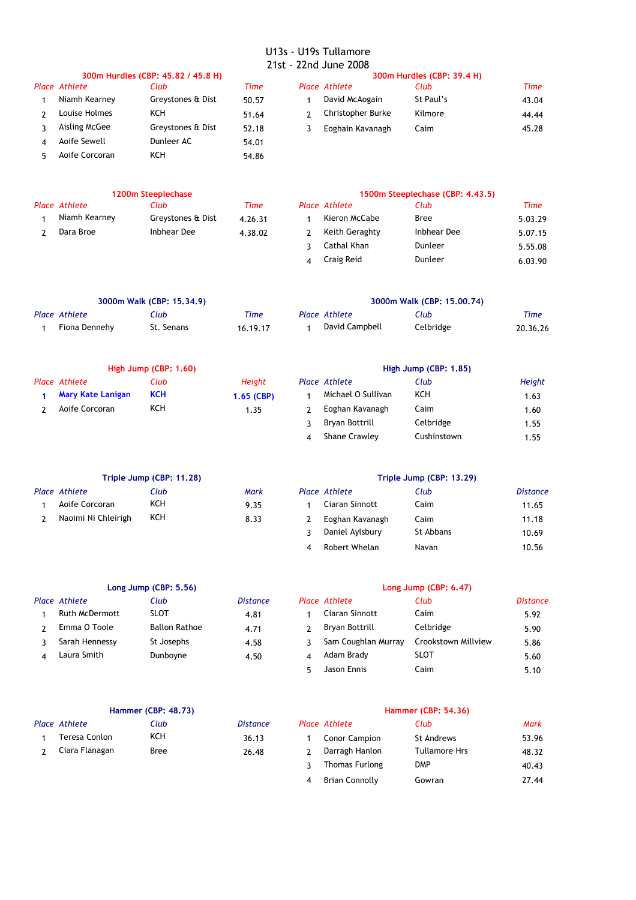| 300m Hurdles (CBP: 45.82 / 45.8 H) |                   |       |  | 300m Hurdles (CBP: 39.4 H) |           |       |  |
|------------------------------------|-------------------|-------|--|----------------------------|-----------|-------|--|
| Place Athlete                      | Club              | Time  |  | Place Athlete              | Club      | Time  |  |
| Niamh Kearney                      | Greystones & Dist | 50.57 |  | David McAogain             | St Paul's | 43.04 |  |
| Louise Holmes                      | ксн               | 51.64 |  | Christopher Burke          | Kilmore   | 44.44 |  |
| Aisling McGee                      | Greystones & Dist | 52.18 |  | Eoghain Kavanagh           | Caim      | 45.28 |  |
| Aoife Sewell                       | Dunleer AC        | 54.01 |  |                            |           |       |  |
| Aoife Corcoran                     | ксн               | 54.86 |  |                            |           |       |  |

|               | 1200m Steeplechase | 1500m Steeplechase (CBP |  |                                           |                    |
|---------------|--------------------|-------------------------|--|-------------------------------------------|--------------------|
| Place Athlete | Club               | Time                    |  | Place Athlete                             | Club               |
| Niamh Kearney | Greystones & Dist  | 4.26.31                 |  | Kieron McCabe                             | Bree               |
| Dara Broe     | Inbhear Dee        | 4.38.02                 |  | Keith Geraghty                            | <b>Inbhear Dee</b> |
|               |                    |                         |  | $\sim$ $\sim$ $\sim$ $\sim$ $\sim$ $\sim$ |                    |

# **1200m Steeplechase 1500m Steeplechase (CBP: 4.43.5)**

| 1200m Steeplechase |                   |         |  | 1500m Steeplechase (CBP: 4.43.5) |             |         |  |
|--------------------|-------------------|---------|--|----------------------------------|-------------|---------|--|
| ace Athlete        | Club              | Time    |  | Place Athlete                    | Club        | Time    |  |
| Niamh Kearney      | Greystones & Dist | 4.26.31 |  | Kieron McCabe                    | <b>Bree</b> | 5.03.29 |  |
| Dara Broe          | Inbhear Dee       | 4.38.02 |  | Keith Geraghty                   | Inbhear Dee | 5.07.15 |  |
|                    |                   |         |  | Cathal Khan                      | Dunleer     | 5.55.08 |  |
|                    |                   |         |  | Craig Reid                       | Dunleer     | 6.03.90 |  |

| 3000m Walk (CBP: 15.34.9) |               |            |          | 3000m Walk (CBP: 15,00,74) |                |           |          |
|---------------------------|---------------|------------|----------|----------------------------|----------------|-----------|----------|
|                           | Place Athlete | Club       | Time     |                            | Place Athlete  | Club      | Time     |
|                           | Fiona Dennehv | St. Senans | 16.19.17 |                            | David Campbell | Celbridge | 20.36.26 |

|                   | High Jump (CBP: 1.60) |               | High Jump (CBP: 1.85) |                    |           |        |
|-------------------|-----------------------|---------------|-----------------------|--------------------|-----------|--------|
| Place Athlete     | Club                  | <b>Height</b> |                       | Place Athlete      | Club      | Height |
| Mary Kate Lanigan | <b>KCH</b>            | $1.65$ (CBP)  |                       | Michael O Sullivan | KCH       | 1.63   |
| Aoife Corcoran    | KCH                   | 1.35          |                       | Eoghan Kavanagh    | Caim      | 1.60   |
|                   |                       |               |                       | Bryan Bottrill     | Celbridge | 1.55   |

| Triple Jump (CBP: 11.28) |      | Triple Jump (C |                      |       |
|--------------------------|------|----------------|----------------------|-------|
| <b>Place Athlete</b>     | Club | Mark           | <b>Place Athlete</b> | Club  |
| Aoife Corcoran           | ксн  | 9.35           | Ciaran Sinnott       | Caim  |
| Naoimi Ni Chleirigh      | KCH  | 8.33           | Eoghan Kavanagh      | Caim  |
|                          |      |                | Daniel Avlsbury      | St Ab |

# **Triple Jump (CBP: 11.28) Triple Jump (CBP: 13.29)**

4 Shane Crawley Cushinstown 1.55

Cushinstown

| Place Athlete       | Club | Mark | Place Athlete   | Club      | <b>Distance</b> |
|---------------------|------|------|-----------------|-----------|-----------------|
| Aoife Corcoran      | KCH  | 9.35 | Ciaran Sinnott  | Caim      | 11.65           |
| Naoimi Ni Chleirigh | KCH  | 8.33 | Eoghan Kavanagh | Caim      | 11.18           |
|                     |      |      | Daniel Aylsbury | St Abbans | 10.69           |
|                     |      |      | Robert Whelan   | Navan     | 10.56           |

|                |                      |                         | Long Jump (CBP: 6.47) |                     |                     |          |
|----------------|----------------------|-------------------------|-----------------------|---------------------|---------------------|----------|
|                | Club                 | <b>Distance</b>         |                       |                     | Club                | Distance |
| Ruth McDermott | <b>SLOT</b>          | 4.81                    |                       | Ciaran Sinnott      | Caim                | 5.92     |
| Emma O Toole   | <b>Ballon Rathoe</b> | 4.71                    |                       | Bryan Bottrill      | Celbridge           | 5.90     |
| Sarah Hennessy | St Josephs           | 4.58                    |                       | Sam Coughlan Murray | Crookstown Millview | 5.86     |
| Laura Smith    | Dunboyne             | 4.50                    |                       | Adam Brady          | <b>SLOT</b>         | 5.60     |
|                | Place Athlete        | Long Jump $(CBP: 5.56)$ |                       |                     | Place Athlete       |          |

|                | Place Athlete  | Club      |
|----------------|----------------|-----------|
|                | Ciaran Sinnott | Caim      |
| $\overline{2}$ | Bryan Bottrill | Celbridge |

| $\overline{2}$    | Bryan Bottrill                          | Celbridge   | 5.90 |
|-------------------|-----------------------------------------|-------------|------|
| $\mathcal{R}$     | Sam Coughlan Murray Crookstown Millview |             | 5.86 |
| $\mathbf{\Delta}$ | Adam Brady                              | <b>SLOT</b> | 5.60 |
| $5^{\circ}$       | Jason Ennis                             | Caim        | 5.10 |

| <b>Hammer (CBP: 48.73)</b> |             |                 |  | <b>Hammer (CBP: 54.36)</b> |               |       |  |
|----------------------------|-------------|-----------------|--|----------------------------|---------------|-------|--|
| Place Athlete              | Club        | <b>Distance</b> |  | Place Athlete              | Club          | Mark  |  |
| Teresa Conlon              | KCH         | 36.13           |  | <b>Conor Campion</b>       | St Andrews    | 53.96 |  |
| Ciara Flanagan             | <b>Bree</b> | 26.48           |  | Darragh Hanlon             | Tullamore Hrs | 48.32 |  |
|                            |             |                 |  | Thomas Furlong             | <b>DMP</b>    | 40.43 |  |
|                            |             |                 |  | Brian Connolly             | Gowran        | 27.44 |  |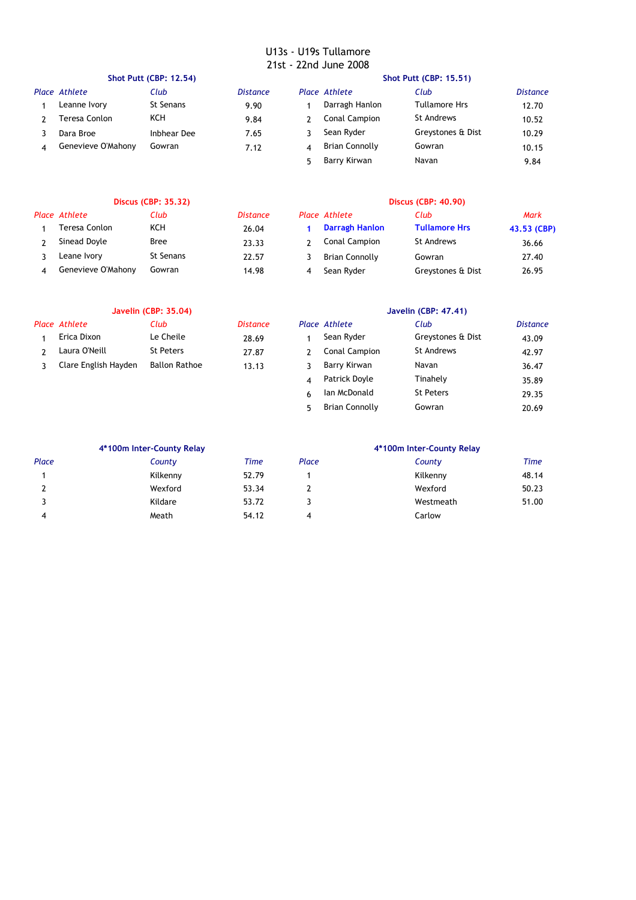|   |                    | <b>Shot Putt (CBP: 12.54)</b> |                 | <b>Shot Putt (CBP: 15.51)</b> |                      |                      |          |
|---|--------------------|-------------------------------|-----------------|-------------------------------|----------------------|----------------------|----------|
|   | Place Athlete      | Club                          | <b>Distance</b> |                               | Place Athlete        | Club                 | Distance |
|   | Leanne Ivory       | St Senans                     | 9.90            |                               | Darragh Hanlon       | <b>Tullamore Hrs</b> | 12.70    |
|   | Teresa Conlon      | KCH                           | 9.84            |                               | <b>Conal Campion</b> | St Andrews           | 10.52    |
|   | Dara Broe          | Inbhear Dee                   | 7.65            |                               | Sean Ryder           | Greystones & Dist    | 10.29    |
| 4 | Genevieve O'Mahony | Gowran                        | 7.12            | 4                             | Brian Connolly       | Gowran               | 10.15    |
|   |                    |                               |                 |                               | Barry Kirwan         | Navan                | 9.84     |

| <b>Discus (CBP: 35.32)</b> |                    |            |                 | <b>Discus (CBP: 40.90)</b> |                       |                      |             |
|----------------------------|--------------------|------------|-----------------|----------------------------|-----------------------|----------------------|-------------|
|                            | Place Athlete      | Club       | <b>Distance</b> |                            | Place Athlete         | Club                 | Mark        |
|                            | Teresa Conlon      | <b>KCH</b> | 26.04           |                            | Darragh Hanlon        | <b>Tullamore Hrs</b> | 43.53 (CBP) |
|                            | Sinead Doyle       | Bree       | 23.33           |                            | Conal Campion         | St Andrews           | 36.66       |
|                            | Leane Ivory        | St Senans  | 22.57           |                            | <b>Brian Connolly</b> | Gowran               | 27.40       |
| Δ                          | Genevieve O'Mahony | Gowran     | 14.98           |                            | Sean Ryder            | Greystones & Dist    | 26.95       |

| <b>Javelin (CBP: 35.04)</b> |                      |                 |   | Javelin (CBP: 47.41) |                   |                 |  |
|-----------------------------|----------------------|-----------------|---|----------------------|-------------------|-----------------|--|
| <b>Place Athlete</b>        | Club                 | <b>Distance</b> |   | Place Athlete        | Club              | <b>Distance</b> |  |
| Erica Dixon                 | Le Cheile            | 28.69           |   | Sean Ryder           | Greystones & Dist | 43.09           |  |
| Laura O'Neill               | <b>St Peters</b>     | 27.87           |   | Conal Campion        | <b>St Andrews</b> | 42.97           |  |
| Clare English Hayden        | <b>Ballon Rathoe</b> | 13.13           |   | Barry Kirwan         | Navan             | 36.47           |  |
|                             |                      |                 | 4 | Patrick Doyle        | Tinahely          | 35.89           |  |
|                             |                      |                 |   | Ian McDonald         | <b>St Peters</b>  | 29.35           |  |

5 20.69 Brian Connolly Gowran

|       | 4*100m Inter-County Relay |       | 4*100m Inter-County Relay |           |       |  |
|-------|---------------------------|-------|---------------------------|-----------|-------|--|
| Place | County                    | Time  | Place                     | County    | Time  |  |
|       | Kilkenny                  | 52.79 |                           | Kilkenny  | 48.14 |  |
|       | Wexford                   | 53.34 |                           | Wexford   | 50.23 |  |
|       | Kildare                   | 53.72 |                           | Westmeath | 51.00 |  |
|       | Meath                     | 54.12 | 4                         | Carlow    |       |  |
|       |                           |       |                           |           |       |  |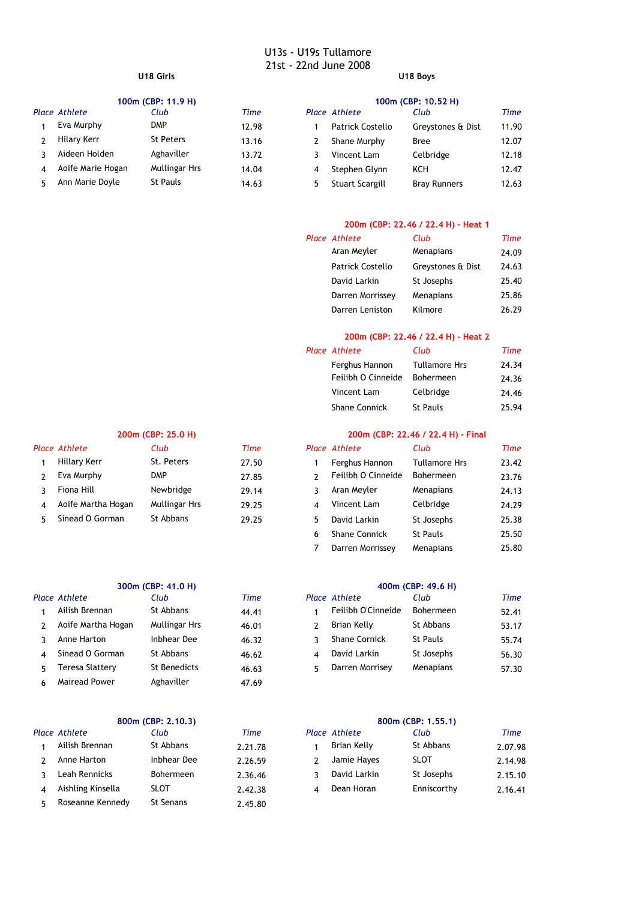|   | 100m (CBP: 11.9 H) |                  |             |   | 100m (CBP: 10.52 H) |                     |       |  |  |
|---|--------------------|------------------|-------------|---|---------------------|---------------------|-------|--|--|
|   | Place Athlete      | Club             | <b>Time</b> |   | Place Athlete       | Club                | Time  |  |  |
|   | Eva Murphy         | <b>DMP</b>       | 12.98       |   | Patrick Costello    | Greystones & Dist   | 11.90 |  |  |
|   | Hilary Kerr        | <b>St Peters</b> | 13.16       |   | Shane Murphy        | <b>Bree</b>         | 12.07 |  |  |
|   | Aideen Holden      | Aghaviller       | 13.72       |   | Vincent Lam         | Celbridge           | 12.18 |  |  |
| 4 | Aoife Marie Hogan  | Mullingar Hrs    | 14.04       | 4 | Stephen Glynn       | KCH                 | 12.47 |  |  |
|   | Ann Marie Doyle    | <b>St Pauls</b>  | 14.63       | 5 | Stuart Scargill     | <b>Bray Runners</b> | 12.63 |  |  |

# *Place Athlete Club Time Place Athlete Club Time* 1 Hillary Kerr St. Peters 27.50 2 Eva Murphy DMP 27.85 3 Fiona Hill Mewbridge 29.14 Newbridge

|    |                        | 300m (CBP: 41.0 H)   |       |    |                      | 400m (CBP: 49.6 H) |
|----|------------------------|----------------------|-------|----|----------------------|--------------------|
|    | ace Athlete            | Club                 | Time  |    | <b>Place Athlete</b> | Club               |
|    | Ailish Brennan         | St Abbans            | 44.41 | 1  | Feilibh O'Cinneide   | Bohermeen          |
| 2  | Aoife Martha Hogan     | <b>Mullingar Hrs</b> | 46.01 |    | Brian Kelly          | St Abbans          |
| ٦  | Anne Harton            | Inbhear Dee          | 46.32 |    | <b>Shane Cornick</b> | <b>St Pauls</b>    |
| 4  | Sinead O Gorman        | St Abbans            | 46.62 | 4  | David Larkin         | St Josephs         |
| 5. | <b>Teresa Slattery</b> | St Benedicts         | 46.63 | 5. | Darren Morrisey      | Menapians          |
| 6. | Mairead Power          | Aghaviller           | 47.69 |    |                      |                    |

|                |                   | 800m (CBP: 2.10.3) |         |   | 800m (CBP: 1.55.1)   |             |
|----------------|-------------------|--------------------|---------|---|----------------------|-------------|
|                | lace Athlete      | Club               | Time    |   | <b>Place Athlete</b> | Club        |
| $\mathbf{1}$   | Ailish Brennan    | St Abbans          | 2.21.78 |   | Brian Kelly          | St Abbans   |
| $\mathcal{L}$  | Anne Harton       | Inbhear Dee        | 2.26.59 |   | Jamie Hayes          | <b>SLOT</b> |
| $\mathcal{R}$  | Leah Rennicks     | Bohermeen          | 2.36.46 | ર | David Larkin         | St Josephs  |
| $\overline{4}$ | Aishling Kinsella | <b>SLOT</b>        | 2.42.38 | 4 | Dean Horan           | Enniscorthy |
| 5.             | Roseanne Kennedy  | <b>St Senans</b>   | 2.45.80 |   |                      |             |

# **U18 Girls U18 Boys**

|   | 100m (CBP: 10.52 H)       |                     |       |  |  |  |
|---|---------------------------|---------------------|-------|--|--|--|
|   | <sup>o</sup> lace Athlete | Club                | Time  |  |  |  |
|   | <b>Patrick Costello</b>   | Greystones & Dist   | 11.90 |  |  |  |
| 2 | Shane Murphy              | Bree                | 12.07 |  |  |  |
| 3 | Vincent Lam               | Celbridge           | 12.18 |  |  |  |
| 4 | Stephen Glynn             | KCH                 | 12.47 |  |  |  |
| 5 | Stuart Scargill           | <b>Bray Runners</b> | 12.63 |  |  |  |
|   |                           |                     |       |  |  |  |

## **200m (CBP: 22.46 / 22.4 H) - Heat 1**

| Place Athlete           | Club              | <b>Time</b> |
|-------------------------|-------------------|-------------|
| Aran Meyler             | Menapians         | 24.09       |
| <b>Patrick Costello</b> | Greystones & Dist | 24.63       |
| David Larkin            | St Josephs        | 25.40       |
| Darren Morrissey        | Menapians         | 25.86       |
| Darren Leniston         | Kilmore           | 26.29       |

# **200m (CBP: 22.46 / 22.4 H) - Heat 2**

| Place Athlete        | Club                 | Time  |
|----------------------|----------------------|-------|
| Ferghus Hannon       | <b>Tullamore Hrs</b> | 24.34 |
| Feilibh O Cinneide   | <b>Bohermeen</b>     | 24.36 |
| Vincent Lam          | Celbridge            | 24.46 |
| <b>Shane Connick</b> | <b>St Pauls</b>      | 25.94 |

# **200m (CBP: 25.0 H) 200m (CBP: 22.46 / 22.4 H) - Final**

|    | ace Athlete        | Club          | Time  |    | <b>Place Athlete</b> | Club                 | Time  |
|----|--------------------|---------------|-------|----|----------------------|----------------------|-------|
|    | Hillary Kerr       | St. Peters    | 27.50 |    | Ferghus Hannon       | <b>Tullamore Hrs</b> | 23.42 |
|    | Eva Murphy         | <b>DMP</b>    | 27.85 |    | Feilibh O Cinneide   | <b>Bohermeen</b>     | 23.76 |
| ٦  | Fiona Hill         | Newbridge     | 29.14 |    | Aran Meyler          | Menapians            | 24.13 |
| 4  | Aoife Martha Hogan | Mullingar Hrs | 29.25 | 4  | Vincent Lam          | Celbridge            | 24.29 |
| 5. | Sinead O Gorman    | St Abbans     | 29.25 | 5. | David Larkin         | St Josephs           | 25.38 |
|    |                    |               |       | 6  | <b>Shane Connick</b> | St Pauls             | 25.50 |
|    |                    |               |       |    | Darren Morrissey     | Menapians            | 25.80 |

# **300m (CBP: 41.0 H) 400m (CBP: 49.6 H)**

| Place Athlete      | Club          | <b>Time</b> | Place Athlete        | Club            | Time  |
|--------------------|---------------|-------------|----------------------|-----------------|-------|
| Ailish Brennan     | St Abbans     | 44.41       | Feilibh O'Cinneide   | Bohermeen       | 52.41 |
| Aoife Martha Hogan | Mullingar Hrs | 46.01       | Brian Kelly          | St Abbans       | 53.17 |
| Anne Harton        | Inbhear Dee   | 46.32       | <b>Shane Cornick</b> | <b>St Pauls</b> | 55.74 |
| Sinead O Gorman    | St Abbans     | 46.62       | David Larkin         | St Josephs      | 56.30 |
| Teresa Slattery    | St Benedicts  | 46.63       | Darren Morrisey      | Menapians       | 57.30 |
|                    |               |             |                      |                 |       |

| 800m (CBP: 2.10.3)   |             |             |  | 800m (CBP: 1.55.1) |             |         |  |  |
|----------------------|-------------|-------------|--|--------------------|-------------|---------|--|--|
| <b>Place Athlete</b> | Club        | <b>Time</b> |  | Place Athlete      | Club        | Time    |  |  |
| Ailish Brennan       | St Abbans   | 2.21.78     |  | Brian Kelly        | St Abbans   | 2.07.98 |  |  |
| Anne Harton          | Inbhear Dee | 2.26.59     |  | Jamie Hayes        | <b>SLOT</b> | 2.14.98 |  |  |
| Leah Rennicks        | Bohermeen   | 2.36.46     |  | David Larkin       | St Josephs  | 2.15.10 |  |  |
| Aishling Kinsella    | <b>SLOT</b> | 2.42.38     |  | Dean Horan         | Enniscorthy | 2.16.41 |  |  |
|                      |             |             |  |                    |             |         |  |  |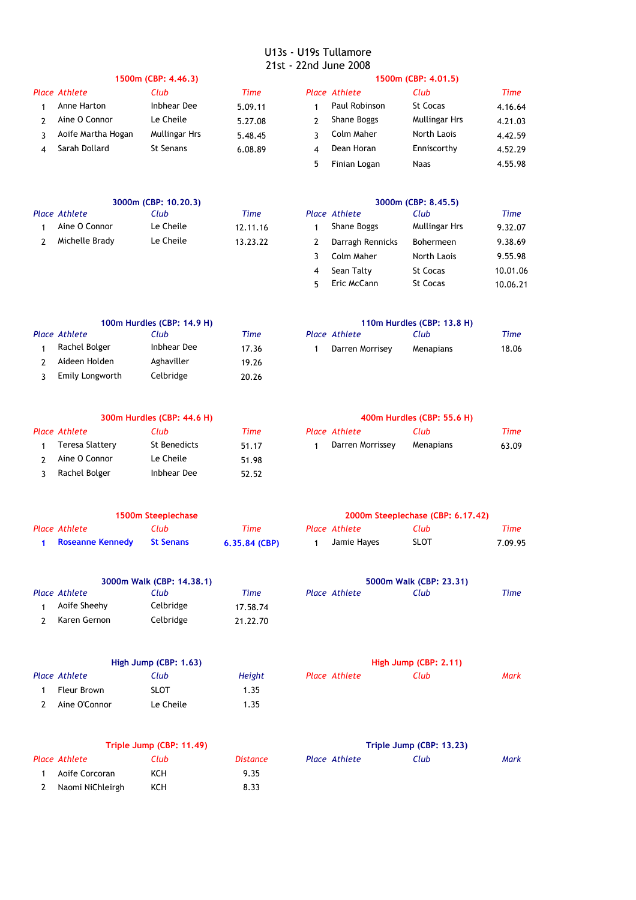| 1500m (CBP: 4.46.3) |               |         |   | 1500m (CBP: 4.01.5) |                      |         |  |  |
|---------------------|---------------|---------|---|---------------------|----------------------|---------|--|--|
| Place Athlete       | Club          | Time    |   | Place Athlete       | Club                 | Time    |  |  |
| Anne Harton         | Inbhear Dee   | 5.09.11 |   | Paul Robinson       | St Cocas             | 4.16.64 |  |  |
| Aine O Connor       | Le Cheile     | 5.27.08 |   | Shane Boggs         | <b>Mullingar Hrs</b> | 4.21.03 |  |  |
| Aoife Martha Hogan  | Mullingar Hrs | 5.48.45 |   | Colm Maher          | North Laois          | 4.42.59 |  |  |
| Sarah Dollard       | St Senans     | 6.08.89 | 4 | Dean Horan          | Enniscorthy          | 4.52.29 |  |  |
|                     |               |         |   | Finian Logan        | <b>Naas</b>          | 4.55.98 |  |  |
|                     |               |         |   |                     |                      |         |  |  |

| 3000m (CBP: 10.20.3) |           |          |  | 3000m (CBP: 8.45.5) |               |         |  |  |
|----------------------|-----------|----------|--|---------------------|---------------|---------|--|--|
| <b>Place Athlete</b> | Club      | Time     |  | Place Athlete       | Club          | Time    |  |  |
| Aine O Connor        | Le Cheile | 12.11.16 |  | Shane Boggs         | Mullingar Hrs | 9.32.07 |  |  |
| Michelle Brady       | Le Cheile | 13.23.22 |  | Darragh Rennicks    | Bohermeen     | 9.38.69 |  |  |
|                      |           |          |  | Colm Maher          | North Laois   | 9.55.98 |  |  |

| 100m Hurdles (CBP: 14.9 H) |             |       |  |                 | 110m Hurdles (CBP: 13.8 H) |       |
|----------------------------|-------------|-------|--|-----------------|----------------------------|-------|
| Place Athlete              | Club        | Time  |  | Place Athlete   | Club                       | Time  |
| Rachel Bolger              | Inbhear Dee | 17.36 |  | Darren Morrisey | Menapians                  | 18.06 |
| Aideen Holden              | Aghaviller  | 19.26 |  |                 |                            |       |
| Emily Longworth            | Celbridge   | 20.26 |  |                 |                            |       |
|                            |             |       |  |                 |                            |       |

|  | $110m$ Hurdler (CDD, $12.0$ H) |  |  |
|--|--------------------------------|--|--|
|  |                                |  |  |

| lace Athlete    | Club      | Time  |
|-----------------|-----------|-------|
| Darren Morrisey | Menapians | 18.06 |

4 Sean Talty 5t Cocas 10.01.06 5 St Cocas 10.06.21 Eric McCann

| 300m Hurdles (CBP: 44.6 H) |              |       |  | 400m Hurdles (CBP: 55.6 H) |                  |       |  |  |
|----------------------------|--------------|-------|--|----------------------------|------------------|-------|--|--|
| Place Athlete              | Club         | Time  |  | Place Athlete              | Club             | Time  |  |  |
| Teresa Slattery            | St Benedicts | 51.17 |  | Darren Morrissey           | <b>Menapians</b> | 63.09 |  |  |
| Aine O Connor              | Le Cheile    | 51.98 |  |                            |                  |       |  |  |
| Rachel Bolger              | Inbhear Dee  | 52.52 |  |                            |                  |       |  |  |

| 400m Hurdles (CBP: 55.6 H) |  |  |  |  |  |  |  |
|----------------------------|--|--|--|--|--|--|--|
|----------------------------|--|--|--|--|--|--|--|

| ace Athlete                 | Club                 | Time    | Place Athlete    | Club      | Time  |
|-----------------------------|----------------------|---------|------------------|-----------|-------|
| Teresa Slattery             | St Benedicts         | 51.17   | Darren Morrissey | Menapians | 63.09 |
| $\sim$ $\sim$ $\sim$ $\sim$ | $\sim$ $\sim$ $\sim$ | _ _ _ _ |                  |           |       |

| 1500m Steeplechase |           |                 |  | 2000m Steeplechase (CBP: 6.17.42) |             |         |  |
|--------------------|-----------|-----------------|--|-----------------------------------|-------------|---------|--|
| Place Athlete      | Club      | Time            |  | Place Athlete                     | Club        | Time    |  |
| Roseanne Kennedy   | St Senans | $6.35.84$ (CBP) |  | Jamie Hayes                       | <b>SLOT</b> | 7.09.95 |  |

| 3000m Walk (CBP: 14.38.1) |               |           |          | 5000m Walk (CBP: 23.31) |                      |      |      |
|---------------------------|---------------|-----------|----------|-------------------------|----------------------|------|------|
|                           | Place Athlete | Club      | Time     |                         | <b>Place Athlete</b> | Club | Time |
|                           | Aoife Sheehy  | Celbridge | 17.58.74 |                         |                      |      |      |
|                           | Karen Gernon  | Celbridge | 21.22.70 |                         |                      |      |      |

| High Jump (CBP: 1.63) |                      |             | High Jump (CBP: 2.11) |               |      |      |
|-----------------------|----------------------|-------------|-----------------------|---------------|------|------|
|                       | <b>Place Athlete</b> | Club        | Height                | Place Athlete | Club | Mark |
|                       | Fleur Brown          | <b>SLOT</b> | 1.35                  |               |      |      |
|                       | Aine O'Connor        | Le Cheile   | 1.35                  |               |      |      |

| lace Athlete | Club | Time |
|--------------|------|------|
|              |      |      |
|              |      |      |
|              |      |      |
|              |      |      |
|              |      |      |

|               | High Jump (CBP: 2.11) |      |
|---------------|-----------------------|------|
| Place Athlete | Club                  | Mark |
|               |                       |      |
|               |                       |      |

|                  | Triple Jump (CBP: 11.49) |          | Triple Jump (CBP: 13.23) |      |      |  |
|------------------|--------------------------|----------|--------------------------|------|------|--|
| Place Athlete    | Club                     | Distance | <b>Place Athlete</b>     | Club | Mark |  |
| Aoife Corcoran   | ксн                      | 9.35     |                          |      |      |  |
| Naomi NiChleirgh | KCH                      | 8.33     |                          |      |      |  |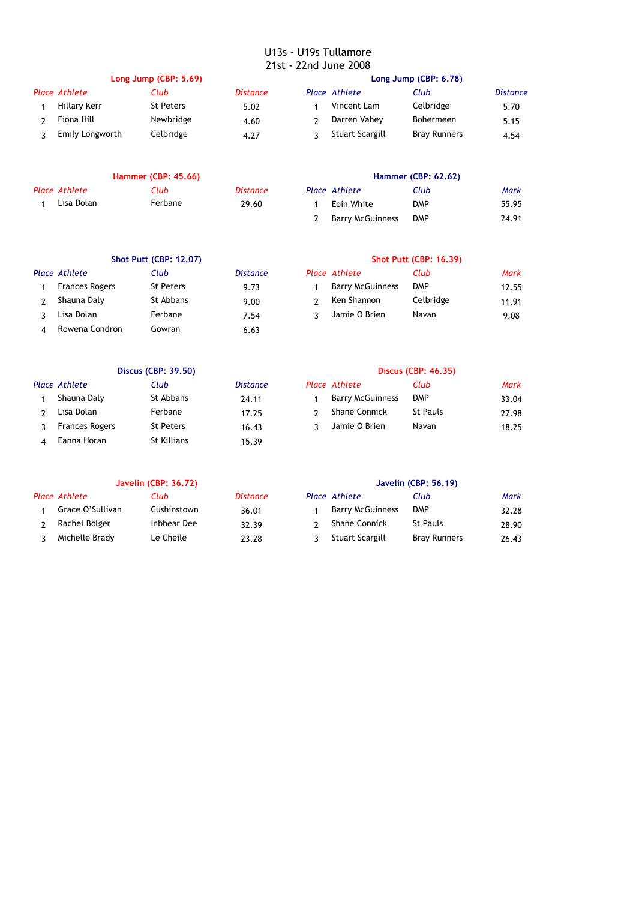| Long Jump (CBP: 5.69) |                 |           |                 | Long Jump (CBP: 6.78) |                        |                     |                 |
|-----------------------|-----------------|-----------|-----------------|-----------------------|------------------------|---------------------|-----------------|
|                       | Place Athlete   | Club      | <b>Distance</b> |                       | Place Athlete          | Club                | <b>Distance</b> |
|                       | Hillary Kerr    | St Peters | 5.02            |                       | Vincent Lam            | Celbridge           | 5.70            |
|                       | Fiona Hill      | Newbridge | 4.60            |                       | Darren Vahey           | <b>Bohermeen</b>    | 5.15            |
|                       | Emily Longworth | Celbridge | 4.27            |                       | <b>Stuart Scargill</b> | <b>Bray Runners</b> | 4.54            |

| <b>Hammer (CBP: 45.66)</b> |         |          | <b>Hammer (CBP: 62.62)</b> |                      |            |       |
|----------------------------|---------|----------|----------------------------|----------------------|------------|-------|
| Place Athlete              | Club    | Distance |                            | <b>Place Athlete</b> | Club       | Mark  |
| Lisa Dolan                 | Ferbane | 29.60    |                            | Eoin White           | <b>DMP</b> | 55.95 |

| <b>Hammer (CBP: 45.66)</b> |             |         |          | <b>Hammer (CBP: 62.62)</b> |                         |            |       |
|----------------------------|-------------|---------|----------|----------------------------|-------------------------|------------|-------|
|                            | ace Athlete | Club    | Distance |                            | <b>Place Athlete</b>    | Club       | Mark  |
|                            | Lisa Dolan  | Ferbane | 29.60    |                            | Eoin White              | <b>DMP</b> | 55.95 |
|                            |             |         |          |                            | <b>Barry McGuinness</b> | <b>DMP</b> | 24.91 |

**Shot Putt (CBP: 12.07) Shot Putt (CBP: 16.39)**

| <b>Shot Putt (CBP: 12.07)</b> |           |                 |  | <b>Shot Putt (CBP: 16.39)</b> |            |             |  |
|-------------------------------|-----------|-----------------|--|-------------------------------|------------|-------------|--|
| Place Athlete                 | Club      | <i>Distance</i> |  | Place Athlete                 | Club       | <b>Mark</b> |  |
| <b>Frances Rogers</b>         | St Peters | 9.73            |  | <b>Barry McGuinness</b>       | <b>DMP</b> | 12.55       |  |
| Shauna Daly                   | St Abbans | 9.00            |  | Ken Shannon                   | Celbridge  | 11.91       |  |
| Lisa Dolan                    | Ferbane   | 7.54            |  | Jamie O Brien                 | Navan      | 9.08        |  |
| Rowena Condron                | Gowran    | 6.63            |  |                               |            |             |  |

| Rowena Condron | Gowran                     | 6.63            |               |                            |      |
|----------------|----------------------------|-----------------|---------------|----------------------------|------|
|                |                            |                 |               |                            |      |
|                | <b>Discus (CBP: 39.50)</b> |                 |               | <b>Discus (CBP: 46.35)</b> |      |
| Place Athlete  | Club                       | <b>Distance</b> | Place Athlete | Club                       | Mark |
| $ -$<br>- -    | -                          |                 | _  _ .        | - -                        |      |

|                | Shauna Daly    | St Abbans   | 24.11 | <b>Barry McGuinness</b> | <b>DMP</b>      | 33.04 |
|----------------|----------------|-------------|-------|-------------------------|-----------------|-------|
|                | Lisa Dolan     | Ferbane     | 17.25 | <b>Shane Connick</b>    | <b>St Pauls</b> | 27.98 |
| 3 <sup>1</sup> | Frances Rogers | St Peters   | 16.43 | Jamie O Brien           | Navan           | 18.25 |
| $\overline{4}$ | Eanna Horan    | St Killians | 15.39 |                         |                 |       |
|                |                |             |       |                         |                 |       |

|  | Discus (CBP: 46.35) |
|--|---------------------|
|  |                     |

|   | ace Athlete           | Club             | <i>Distance</i> | <b>Place Athlete</b>    | Club            | Mark  |
|---|-----------------------|------------------|-----------------|-------------------------|-----------------|-------|
|   | Shauna Daly           | St Abbans        | 24.11           | <b>Barry McGuinness</b> | <b>DMP</b>      | 33.04 |
|   | Lisa Dolan            | Ferbane          | 17.25           | <b>Shane Connick</b>    | <b>St Pauls</b> | 27.98 |
| 3 | <b>Frances Rogers</b> | <b>St Peters</b> | 16.43           | Jamie O Brien           | Navan           | 18.25 |

| <b>Javelin (CBP: 36.72)</b> |             |                 |  | <b>Javelin (CBP: 56.19)</b> |                     |       |  |  |
|-----------------------------|-------------|-----------------|--|-----------------------------|---------------------|-------|--|--|
| Place Athlete               | Club        | <i>Distance</i> |  | Place Athlete               | Club                | Mark  |  |  |
| Grace O'Sullivan            | Cushinstown | 36.01           |  | <b>Barry McGuinness</b>     | <b>DMP</b>          | 32.28 |  |  |
| Rachel Bolger               | Inbhear Dee | 32.39           |  | <b>Shane Connick</b>        | St Pauls            | 28.90 |  |  |
| Michelle Brady              | Le Cheile   | 23.28           |  | Stuart Scargill             | <b>Bray Runners</b> | 26.43 |  |  |

|   | ace Athlete             | Club                | Mark  |
|---|-------------------------|---------------------|-------|
| 1 | <b>Barry McGuinness</b> | <b>DMP</b>          | 32.28 |
|   | 2 Shane Connick         | St Pauls            | 28.90 |
|   | 3 Stuart Scargill       | <b>Bray Runners</b> | 26.43 |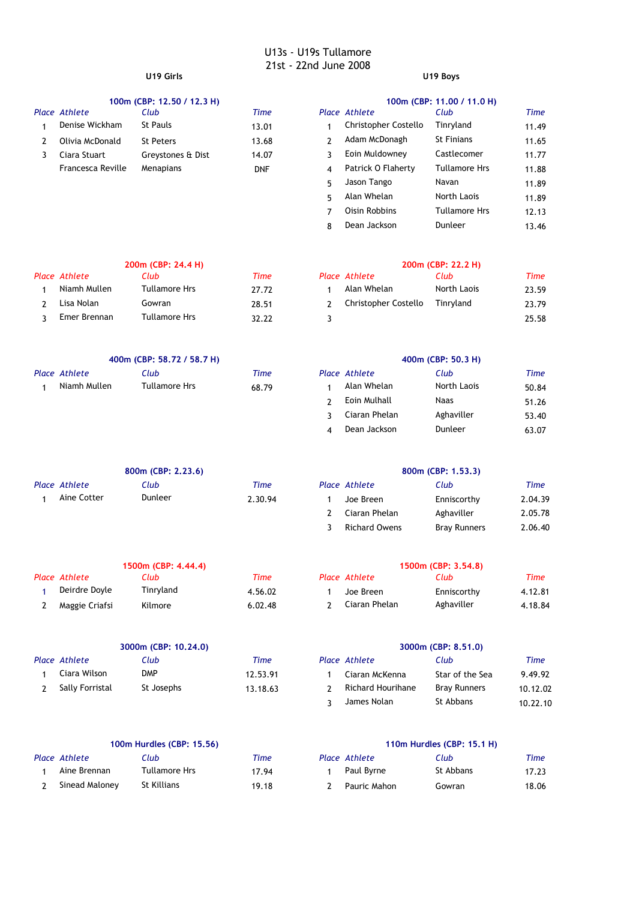|  |  | 100m (CBP: 12.50 / 12.3 H) |  |  |
|--|--|----------------------------|--|--|
|--|--|----------------------------|--|--|

| uace Atniete      | cup               | <i><u>Fime</u></i> | Place Athlete        | CIUD                 | <i>ume</i> |
|-------------------|-------------------|--------------------|----------------------|----------------------|------------|
| Denise Wickham    | St Pauls          | 13.01              | Christopher Costello | Tinrvland            | 11.49      |
| Olivia McDonald   | St Peters         | 13.68              | Adam McDonagh        | <b>St Finians</b>    | 11.65      |
| Ciara Stuart      | Greystones & Dist | 14.07              | Eoin Muldowney       | Castlecomer          | 11.77      |
| Francesca Reville | Menapians         | <b>DNF</b>         | Patrick O Flaherty   | <b>Tullamore Hrs</b> | 11.88      |
|                   |                   |                    |                      |                      |            |

# **U19 Girls U19 Boys**

|    |                   | 100m (CBP: 12.50 / 12.3 H) |             |               |                      | 100m (CBP: 11.00 / 11.0 H) |       |
|----|-------------------|----------------------------|-------------|---------------|----------------------|----------------------------|-------|
|    | Place Athlete     | Club                       | <b>Time</b> |               | Place Athlete        | Club                       | Time  |
|    | Denise Wickham    | St Pauls                   | 13.01       |               | Christopher Costello | Tinryland                  | 11.49 |
|    | Olivia McDonald   | <b>St Peters</b>           | 13.68       |               | Adam McDonagh        | <b>St Finians</b>          | 11.65 |
| 3. | Ciara Stuart      | Greystones & Dist          | 14.07       |               | Eoin Muldowney       | Castlecomer                | 11.77 |
|    | Francesca Reville | Menapians                  | <b>DNF</b>  | 4             | Patrick O Flaherty   | <b>Tullamore Hrs</b>       | 11.88 |
|    |                   |                            |             | 5             | Jason Tango          | Navan                      | 11.89 |
|    |                   |                            |             | 5.            | Alan Whelan          | North Laois                | 11.89 |
|    |                   |                            |             | Oisin Robbins | <b>Tullamore Hrs</b> | 12.13                      |       |
|    |                   |                            |             | 8             | Dean Jackson         | Dunleer                    | 13.46 |

| 200m (CBP: 24.4 H) |               |       | 200m (CBP: 22.2 H) |                      |             |       |  |
|--------------------|---------------|-------|--------------------|----------------------|-------------|-------|--|
| Place Athlete      | Club          | Time  |                    | Place Athlete        | Club        | Time  |  |
| Niamh Mullen       | Tullamore Hrs | 27.72 |                    | Alan Whelan          | North Laois | 23.59 |  |
| Lisa Nolan         | Gowran        | 28.51 |                    | Christopher Costello | Tinryland   | 23.79 |  |
| Emer Brennan       | Tullamore Hrs | 32.22 |                    |                      |             | 25.58 |  |

| 400m (CBP: 58.72 / 58.7 H) |  |  |  |  |
|----------------------------|--|--|--|--|
|----------------------------|--|--|--|--|

| Place Athlete | Ilub          | $T$ ime | Place Athlete | Club        | <b>Time</b> |
|---------------|---------------|---------|---------------|-------------|-------------|
| Niamh Mullen  | Tullamore Hrs | 68.79   | Alan Whelan   | North Laois | 50.84       |

| 200m (CBP: 24.4 H)   |       |    |                      | 200m (CBP: 22.2 H) |       |
|----------------------|-------|----|----------------------|--------------------|-------|
| Club                 | Time  |    | Place Athlete        | Club               | Time  |
| Tullamore Hrs        | 27.72 |    | Alan Whelan          | North Laois        | 23.59 |
| Gowran               | 28.51 |    | Christopher Costello | Tinryland          | 23.79 |
| <b>Tullamore Hrs</b> | 32.22 | ٦. |                      |                    | 25.58 |

|               | 400m (CBP: 50.3 H) |       |
|---------------|--------------------|-------|
| Place Athlete | Club               | Time  |
| Alan Whelan   | North Laois        | 50.84 |
| Eoin Mulhall  | <b>Naas</b>        | 51.26 |
| Ciaran Phelan | Aghaviller         | 53.40 |
| Dean Jackson  | Dunleer            | 63.07 |

|               | 800m (CBP: 2.23.6) |         |               | 800m (CBP: 1.53.3) |         |
|---------------|--------------------|---------|---------------|--------------------|---------|
| Place Athlete | Club               | Time    | Place Athlete | Club               | Time    |
| Aine Cotter   | Dunleer            | 2.30.94 | Joe Breen     | Enniscorthy        | 2.04.39 |
|               |                    |         | Ciaran Phelan | Aghaviller         | 2.05.78 |

| 1500m (CBP: 4.44.4) |                |           |         | 1500m (CBP: 3.54.8) |               |             |         |
|---------------------|----------------|-----------|---------|---------------------|---------------|-------------|---------|
|                     | Place Athlete  | Club      | Time    |                     | Place Athlete | Club        | Time    |
|                     | Deirdre Doyle  | Tinrvland | 4.56.02 |                     | Joe Breen     | Enniscorthy | 4.12.81 |
|                     | Maggie Criafsi | Kilmore   | 6.02.48 |                     | Ciaran Phelan | Aghaviller  | 4.18.84 |

| 3000m (CBP: 10.24.0) |                 |            |          |  | 3000m (CBP: 8.51.0) |                     |          |  |  |
|----------------------|-----------------|------------|----------|--|---------------------|---------------------|----------|--|--|
|                      | Place Athlete   | Club       | Time     |  | Place Athlete       | Club                | Time     |  |  |
|                      | Ciara Wilson    | <b>DMP</b> | 12.53.91 |  | Ciaran McKenna      | Star of the Sea     | 9.49.92  |  |  |
|                      | Sally Forristal | St Josephs | 13.18.63 |  | Richard Hourihane   | <b>Bray Runners</b> | 10.12.02 |  |  |

|   | 100m Hurdles (CBP: 15.56) |  |
|---|---------------------------|--|
| e | Club                      |  |

| Aine Brennan     | Tullamore Hrs | 17.94 | Paul Byrne     | <b>St Abbans</b> |
|------------------|---------------|-------|----------------|------------------|
| 2 Sinead Malonev | St Killians   | 19.18 | 2 Pauric Mahon | Gowran           |

| 1500m (CBP: 4.44.4) |      |               | 1500m (CBP: 3.54.8) |      |
|---------------------|------|---------------|---------------------|------|
| Club                | Time | Place Athlete | Club                | Time |

3 Bray Runners 2.06.40 Richard Owens

| Tinryland | 4.56.02 | Joe Breen     | Enniscorthy | 4.12.81 |
|-----------|---------|---------------|-------------|---------|
| Kilmore   | 6.02.48 | Ciaran Phelan | Aghaviller  | 4.18.84 |

# **2000m (CBP: 8.51.0) Place Athlete** *Club*

|              | lace Athlete      | Club                | l ime    |
|--------------|-------------------|---------------------|----------|
| $\mathbf{1}$ | Ciaran McKenna    | Star of the Sea     | 9.49.92  |
|              | Richard Hourihane | <b>Bray Runners</b> | 10.12.02 |
| ર            | James Nolan       | St Abbans           | 10.22.10 |

# **100m Hurdles (CBP: 15.56) 110m Hurdles (CBP: 15.1 H)**

| Place Athlete  | Club          | Time  | Place Athlete | Club      | Time  |
|----------------|---------------|-------|---------------|-----------|-------|
| Aine Brennan   | Tullamore Hrs | 17.94 | Paul Byrne    | St Abbans | 17.23 |
| Sinead Maloney | St Killians   | 19.18 | Pauric Mahon  | Gowran    | 18.06 |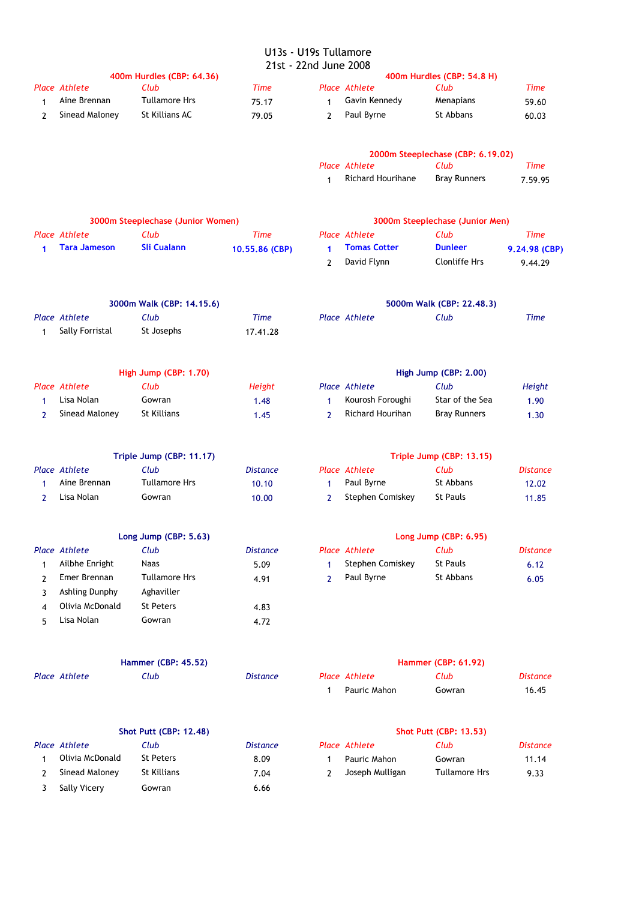# U13s - U19s Tullamore

|                      |                                         |                                   | 21st - 22nd June 2008 |                |                                |                                   |                 |
|----------------------|-----------------------------------------|-----------------------------------|-----------------------|----------------|--------------------------------|-----------------------------------|-----------------|
|                      |                                         | 400m Hurdles (CBP: 64.36)         |                       |                |                                | 400m Hurdles (CBP: 54.8 H)        |                 |
|                      | <b>Place Athlete</b><br>Aine Brennan    | Club<br><b>Tullamore Hrs</b>      | <b>Time</b>           |                | Place Athlete<br>Gavin Kennedy | Club<br>Menapians                 | Time            |
| $\mathbf{1}$         |                                         |                                   | 75.17                 | $\mathbf{1}$   |                                |                                   | 59.60           |
| 2                    | Sinead Maloney                          | St Killians AC                    | 79.05                 | 2              | Paul Byrne                     | St Abbans                         | 60.03           |
|                      |                                         |                                   |                       |                |                                | 2000m Steeplechase (CBP: 6.19.02) |                 |
|                      |                                         |                                   |                       |                | <b>Place Athlete</b>           | Club                              | <b>Time</b>     |
|                      |                                         |                                   |                       | $\mathbf{1}$   | <b>Richard Hourihane</b>       | <b>Bray Runners</b>               | 7.59.95         |
|                      |                                         | 3000m Steeplechase (Junior Women) |                       |                |                                | 3000m Steeplechase (Junior Men)   |                 |
|                      | Place Athlete                           | Club                              | <b>Time</b>           |                | <b>Place Athlete</b>           | Club                              | <b>Time</b>     |
| $\blacktriangleleft$ | <b>Tara Jameson</b>                     | <b>Sli Cualann</b>                | 10.55.86 (CBP)        | 1              | <b>Tomas Cotter</b>            | <b>Dunleer</b>                    | 9.24.98 (CBP)   |
|                      |                                         |                                   |                       | $\mathbf{2}$   | David Flynn                    | <b>Clonliffe Hrs</b>              | 9.44.29         |
|                      |                                         |                                   |                       |                |                                |                                   |                 |
|                      |                                         | 3000m Walk (CBP: 14.15.6)         |                       |                |                                | 5000m Walk (CBP: 22.48.3)         |                 |
|                      | <b>Place Athlete</b><br>Sally Forristal | Club<br>St Josephs                | <b>Time</b>           |                | Place Athlete                  | Club                              | <b>Time</b>     |
| 1                    |                                         |                                   | 17.41.28              |                |                                |                                   |                 |
|                      |                                         | High Jump (CBP: 1.70)             |                       |                |                                | High Jump (CBP: 2.00)             |                 |
|                      | Place Athlete                           | Club                              | Height                |                | <b>Place Athlete</b>           | Club                              | Height          |
| 1                    | Lisa Nolan                              | Gowran                            | 1.48                  | 1              | Kourosh Foroughi               | Star of the Sea                   | 1.90            |
| 2                    | Sinead Maloney                          | St Killians                       | 1.45                  | $\overline{2}$ | Richard Hourihan               | <b>Bray Runners</b>               | 1.30            |
|                      |                                         | Triple Jump (CBP: 11.17)          |                       |                |                                | Triple Jump (CBP: 13.15)          |                 |
|                      | <b>Place Athlete</b>                    | Club                              | <b>Distance</b>       |                | <b>Place Athlete</b>           | Club                              | <b>Distance</b> |
| 1                    | Aine Brennan                            | <b>Tullamore Hrs</b>              | 10.10                 | 1              | Paul Byrne                     | St Abbans                         | 12.02           |
| 2                    | Lisa Nolan                              | Gowran                            | 10.00                 | $\overline{2}$ | Stephen Comiskey               | <b>St Pauls</b>                   | 11.85           |
|                      |                                         | Long Jump (CBP: 5.63)             |                       |                |                                | Long Jump (CBP: 6.95)             |                 |
|                      | Place Athlete                           | Club                              | <b>Distance</b>       |                | <b>Place Athlete</b>           | Club                              | <b>Distance</b> |
| $\mathbf{1}$         | Ailbhe Enright                          | <b>Naas</b>                       | 5.09                  | 1              | Stephen Comiskey               | <b>St Pauls</b>                   | 6.12            |
| 2                    | Emer Brennan                            | <b>Tullamore Hrs</b>              | 4.91                  | $\mathbf{2}$   | Paul Byrne                     | St Abbans                         | 6.05            |
| 3                    | Ashling Dunphy                          | Aghaviller                        |                       |                |                                |                                   |                 |
| 4                    | Olivia McDonald                         | <b>St Peters</b>                  | 4.83                  |                |                                |                                   |                 |
| 5                    | Lisa Nolan                              | Gowran                            | 4.72                  |                |                                |                                   |                 |
|                      |                                         |                                   |                       |                |                                |                                   |                 |
|                      |                                         | <b>Hammer (CBP: 45.52)</b>        |                       |                |                                | <b>Hammer (CBP: 61.92)</b>        |                 |
|                      | Place Athlete                           | Club                              | <b>Distance</b>       |                | <b>Place Athlete</b>           | Club                              | <b>Distance</b> |
|                      |                                         |                                   |                       | 1              | Pauric Mahon                   | Gowran                            | 16.45           |
|                      |                                         | <b>Shot Putt (CBP: 12.48)</b>     |                       |                |                                | <b>Shot Putt (CBP: 13.53)</b>     |                 |
|                      | <b>Place Athlete</b>                    | Club                              | <b>Distance</b>       |                | <b>Place Athlete</b>           | Club                              | <b>Distance</b> |
| 1                    | Olivia McDonald                         | <b>St Peters</b>                  | 8.09                  | 1              | Pauric Mahon                   | Gowran                            | 11.14           |
| 2                    | Sinead Maloney                          | St Killians                       | 7.04                  | 2              | Joseph Mulligan                | <b>Tullamore Hrs</b>              | 9.33            |
| 3                    | Sally Vicery                            | Gowran                            | 6.66                  |                |                                |                                   |                 |
|                      |                                         |                                   |                       |                |                                |                                   |                 |